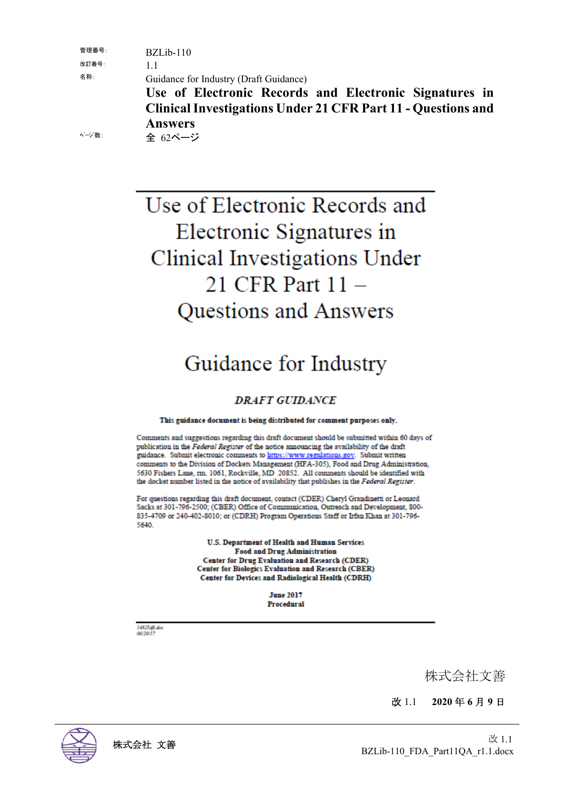管理番号: BZLib-110

改訂番号: 1.1

名称: Guidance for Industry (Draft Guidance)

**Use of Electronic Records and Electronic Signatures in Clinical Investigations Under 21 CFR Part 11 - Questions and Answers**

ページ数: 全 62ページ

# Use of Electronic Records and Electronic Signatures in Clinical Investigations Under 21 CFR Part 11 -Questions and Answers

# Guidance for Industry

# **DRAFT GUIDANCE**

#### This guidance document is being distributed for comment purposes only.

Comments and suggestions regarding this draft document should be submitted within 60 days of publication in the Federal Register of the notice announcing the availability of the draft guidance. Submit electronic comments to https://www.regulations.gov. Submit written comments to the Division of Dockets Management (HFA-305), Food and Drug Administration, 5630 Fishers Lane, rm. 1061, Rockville, MD 20852. All comments should be identified with the docket number listed in the notice of availability that publishes in the Federal Register.

For questions regarding this draft document, contact (CDER) Cheryl Grandinetti or Leonard Sacks at 301-796-2500; (CBER) Office of Communication, Outreach and Development, 800-835-4709 or 240-402-8010; or (CDRH) Program Operations Staff or Irfan Khan at 301-796-5640

> U.S. Department of Health and Human Services **Food and Drug Administration Center for Drug Evaluation and Research (CDER)** Center for Biologics Evaluation and Research (CBER) Center for Devices and Radiological Health (CDRH)

> > **June 2017** Procedural

14825 dft.doc<br>06/20/17

株式会社文善

改 1.1 **2020** 年 **6** 月 **9** 日

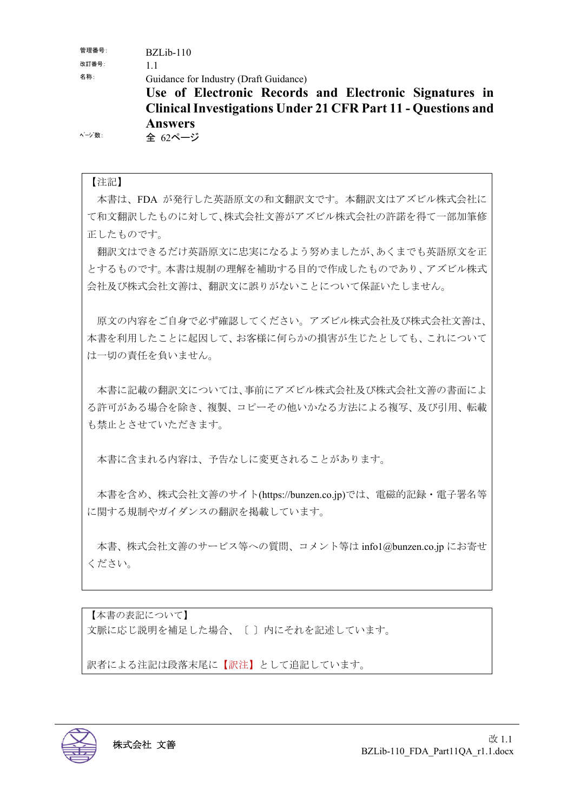管理番号: BZLib-110

改訂番号: 1.1

名称: Guidance for Industry (Draft Guidance)

**Use of Electronic Records and Electronic Signatures in Clinical Investigations Under 21 CFR Part 11 - Questions and Answers**

ページ数: 全 62ページ

正したものです。

【注記】 本書は、FDA が発行した英語原文の和文翻訳文です。本翻訳文はアズビル株式会社に て和文翻訳したものに対して、株式会社文善がアズビル株式会社の許諾を得て一部加筆修

翻訳文はできるだけ英語原文に忠実になるよう努めましたが、あくまでも英語原文を正 とするものです。本書は規制の理解を補助する目的で作成したものであり、アズビル株式 会社及び株式会社文善は、翻訳文に誤りがないことについて保証いたしません。

原文の内容をご自身で必ず確認してください。アズビル株式会社及び株式会社文善は、 本書を利用したことに起因して、お客様に何らかの損害が生じたとしても、これについて は一切の責任を負いません。

本書に記載の翻訳文については、事前にアズビル株式会社及び株式会社文善の書面によ る許可がある場合を除き、複製、コピーその他いかなる方法による複写、及び引用、転載 も禁止とさせていただきます。

本書に含まれる内容は、予告なしに変更されることがあります。

本書を含め、株式会社文善のサイト(https://bunzen.co.jp)では、電磁的記録・電子署名等 に関する規制やガイダンスの翻訳を掲載しています。

本書、株式会社文善のサービス等への質問、コメント等は info1@bunzen.co.jp にお寄せ ください。

【本書の表記について】 文脈に応じ説明を補足した場合、〔 〕内にそれを記述しています。

訳者による注記は段落末尾に【訳注】として追記しています。

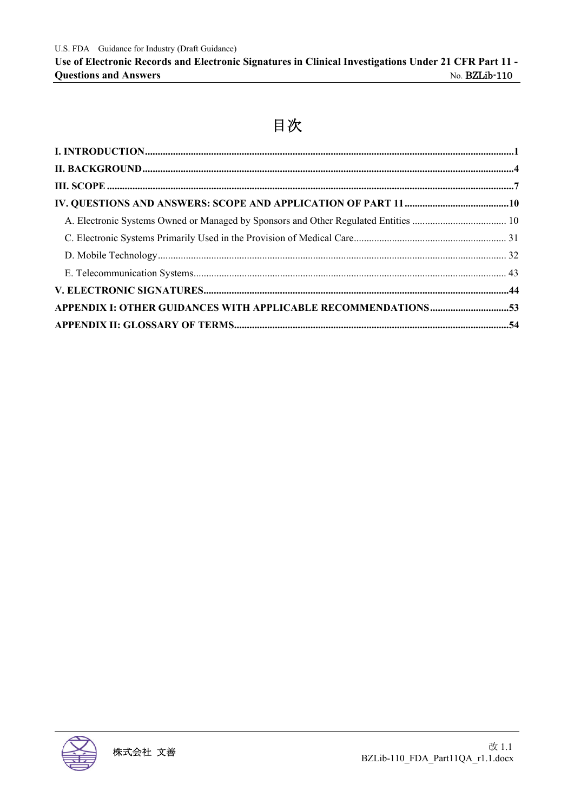# 目次

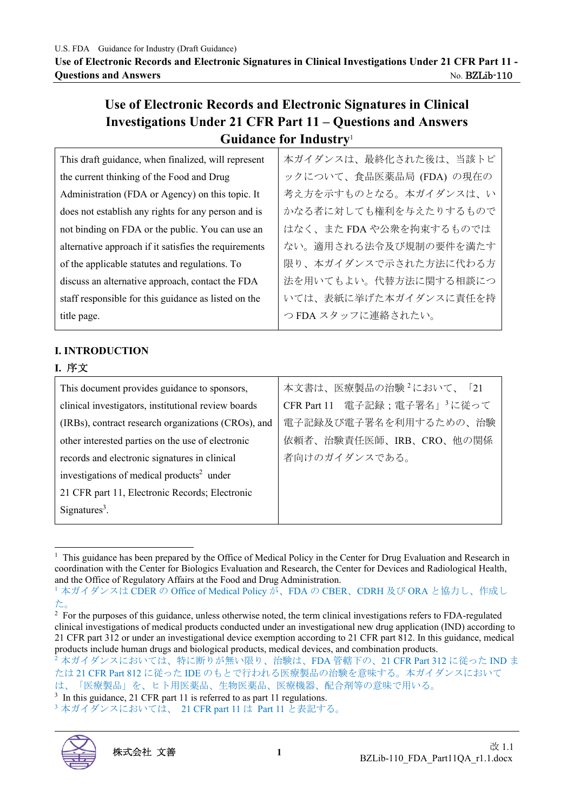# **Use of Electronic Records and Electronic Signatures in Clinical Investigations Under 21 CFR Part 11 – Questions and Answers Guidance for Industry**<sup>1</sup>

| This draft guidance, when finalized, will represent   | 本ガイダンスは、最終化された後は、当該トピ    |
|-------------------------------------------------------|--------------------------|
| the current thinking of the Food and Drug             | ックについて、食品医薬品局 (FDA) の現在の |
| Administration (FDA or Agency) on this topic. It      | 考え方を示すものとなる。本ガイダンスは、い    |
| does not establish any rights for any person and is   | かなる者に対しても権利を与えたりするもので    |
| not binding on FDA or the public. You can use an      | はなく、また FDA や公衆を拘束するものでは  |
| alternative approach if it satisfies the requirements | ない。適用される法令及び規制の要件を満たす    |
| of the applicable statutes and regulations. To        | 限り、本ガイダンスで示された方法に代わる方    |
| discuss an alternative approach, contact the FDA      | 法を用いてもよい。代替方法に関する相談につ    |
| staff responsible for this guidance as listed on the  | いては、表紙に挙げた本ガイダンスに責任を持    |
| title page.                                           | つFDAスタッフに連絡されたい。         |
|                                                       |                          |

#### **I. INTRODUCTION**

#### **I.** 序文

| This document provides guidance to sponsors,          | 本文書は、医療製品の治験 <sup>2</sup> において、「21       |
|-------------------------------------------------------|------------------------------------------|
| clinical investigators, institutional review boards   | CFR Part 11 電子記録;電子署名」 <sup>3</sup> に従って |
| (IRBs), contract research organizations (CROs), and   | 電子記録及び電子署名を利用するための、治験                    |
| other interested parties on the use of electronic     | 依頼者、治験責任医師、IRB、CRO、他の関係                  |
| records and electronic signatures in clinical         | 者向けのガイダンスである。                            |
| investigations of medical products <sup>2</sup> under |                                          |
| 21 CFR part 11, Electronic Records; Electronic        |                                          |
| $Sigma3$ .                                            |                                          |

<sup>&</sup>lt;sup>1</sup> This guidance has been prepared by the Office of Medical Policy in the Center for Drug Evaluation and Research in coordination with the Center for Biologics Evaluation and Research, the Center for Devices and Radiological Health, and the Office of Regulatory Affairs at the Food and Drug Administration.<br>1 本ガイダンスは CDER の Office of Medical Policy が、FDA の CBER、CDRH 及び ORA と協力し、作成し

<sup>3</sup>本ガイダンスにおいては、21 CFR part 11 は Part 11 と表記する。



た。

<sup>&</sup>lt;sup>2</sup> For the purposes of this guidance, unless otherwise noted, the term clinical investigations refers to FDA-regulated clinical investigations of medical products conducted under an investigational new drug application (IND) according to 21 CFR part 312 or under an investigational device exemption according to 21 CFR part 812. In this guidance, medical products include human drugs and biological products, medical devices, and combination products.

 $\frac{1}{2}$ 本ガイダンスにおいては、特に断りが無い限り、治験は、FDA 管轄下の、21 CFR Part 312 に従った IND ま たは 21 CFR Part 812 に従った IDE のもとで行われる医療製品の治験を意味する。本ガイダンスにおいて は、「医療製品」を、ヒト用医薬品、生物医薬品、医療機器、配合剤等の意味で用いる。

 $3 \text{ In this guidance, } 21 \text{ CFR part } 11 \text{ is referred to as part } 11 \text{ regulations.}$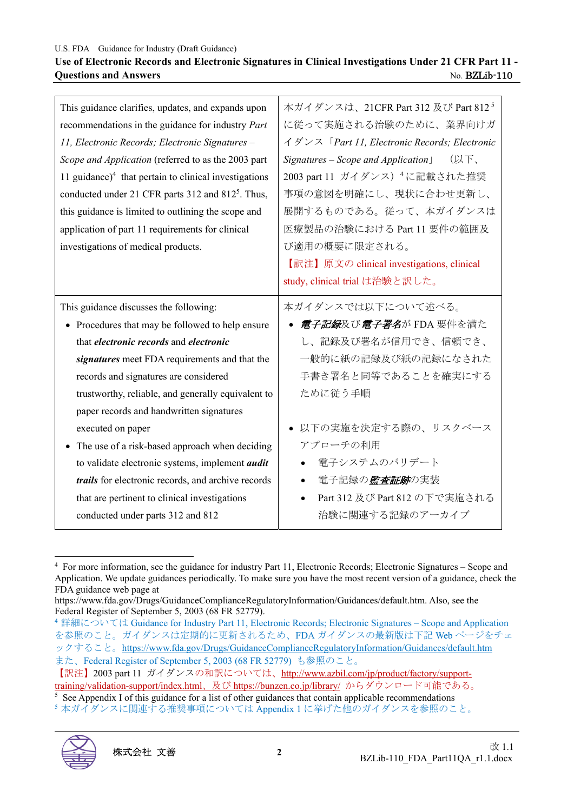#### **Use of Electronic Records and Electronic Signatures in Clinical Investigations Under 21 CFR Part 11 - Ouestions and Answers** No. BZLib-110

| This guidance clarifies, updates, and expands upon            | 本ガイダンスは、21CFR Part 312 及び Part 8125            |
|---------------------------------------------------------------|------------------------------------------------|
| recommendations in the guidance for industry Part             | に従って実施される治験のために、業界向けガ                          |
| 11, Electronic Records; Electronic Signatures -               | イダンス「Part 11, Electronic Records; Electronic   |
| Scope and Application (referred to as the 2003 part           | $Signatures - Score$ and $Application$<br>(以下、 |
| 11 guidance) $4$ that pertain to clinical investigations      | 2003 part 11 ガイダンス) 4に記載された推奨                  |
| conducted under 21 CFR parts 312 and 812 <sup>5</sup> . Thus, | 事項の意図を明確にし、現状に合わせ更新し、                          |
| this guidance is limited to outlining the scope and           | 展開するものである。従って、本ガイダンスは                          |
| application of part 11 requirements for clinical              | 医療製品の治験における Part 11 要件の範囲及                     |
| investigations of medical products.                           | び適用の概要に限定される。                                  |
|                                                               | 【訳注】原文の clinical investigations, clinical      |
|                                                               | study, clinical trial は治験と訳した。                 |
| This guidance discusses the following:                        | 本ガイダンスでは以下について述べる。                             |
| • Procedures that may be followed to help ensure              | • <i>電子記録</i> 及び <i>電子署名</i> が FDA 要件を満た       |
| that <i>electronic records</i> and <i>electronic</i>          | し、記録及び署名が信用でき、信頼でき、                            |
| signatures meet FDA requirements and that the                 | 一般的に紙の記録及び紙の記録になされた                            |
| records and signatures are considered                         | 手書き署名と同等であることを確実にする                            |
| trustworthy, reliable, and generally equivalent to            | ために従う手順                                        |
| paper records and handwritten signatures                      |                                                |
| executed on paper                                             | ● 以下の実施を決定する際の、リスクベース                          |
| The use of a risk-based approach when deciding                | アプローチの利用                                       |
| to validate electronic systems, implement <i>audit</i>        | 電子システムのバリデート                                   |
| <i>trails</i> for electronic records, and archive records     | 電子記録の <i>監査証跡</i> の実装                          |
| that are pertinent to clinical investigations                 | Part 312 及び Part 812 の下で実施される                  |
| conducted under parts 312 and 812                             | 治験に関連する記録のアーカイブ                                |

<sup>5</sup>本ガイダンスに関連する推奨事項については Appendix 1 に挙げた他のガイダンスを参照のこと。



<sup>4</sup> For more information, see the guidance for industry Part 11, Electronic Records; Electronic Signatures – Scope and Application. We update guidances periodically. To make sure you have the most recent version of a guidance, check the FDA guidance web page at

https://www.fda.gov/Drugs/GuidanceComplianceRegulatoryInformation/Guidances/default.htm. Also, see the Federal Register of September 5, 2003 (68 FR 52779).

<sup>&</sup>lt;sup>4</sup> 詳細については Guidance for Industry Part 11, Electronic Records; Electronic Signatures – Scope and Application を参照のこと。ガイダンスは定期的に更新されるため、FDA ガイダンスの最新版は下記 Web ページをチェ ックすること。https://www.fda.gov/Drugs/GuidanceComplianceRegulatoryInformation/Guidances/default.htm また、Federal Register of September 5, 2003 (68 FR 52779) も参照のこと。

<sup>【</sup>訳注】2003 part 11 ガイダンスの和訳については、http://www.azbil.com/jp/product/factory/supporttraining/validation-support/index.html、及び https://bunzen.co.jp/library/ からダウンロード可能である。

 $5$  See Appendix I of this guidance for a list of other guidances that contain applicable recommendations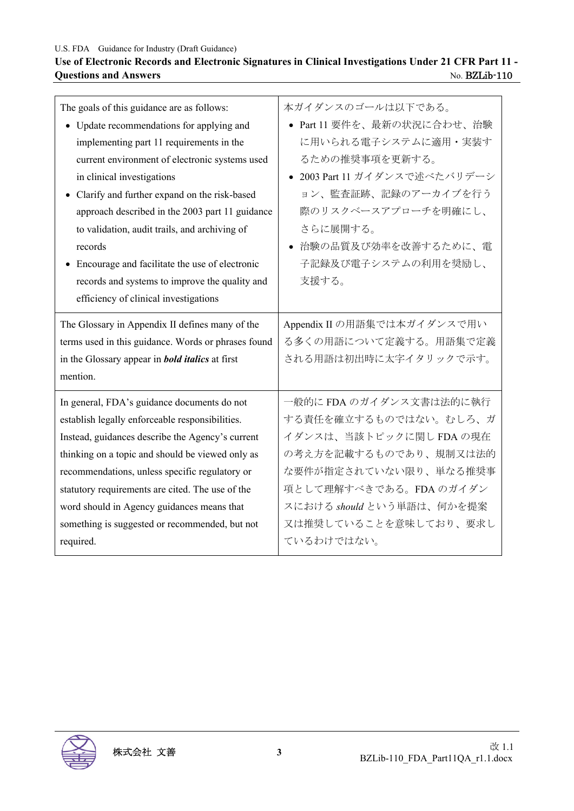## **Use of Electronic Records and Electronic Signatures in Clinical Investigations Under 21 CFR Part 11 - Questions and Answers** No. BZLib-110

| The goals of this guidance are as follows:                                                                                                                                   | 本ガイダンスのゴールは以下である。                                                             |
|------------------------------------------------------------------------------------------------------------------------------------------------------------------------------|-------------------------------------------------------------------------------|
| • Update recommendations for applying and                                                                                                                                    | ● Part 11 要件を、最新の状況に合わせ、治験                                                    |
| implementing part 11 requirements in the                                                                                                                                     | に用いられる電子システムに適用・実装す                                                           |
| current environment of electronic systems used                                                                                                                               | るための推奨事項を更新する。                                                                |
| in clinical investigations                                                                                                                                                   | ● 2003 Part 11 ガイダンスで述べたバリデーシ                                                 |
| • Clarify and further expand on the risk-based                                                                                                                               | ョン、監査証跡、記録のアーカイブを行う                                                           |
| approach described in the 2003 part 11 guidance                                                                                                                              | 際のリスクベースアプローチを明確にし、                                                           |
| to validation, audit trails, and archiving of                                                                                                                                | さらに展開する。                                                                      |
| records                                                                                                                                                                      | ● 治験の品質及び効率を改善するために、電                                                         |
| • Encourage and facilitate the use of electronic<br>records and systems to improve the quality and<br>efficiency of clinical investigations                                  | 子記録及び電子システムの利用を奨励し、<br>支援する。                                                  |
| The Glossary in Appendix II defines many of the<br>terms used in this guidance. Words or phrases found<br>in the Glossary appear in <b>bold italics</b> at first<br>mention. | Appendix II の用語集では本ガイダンスで用い<br>る多くの用語について定義する。用語集で定義<br>される用語は初出時に太字イタリックで示す。 |
| In general, FDA's guidance documents do not                                                                                                                                  | 一般的に FDA のガイダンス文書は法的に執行                                                       |
| establish legally enforceable responsibilities.                                                                                                                              | する責任を確立するものではない。むしろ、ガ                                                         |
| Instead, guidances describe the Agency's current                                                                                                                             | イダンスは、当該トピックに関しFDAの現在                                                         |
| thinking on a topic and should be viewed only as                                                                                                                             | の考え方を記載するものであり、規制又は法的                                                         |
| recommendations, unless specific regulatory or                                                                                                                               | な要件が指定されていない限り、単なる推奨事                                                         |
| statutory requirements are cited. The use of the                                                                                                                             | 項として理解すべきである。FDAのガイダン                                                         |
| word should in Agency guidances means that                                                                                                                                   | スにおける should という単語は、何かを提案                                                     |
| something is suggested or recommended, but not                                                                                                                               | 又は推奨していることを意味しており、要求し                                                         |
| required.                                                                                                                                                                    | ているわけではない。                                                                    |

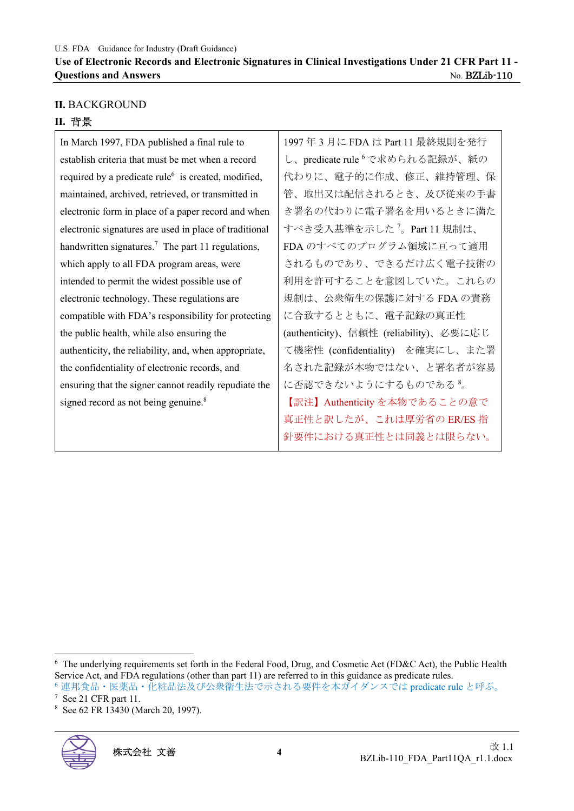#### **II.** BACKGROUND

#### **II.** 背景

In March 1997, FDA published a final rule to establish criteria that must be met when a record required by a predicate rule<sup>6</sup> is created, modified, maintained, archived, retrieved, or transmitted in electronic form in place of a paper record and when electronic signatures are used in place of traditional handwritten signatures.<sup>7</sup> The part 11 regulations, which apply to all FDA program areas, were intended to permit the widest possible use of electronic technology. These regulations are compatible with FDA's responsibility for protecting the public health, while also ensuring the authenticity, the reliability, and, when appropriate, the confidentiality of electronic records, and ensuring that the signer cannot readily repudiate the signed record as not being genuine.<sup>8</sup>

1997 年 3 月に FDA は Part 11 最終規則を発行 し、predicate rule 6 で求められる記録が、紙の 代わりに、電子的に作成、修正、維持管理、保 管、取出又は配信されるとき、及び従来の手書 き署名の代わりに電子署名を用いるときに満た すべき受入基準を示した <sup>7</sup> 。Part 11 規制は、 FDA のすべてのプログラム領域に亘って適用 されるものであり、できるだけ広く電子技術の 利用を許可することを意図していた。これらの 規制は、公衆衛生の保護に対する FDA の責務 に合致するとともに、電子記録の真正性 (authenticity)、信頼性 (reliability)、必要に応じ て機密性 (confidentiality) を確実にし、また署 名された記録が本物ではない、と署名者が容易 に否認できないようにするものである 8。 【訳注】Authenticity を本物であることの意で 真正性と訳したが、これは厚労省の ER/ES 指 針要件における真正性とは同義とは限らない。

<sup>8</sup> See 62 FR 13430 (March 20, 1997).



<sup>&</sup>lt;sup>6</sup> The underlying requirements set forth in the Federal Food, Drug, and Cosmetic Act (FD&C Act), the Public Health Service Act, and FDA regulations (other than part 11) are referred to in this guidance as predicate rules. 6 連邦食品・医薬品・化粧品法及び公衆衛生法で示される要件を本ガイダンスでは predicate rule と呼ぶ。

 $7$  See 21 CFR part 11.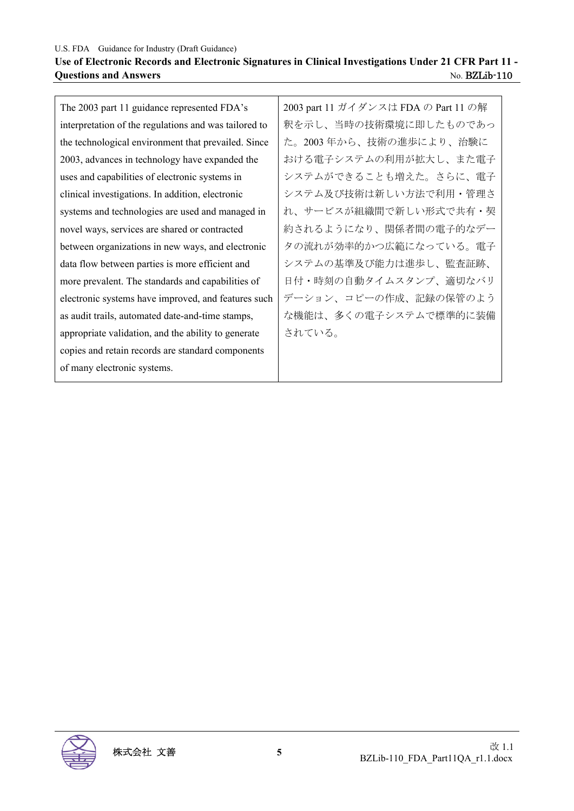## **Use of Electronic Records and Electronic Signatures in Clinical Investigations Under 21 CFR Part 11 - Ouestions and Answers** No. BZLib-110

The 2003 part 11 guidance represented FDA's interpretation of the regulations and was tailored to the technological environment that prevailed. Since 2003, advances in technology have expanded the uses and capabilities of electronic systems in clinical investigations. In addition, electronic systems and technologies are used and managed in novel ways, services are shared or contracted between organizations in new ways, and electronic data flow between parties is more efficient and more prevalent. The standards and capabilities of electronic systems have improved, and features such as audit trails, automated date-and-time stamps, appropriate validation, and the ability to generate copies and retain records are standard components of many electronic systems. されている。

2003 part 11 ガイダンスは FDA の Part 11 の解 釈を示し、当時の技術環境に即したものであっ た。2003 年から、技術の進歩により、治験に おける電子システムの利用が拡大し、また電子 システムができることも増えた。さらに、電子 システム及び技術は新しい方法で利用・管理さ れ、サービスが組織間で新しい形式で共有・契 約されるようになり、関係者間の電子的なデー タの流れが効率的かつ広範になっている。電子 システムの基準及び能力は進歩し、監査証跡、 日付・時刻の自動タイムスタンプ、適切なバリ デーション、コピーの作成、記録の保管のよう な機能は、多くの電子システムで標準的に装備

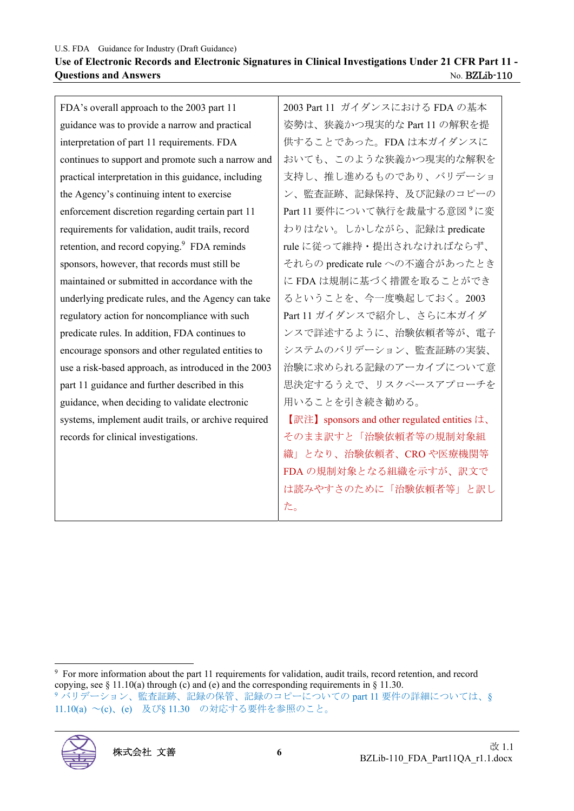| Use of Electronic Records and Electronic Signatures in Clinical Investigations Under 21 CFR Part 11 - |                      |
|-------------------------------------------------------------------------------------------------------|----------------------|
| <b>Questions and Answers</b>                                                                          | No. <b>BZLib-110</b> |

| FDA's overall approach to the 2003 part 11              | 2003 Part 11 ガイダンスにおける FDA の基本                |
|---------------------------------------------------------|-----------------------------------------------|
| guidance was to provide a narrow and practical          | 姿勢は、狭義かつ現実的な Part 11 の解釈を提                    |
| interpretation of part 11 requirements. FDA             | 供することであった。FDAは本ガイダンスに                         |
| continues to support and promote such a narrow and      | おいても、このような狭義かつ現実的な解釈を                         |
| practical interpretation in this guidance, including    | 支持し、推し進めるものであり、バリデーショ                         |
| the Agency's continuing intent to exercise              | ン、監査証跡、記録保持、及び記録のコピーの                         |
| enforcement discretion regarding certain part 11        | Part 11 要件について執行を裁量する意図 <sup>9</sup> に変       |
| requirements for validation, audit trails, record       | わりはない。しかしながら、記録は predicate                    |
| retention, and record copying. <sup>9</sup> FDA reminds | rule に従って維持・提出されなければならず、                      |
| sponsors, however, that records must still be           | それらの predicate rule への不適合があったとき               |
| maintained or submitted in accordance with the          | に FDA は規制に基づく措置を取ることができ                       |
| underlying predicate rules, and the Agency can take     | るということを、今一度喚起しておく。2003                        |
| regulatory action for noncompliance with such           | Part 11 ガイダンスで紹介し、さらに本ガイダ                     |
| predicate rules. In addition, FDA continues to          | ンスで詳述するように、治験依頼者等が、電子                         |
| encourage sponsors and other regulated entities to      | システムのバリデーション、監査証跡の実装、                         |
| use a risk-based approach, as introduced in the 2003    | 治験に求められる記録のアーカイブについて意                         |
| part 11 guidance and further described in this          | 思決定するうえで、リスクペースアプローチを                         |
| guidance, when deciding to validate electronic          | 用いることを引き続き勧める。                                |
| systems, implement audit trails, or archive required    | 【訳注】 sponsors and other regulated entities は、 |
| records for clinical investigations.                    | そのまま訳すと「治験依頼者等の規制対象組                          |
|                                                         | 織」となり、治験依頼者、CROや医療機関等                         |
|                                                         | FDA の規制対象となる組織を示すが、訳文で                        |
|                                                         | は読みやすさのために「治験依頼者等」と訳し                         |
|                                                         | た。                                            |
|                                                         |                                               |

<sup>9</sup> For more information about the part 11 requirements for validation, audit trails, record retention, and record copying, see  $\S 11.10(a)$  through (c) and (e) and the corresponding requirements in  $\S 11.30$ . <sup>9</sup> バリデーション、監査証跡、記録の保管、記録のコピーについての part 11 要件の詳細については、§ 11.10(a) ~(c)、(e) 及び§ 11.30 の対応する要件を参照のこと。

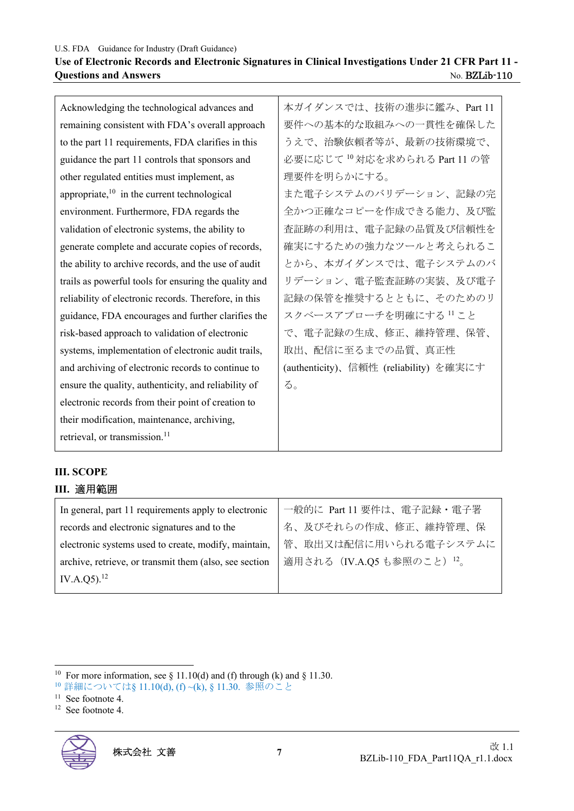#### **Use of Electronic Records and Electronic Signatures in Clinical Investigations Under 21 CFR Part 11 - Ouestions and Answers** No. BZLib-110

Acknowledging the technological advances and remaining consistent with FDA's overall approach to the part 11 requirements, FDA clarifies in this guidance the part 11 controls that sponsors and other regulated entities must implement, as appropriate, $10$  in the current technological environment. Furthermore, FDA regards the validation of electronic systems, the ability to generate complete and accurate copies of records, the ability to archive records, and the use of audit trails as powerful tools for ensuring the quality and reliability of electronic records. Therefore, in this guidance, FDA encourages and further clarifies the risk-based approach to validation of electronic systems, implementation of electronic audit trails, and archiving of electronic records to continue to ensure the quality, authenticity, and reliability of electronic records from their point of creation to their modification, maintenance, archiving, retrieval, or transmission.<sup>11</sup>

本ガイダンスでは、技術の進歩に鑑み、Part 11 要件への基本的な取組みへの一貫性を確保した うえで、治験依頼者等が、最新の技術環境で、 必要に応じて <sup>10</sup> 対応を求められる Part 11 の管 理要件を明らかにする。 また電子システムのバリデーション、記録の完 全かつ正確なコピーを作成できる能力、及び監 査証跡の利用は、電子記録の品質及び信頼性を 確実にするための強力なツールと考えられるこ とから、本ガイダンスでは、電子システムのバ リデーション、電子監査証跡の実装、及び電子 記録の保管を推奨するとともに、そのためのリ スクベースアプローチを明確にする <sup>11</sup> こと で、電子記録の生成、修正、維持管理、保管、 取出、配信に至るまでの品質、真正性 (authenticity)、信頼性 (reliability) を確実にす る。

# **III. SCOPE**

#### **III.** 適用範囲

| In general, part 11 requirements apply to electronic   | 一般的に Part 11 要件は、電子記録・電子署  |
|--------------------------------------------------------|----------------------------|
| records and electronic signatures and to the           | 名、及びそれらの作成、修正、維持管理、保       |
| electronic systems used to create, modify, maintain,   | 管、取出又は配信に用いられる電子システムに      |
| archive, retrieve, or transmit them (also, see section | 適用される (IV.A.Q5 も参照のこと) 12。 |
| IV.A.Q5). $^{12}$                                      |                            |

<sup>&</sup>lt;sup>10</sup> For more information, see § 11.10(d) and (f) through (k) and § 11.30.

<sup>10</sup>詳細については§ 11.10(d), (f) ~(k), § 11.30. 参照のこと

<sup>&</sup>lt;sup>11</sup> See footnote 4.

<sup>12</sup> See footnote 4.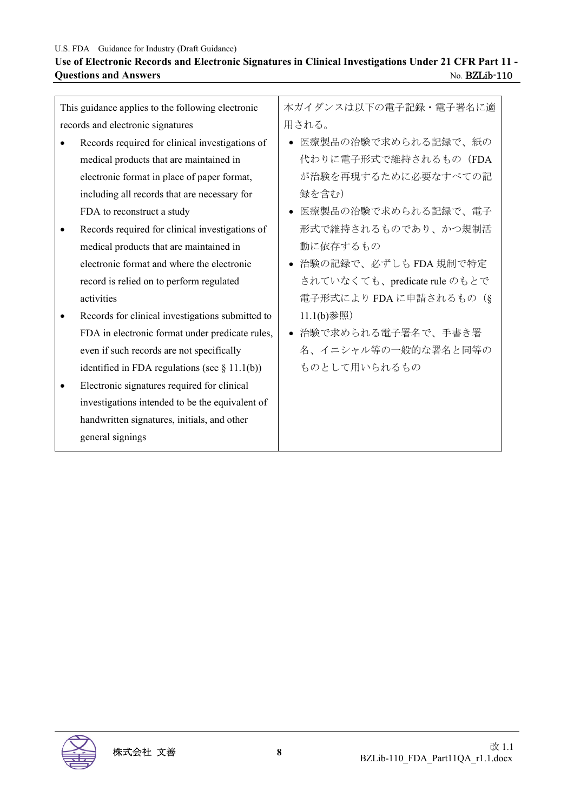## Use of Electronic Records and Electronic Signatures in Clinical Investigations Under 21 CFR Part 11 -<br>Questions and Answers<br>No. BZLib-110 **Questions and Answers**

| This guidance applies to the following electronic | 本ガイダンスは以下の電子記録・電子署名に適        |
|---------------------------------------------------|------------------------------|
| records and electronic signatures                 | 用される。                        |
| Records required for clinical investigations of   | 医療製品の治験で求められる記録で、紙の          |
| medical products that are maintained in           | 代わりに電子形式で維持されるもの (FDA        |
| electronic format in place of paper format,       | が治験を再現するために必要なすべての記          |
| including all records that are necessary for      | 録を含む)                        |
| FDA to reconstruct a study                        | 医療製品の治験で求められる記録で、電子          |
| Records required for clinical investigations of   | 形式で維持されるものであり、かつ規制活          |
| medical products that are maintained in           | 動に依存するもの                     |
| electronic format and where the electronic        | ● 治験の記録で、必ずしも FDA 規制で特定      |
| record is relied on to perform regulated          | されていなくても、predicate rule のもとで |
| activities                                        | 電子形式により FDA に申請されるもの(§       |
| Records for clinical investigations submitted to  | $11.1(b)$ 参照                 |
| FDA in electronic format under predicate rules,   | 治験で求められる電子署名で、手書き署           |
| even if such records are not specifically         | 名、イニシャル等の一般的な署名と同等の          |
| identified in FDA regulations (see $\S$ 11.1(b))  | ものとして用いられるもの                 |
| Electronic signatures required for clinical       |                              |
| investigations intended to be the equivalent of   |                              |
| handwritten signatures, initials, and other       |                              |
| general signings                                  |                              |
|                                                   |                              |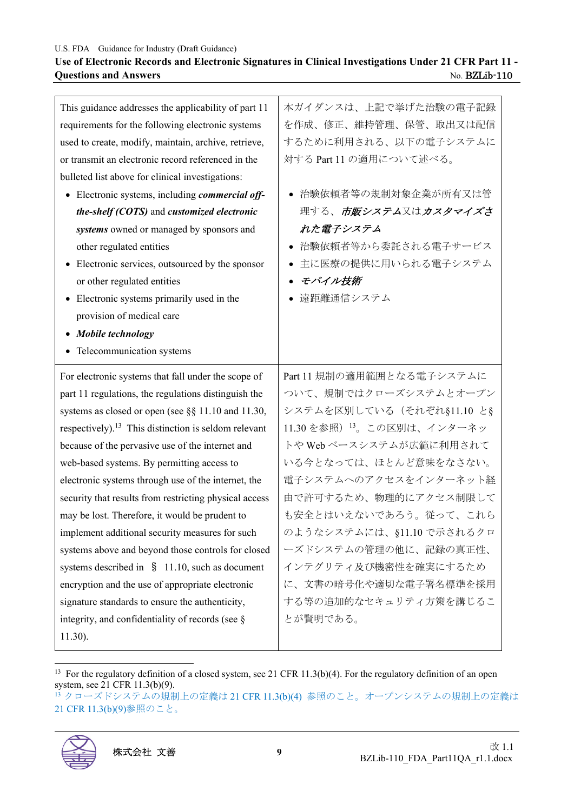#### **Use of Electronic Records and Electronic Signatures in Clinical Investigations Under 21 CFR Part 11 - Questions and Answers** No. BZLib-110

| This guidance addresses the applicability of part 11             | 本ガイダンスは、上記で挙げた治験の電子記録      |
|------------------------------------------------------------------|----------------------------|
| requirements for the following electronic systems                | を作成、修正、維持管理、保管、取出又は配信      |
| used to create, modify, maintain, archive, retrieve,             | するために利用される、以下の電子システムに      |
| or transmit an electronic record referenced in the               | 対する Part 11 の適用について述べる。    |
| bulleted list above for clinical investigations:                 |                            |
| • Electronic systems, including commercial off-                  | ● 治験依頼者等の規制対象企業が所有又は管      |
| the-shelf (COTS) and customized electronic                       | 理する、市販システム又はカスタマイズさ        |
| systems owned or managed by sponsors and                         | れた電子システム                   |
| other regulated entities                                         | 治験依頼者等から委託される電子サービス        |
| Electronic services, outsourced by the sponsor                   | 主に医療の提供に用いられる電子システム        |
| or other regulated entities                                      | モバイル技術<br>$\bullet$        |
| Electronic systems primarily used in the                         | 遠距離通信システム                  |
| provision of medical care                                        |                            |
| Mobile technology                                                |                            |
| • Telecommunication systems                                      |                            |
|                                                                  |                            |
| For electronic systems that fall under the scope of              | Part 11 規制の適用範囲となる電子システムに  |
| part 11 regulations, the regulations distinguish the             | ついて、規制ではクローズシステムとオープン      |
| systems as closed or open (see §§ 11.10 and 11.30,               | システムを区別している (それぞれ§11.10 と§ |
| respectively). <sup>13</sup> This distinction is seldom relevant | 11.30 を参照) 13。この区別は、インターネッ |
| because of the pervasive use of the internet and                 | トや Web ベースシステムが広範に利用されて    |
| web-based systems. By permitting access to                       | いる今となっては、ほとんど意味をなさない。      |
| electronic systems through use of the internet, the              | 電子システムへのアクセスをインターネット経      |
| security that results from restricting physical access           | 由で許可するため、物理的にアクセス制限して      |
| may be lost. Therefore, it would be prudent to                   | も安全とはいえないであろう。従って、これら      |
| implement additional security measures for such                  | のようなシステムには、§11.10 で示されるクロ  |
| systems above and beyond those controls for closed               | ーズドシステムの管理の他に、記録の真正性、      |
| systems described in $\S$ 11.10, such as document                | インテグリティ及び機密性を確実にするため       |
| encryption and the use of appropriate electronic                 | に、文書の暗号化や適切な電子署名標準を採用      |
| signature standards to ensure the authenticity,                  | する等の追加的なセキュリティ方策を講じるこ      |
| integrity, and confidentiality of records (see §                 | とが賢明である。                   |
| $11.30$ ).                                                       |                            |

<sup>13</sup> For the regulatory definition of a closed system, see 21 CFR 11.3(b)(4). For the regulatory definition of an open system, see 21 CFR 11.3(b)(9).

<sup>13</sup> クローズドシステムの規制上の定義は 21 CFR 11.3(b)(4) 参照のこと。オープンシステムの規制上の定義は 21 CFR 11.3(b)(9)参照のこと。

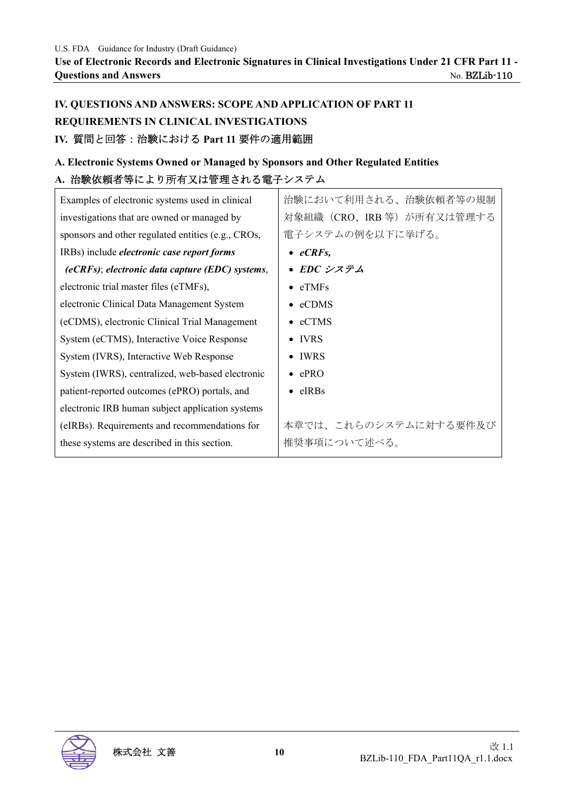# **IV. QUESTIONS AND ANSWERS: SCOPE AND APPLICATION OF PART 11 REQUIREMENTS IN CLINICAL INVESTIGATIONS IV.** 質問と回答:治験における **Part 11** 要件の適用範囲

## **A. Electronic Systems Owned or Managed by Sponsors and Other Regulated Entities A.** 治験依頼者等により所有又は管理される電子システム

| Examples of electronic systems used in clinical    | 治験において利用される、治験依頼者等の規制      |
|----------------------------------------------------|----------------------------|
| investigations that are owned or managed by        | 対象組織 (CRO、IRB 等) が所有又は管理する |
| sponsors and other regulated entities (e.g., CROs, | 電子システムの例を以下に挙げる。           |
| IRBs) include <i>electronic case report forms</i>  | $\bullet$ eCRFs,           |
| $(eCRFs)$ ; electronic data capture (EDC) systems, | • EDC システム                 |
| electronic trial master files (eTMFs),             | $\bullet$ eTMFs            |
| electronic Clinical Data Management System         | eCDMS<br>$\bullet$         |
| (eCDMS), electronic Clinical Trial Management      | $\bullet$ eCTMS            |
| System (eCTMS), Interactive Voice Response         | <b>IVRS</b><br>$\bullet$   |
| System (IVRS), Interactive Web Response            | <b>IWRS</b><br>$\bullet$   |
| System (IWRS), centralized, web-based electronic   | $\bullet$ ePRO             |
| patient-reported outcomes (ePRO) portals, and      | $e$ $IRBs$<br>$\bullet$    |
| electronic IRB human subject application systems   |                            |
| (eIRBs). Requirements and recommendations for      | 本章では、これらのシステムに対する要件及び      |
| these systems are described in this section.       | 推奨事項について述べる。               |

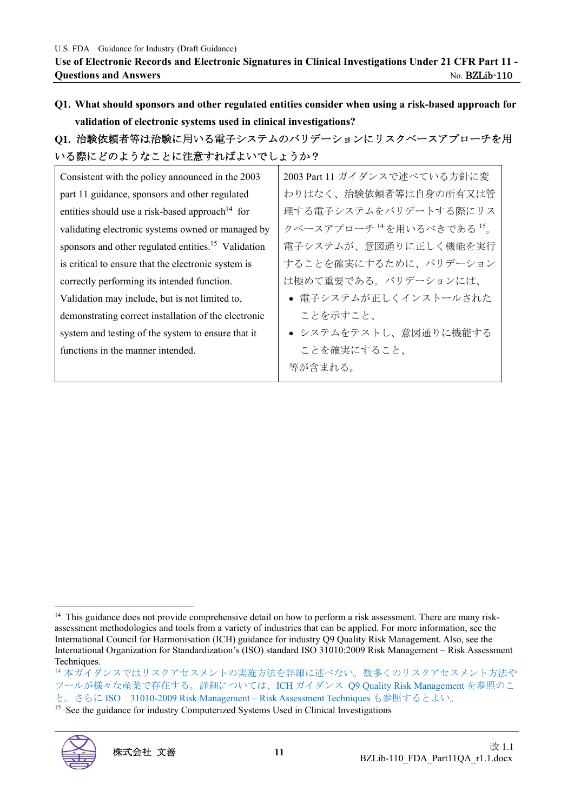**Q1. What should sponsors and other regulated entities consider when using a risk-based approach for validation of electronic systems used in clinical investigations?** 

# **Q1.** 治験依頼者等は治験に用いる電子システムのバリデーションにリスクベースアプローチを用 いる際にどのようなことに注意すればよいでしょうか?

| Consistent with the policy announced in the 2003                | 2003 Part 11 ガイダンスで述べている方針に変 |
|-----------------------------------------------------------------|------------------------------|
| part 11 guidance, sponsors and other regulated                  | わりはなく、治験依頼者等は自身の所有又は管        |
| entities should use a risk-based approach <sup>14</sup> for     | 理する電子システムをバリデートする際にリス        |
| validating electronic systems owned or managed by               | クベースアプローチ 14を用いるべきである 15     |
| sponsors and other regulated entities. <sup>15</sup> Validation | 電子システムが、意図通りに正しく機能を実行        |
| is critical to ensure that the electronic system is             | することを確実にするために、バリデーション        |
| correctly performing its intended function.                     | は極めて重要である。バリデーションには、         |
| Validation may include, but is not limited to,                  | • 電子システムが正しくインストールされた        |
| demonstrating correct installation of the electronic            | ことを示すこと、                     |
| system and testing of the system to ensure that it              | • システムをテストし、意図通りに機能する        |
| functions in the manner intended.                               | ことを確実にすること、                  |
|                                                                 | 等が含まれる。                      |

<sup>&</sup>lt;sup>15</sup> See the guidance for industry Computerized Systems Used in Clinical Investigations



 $14$  This guidance does not provide comprehensive detail on how to perform a risk assessment. There are many riskassessment methodologies and tools from a variety of industries that can be applied. For more information, see the International Council for Harmonisation (ICH) guidance for industry Q9 Quality Risk Management. Also, see the International Organization for Standardization's (ISO) standard ISO 31010:2009 Risk Management – Risk Assessment Techniques.

<sup>14</sup>本ガイダンスではリスクアセスメントの実施方法を詳細に述べない。数多くのリスクアセスメント方法や ツールが様々な産業で存在する。詳細については、ICH ガイダンス Q9 Quality Risk Management を参照のこ と。さらに ISO 31010-2009 Risk Management – Risk Assessment Techniques も参照するとよい。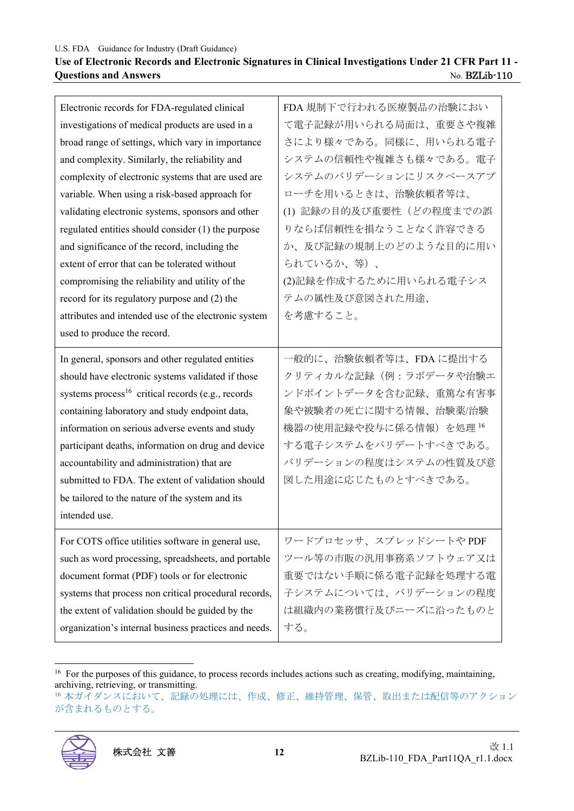#### **Use of Electronic Records and Electronic Signatures in Clinical Investigations Under 21 CFR Part 11 - Questions and Answers** No. BZLib-110

| Electronic records for FDA-regulated clinical                 | FDA 規制下で行われる医療製品の治験におい   |
|---------------------------------------------------------------|--------------------------|
| investigations of medical products are used in a              | て電子記録が用いられる局面は、重要さや複雑    |
| broad range of settings, which vary in importance             | さにより様々である。同様に、用いられる電子    |
| and complexity. Similarly, the reliability and                | システムの信頼性や複雑さも様々である。電子    |
| complexity of electronic systems that are used are            | システムのバリデーションにリスクベースアプ    |
| variable. When using a risk-based approach for                | ローチを用いるときは、治験依頼者等は、      |
| validating electronic systems, sponsors and other             | (1) 記録の目的及び重要性 (どの程度までの誤 |
| regulated entities should consider (1) the purpose            | りならば信頼性を損なうことなく許容できる     |
| and significance of the record, including the                 | か、及び記録の規制上のどのような目的に用い    |
| extent of error that can be tolerated without                 | られているか、等)、               |
| compromising the reliability and utility of the               | (2)記録を作成するために用いられる電子シス   |
| record for its regulatory purpose and (2) the                 | テムの属性及び意図された用途、          |
| attributes and intended use of the electronic system          | を考慮すること。                 |
| used to produce the record.                                   |                          |
| In general, sponsors and other regulated entities             | 一般的に、治験依頼者等は、FDAに提出する    |
| should have electronic systems validated if those             | クリティカルな記録(例:ラボデータや治験エ    |
|                                                               |                          |
| systems process <sup>16</sup> critical records (e.g., records | ンドポイントデータを含む記録、重篤な有害事    |
| containing laboratory and study endpoint data,                | 象や被験者の死亡に関する情報、治験薬/治験    |
| information on serious adverse events and study               | 機器の使用記録や投与に係る情報)を処理 16   |
| participant deaths, information on drug and device            | する電子システムをバリデートすべきである。    |
| accountability and administration) that are                   | バリデーションの程度はシステムの性質及び意    |
| submitted to FDA. The extent of validation should             | 図した用途に応じたものとすべきである。      |
| be tailored to the nature of the system and its               |                          |
| intended use.                                                 |                          |
| For COTS office utilities software in general use,            | ワードプロセッサ、スプレッドシートやPDF    |
| such as word processing, spreadsheets, and portable           | ツール等の市販の汎用事務系ソフトウェア又は    |
| document format (PDF) tools or for electronic                 | 重要ではない手順に係る電子記録を処理する電    |
| systems that process non critical procedural records,         | 子システムについては、バリデーションの程度    |
| the extent of validation should be guided by the              | は組織内の業務慣行及びニーズに沿ったものと    |
| organization's internal business practices and needs.         | する。                      |

<sup>16</sup>本ガイダンスにおいて、記録の処理には、作成、修正、維持管理、保管、取出または配信等のアクション が含まれるものとする。



<sup>&</sup>lt;sup>16</sup> For the purposes of this guidance, to process records includes actions such as creating, modifying, maintaining, archiving, retrieving, or transmitting.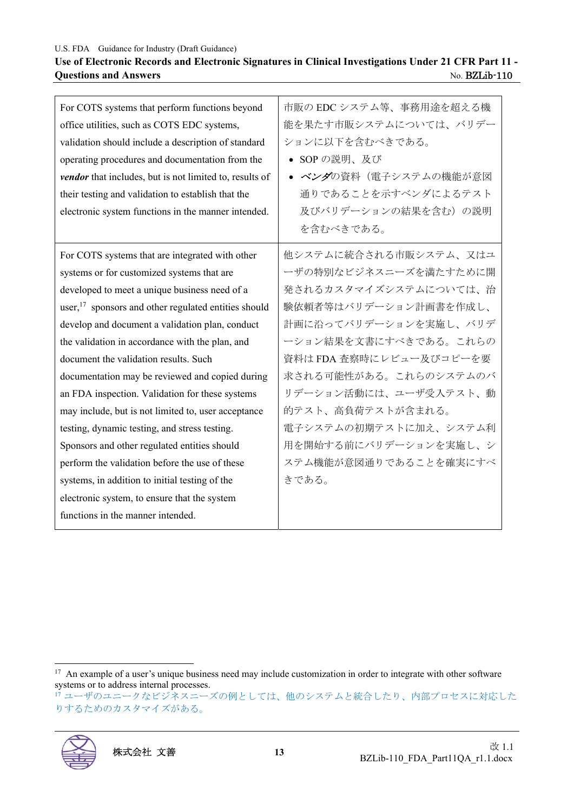#### **Use of Electronic Records and Electronic Signatures in Clinical Investigations Under 21 CFR Part 11 - Questions and Answers** No. BZLib-110

| For COTS systems that perform functions beyond          | 市販の EDC システム等、事務用途を超える機 |
|---------------------------------------------------------|-------------------------|
| office utilities, such as COTS EDC systems,             | 能を果たす市販システムについては、バリデー   |
| validation should include a description of standard     | ションに以下を含むべきである。         |
| operating procedures and documentation from the         | • SOP の説明、及び            |
| vendor that includes, but is not limited to, results of | • ベンダの資料(電子システムの機能が意図   |
| their testing and validation to establish that the      | 通りであることを示すベンダによるテスト     |
| electronic system functions in the manner intended.     | 及びバリデーションの結果を含む)の説明     |
|                                                         | を含むべきである。               |
| For COTS systems that are integrated with other         | 他システムに統合される市販システム、又はユ   |
| systems or for customized systems that are              | ーザの特別なビジネスニーズを満たすために開   |
| developed to meet a unique business need of a           | 発されるカスタマイズシステムについては、治   |
| user, $17$ sponsors and other regulated entities should | 験依頼者等はバリデーション計画書を作成し、   |
| develop and document a validation plan, conduct         | 計画に沿ってバリデーションを実施し、バリデ   |
| the validation in accordance with the plan, and         | ーション結果を文書にすべきである。これらの   |
| document the validation results. Such                   | 資料は FDA 査察時にレビュー及びコピーを要 |
| documentation may be reviewed and copied during         | 求される可能性がある。これらのシステムのバ   |
| an FDA inspection. Validation for these systems         | リデーション活動には、ユーザ受入テスト、動   |
| may include, but is not limited to, user acceptance     | 的テスト、高負荷テストが含まれる。       |
| testing, dynamic testing, and stress testing.           | 電子システムの初期テストに加え、システム利   |
| Sponsors and other regulated entities should            | 用を開始する前にバリデーションを実施し、シ   |
| perform the validation before the use of these          | ステム機能が意図通りであることを確実にすべ   |
| systems, in addition to initial testing of the          | きである。                   |
| electronic system, to ensure that the system            |                         |
| functions in the manner intended.                       |                         |
|                                                         |                         |

<sup>17</sup> ユーザのユニークなビジネスニーズの例としては、他のシステムと統合したり、内部プロセスに対応した りするためのカスタマイズがある。



<sup>&</sup>lt;sup>17</sup> An example of a user's unique business need may include customization in order to integrate with other software systems or to address internal processes.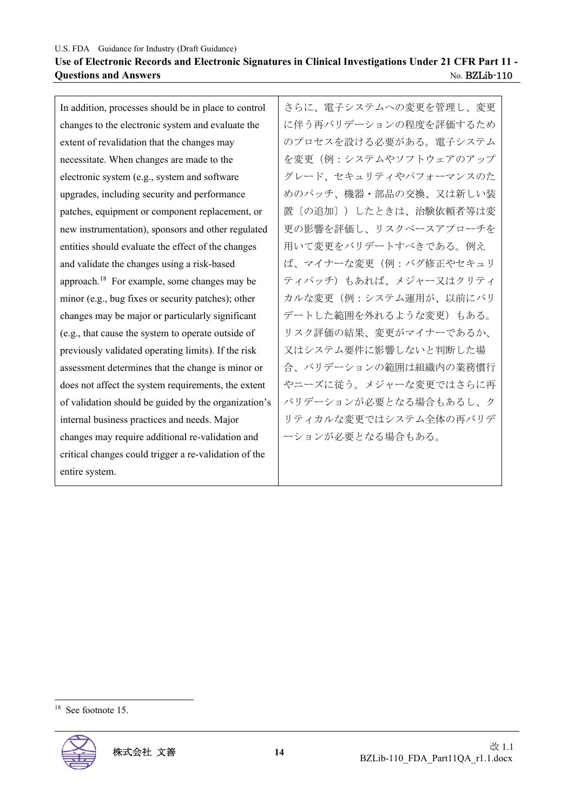In addition, processes should be in place to control changes to the electronic system and evaluate the extent of revalidation that the changes may necessitate. When changes are made to the electronic system (e.g., system and software upgrades, including security and performance patches, equipment or component replacement, or new instrumentation), sponsors and other regulated entities should evaluate the effect of the changes and validate the changes using a risk-based approach.18 For example, some changes may be minor (e.g., bug fixes or security patches); other changes may be major or particularly significant (e.g., that cause the system to operate outside of previously validated operating limits). If the risk assessment determines that the change is minor or does not affect the system requirements, the extent of validation should be guided by the organization's internal business practices and needs. Major changes may require additional re-validation and critical changes could trigger a re-validation of the entire system.

さらに、電子システムへの変更を管理し、変更 に伴う再バリデーションの程度を評価するため のプロセスを設ける必要がある。電子システム を変更(例:システムやソフトウェアのアップ グレード、セキュリティやパフォーマンスのた めのパッチ、機器・部品の交換、又は新しい装 置〔の追加〕)したときは、治験依頼者等は変 更の影響を評価し、リスクベースアプローチを 用いて変更をバリデートすべきである。例え ば、マイナーな変更(例:バグ修正やセキュリ ティパッチ)もあれば、メジャー又はクリティ カルな変更(例:システム運用が、以前にバリ デートした範囲を外れるような変更)もある。 リスク評価の結果、変更がマイナーであるか、 又はシステム要件に影響しないと判断した場 合、バリデーションの範囲は組織内の業務慣行 やニーズに従う。メジャーな変更ではさらに再 バリデーションが必要となる場合もあるし、ク リティカルな変更ではシステム全体の再バリデ ーションが必要となる場合もある。

<sup>&</sup>lt;sup>18</sup> See footnote 15.

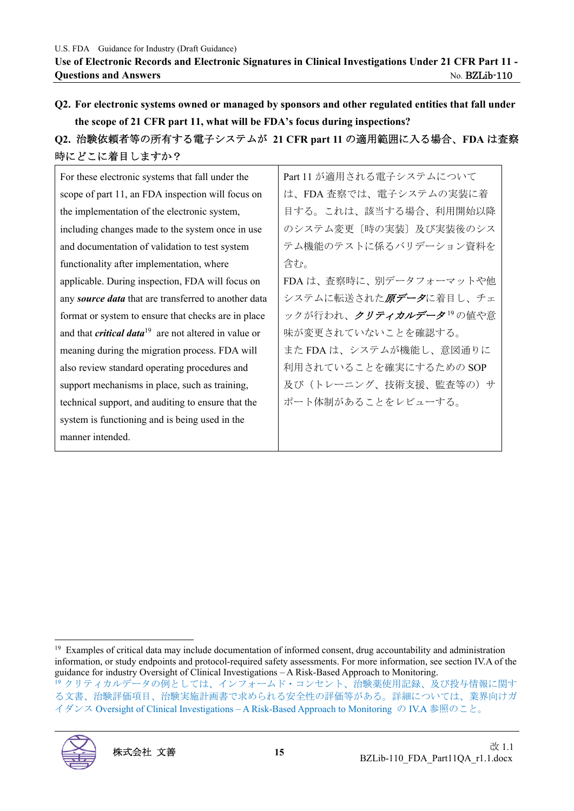**Q2. For electronic systems owned or managed by sponsors and other regulated entities that fall under the scope of 21 CFR part 11, what will be FDA's focus during inspections?** 

# **Q2.** 治験依頼者等の所有する電子システムが **21 CFR part 11** の適用範囲に入る場合、**FDA** は査察 時にどこに着目しますか?

For these electronic systems that fall under the scope of part 11, an FDA inspection will focus on the implementation of the electronic system, including changes made to the system once in use and documentation of validation to test system functionality after implementation, where applicable. During inspection, FDA will focus on any *source data* that are transferred to another data format or system to ensure that checks are in place and that *critical data*19 are not altered in value or meaning during the migration process. FDA will also review standard operating procedures and support mechanisms in place, such as training, technical support, and auditing to ensure that the system is functioning and is being used in the manner intended. Part 11 が適用される電子システムについて は、FDA 査察では、電子システムの実装に着 目する。これは、該当する場合、利用開始以降 のシステム変更〔時の実装〕及び実装後のシス テム機能のテストに係るバリデーション資料を 含む。 FDA は、査察時に、別データフォーマットや他 システムに転送された原データに着目し、チェ ックが行われ、クリティカルデータ<sup>19</sup>の値や意 味が変更されていないことを確認する。 また FDA は、システムが機能し、意図通りに 利用されていることを確実にするための SOP 及び(トレーニング、技術支援、監査等の)サ ポート体制があることをレビューする。

<sup>&</sup>lt;sup>19</sup> Examples of critical data may include documentation of informed consent, drug accountability and administration information, or study endpoints and protocol-required safety assessments. For more information, see section IV.A of the guidance for industry Oversight of Clinical Investigations – A Risk-Based Approach to Monitoring. <sup>19</sup>クリティカルデータの例としては、インフォームド・コンセント、治験薬使用記録、及び投与情報に関す る文書、治験評価項目、治験実施計画書で求められる安全性の評価等がある。詳細については、業界向けガ イダンス Oversight of Clinical Investigations – A Risk-Based Approach to Monitoring の IV.A 参照のこと。

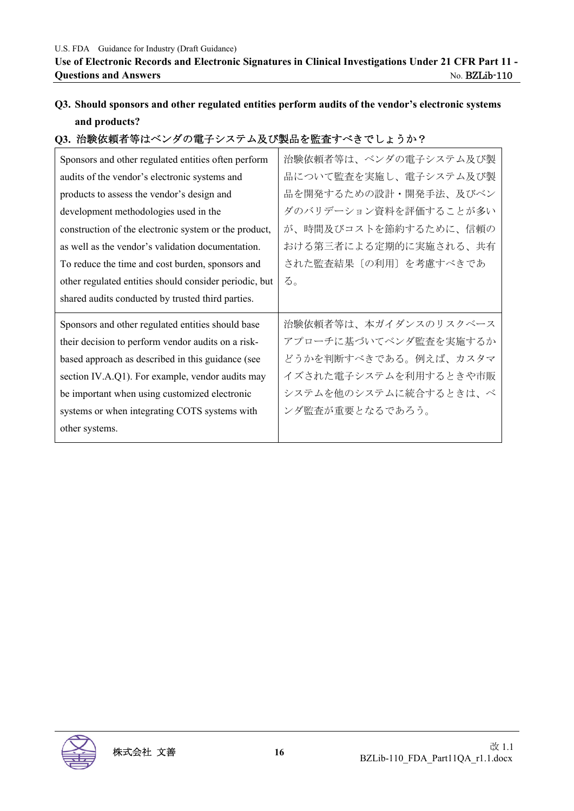# **Q3. Should sponsors and other regulated entities perform audits of the vendor's electronic systems and products?**

## **Q3.** 治験依頼者等はベンダの電子システム及び製品を監査すべきでしょうか?

| Sponsors and other regulated entities often perform    | 治験依頼者等は、ベンダの電子システム及び製 |
|--------------------------------------------------------|-----------------------|
| audits of the vendor's electronic systems and          | 品について監査を実施し、電子システム及び製 |
| products to assess the vendor's design and             | 品を開発するための設計・開発手法、及びベン |
| development methodologies used in the                  | ダのバリデーション資料を評価することが多い |
| construction of the electronic system or the product,  | が、時間及びコストを節約するために、信頼の |
| as well as the vendor's validation documentation.      | おける第三者による定期的に実施される、共有 |
| To reduce the time and cost burden, sponsors and       | された監査結果〔の利用〕を考慮すべきであ  |
| other regulated entities should consider periodic, but | る。                    |
|                                                        |                       |
| shared audits conducted by trusted third parties.      |                       |
| Sponsors and other regulated entities should base      | 治験依頼者等は、本ガイダンスのリスクベース |
| their decision to perform vendor audits on a risk-     | アプローチに基づいてベンダ監査を実施するか |
| based approach as described in this guidance (see      | どうかを判断すべきである。例えば、カスタマ |
| section IV.A.Q1). For example, vendor audits may       | イズされた電子システムを利用するときや市販 |
| be important when using customized electronic          | システムを他のシステムに統合するときは、ベ |
| systems or when integrating COTS systems with          | ンダ監査が重要となるであろう。       |

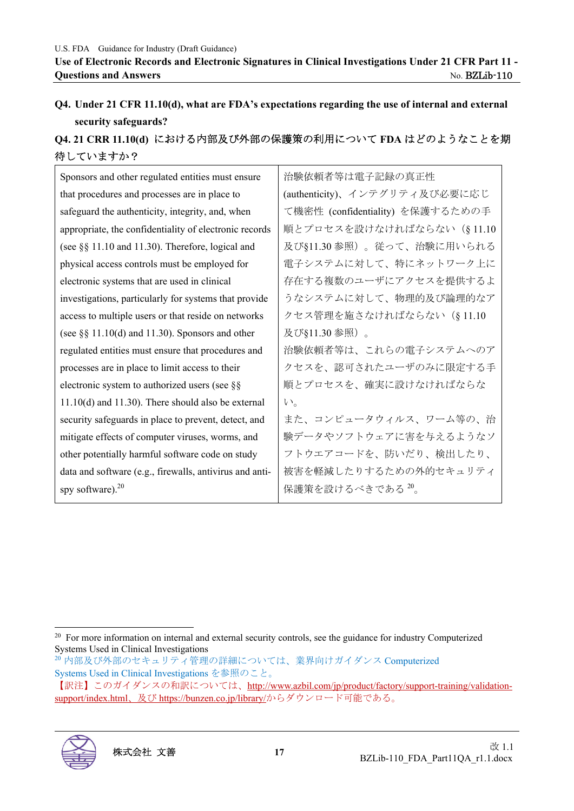# **Q4. Under 21 CFR 11.10(d), what are FDA's expectations regarding the use of internal and external security safeguards?**

# **Q4. 21 CRR 11.10(d)** における内部及び外部の保護策の利用について **FDA** はどのようなことを期 待していますか?

| Sponsors and other regulated entities must ensure       | 治験依頼者等は電子記録の真正性                  |
|---------------------------------------------------------|----------------------------------|
| that procedures and processes are in place to           | (authenticity)、インテグリティ及び必要に応じ    |
| safeguard the authenticity, integrity, and, when        | て機密性 (confidentiality) を保護するための手 |
| appropriate, the confidentiality of electronic records  | 順とプロセスを設けなければならない (§11.10        |
| (see §§ 11.10 and 11.30). Therefore, logical and        | 及び§11.30参照)。従って、治験に用いられる         |
| physical access controls must be employed for           | 電子システムに対して、特にネットワーク上に            |
| electronic systems that are used in clinical            | 存在する複数のユーザにアクセスを提供するよ            |
| investigations, particularly for systems that provide   | うなシステムに対して、物理的及び論理的なア            |
| access to multiple users or that reside on networks     | クセス管理を施さなければならない (§11.10         |
| (see $\S\S 11.10(d)$ and 11.30). Sponsors and other     | 及び§11.30参照)。                     |
| regulated entities must ensure that procedures and      | 治験依頼者等は、これらの電子システムへのア            |
| processes are in place to limit access to their         | クセスを、認可されたユーザのみに限定する手            |
| electronic system to authorized users (see §§           | 順とプロセスを、確実に設けなければならな             |
| $11.10(d)$ and $11.30$ ). There should also be external | $V_{\alpha}$                     |
| security safeguards in place to prevent, detect, and    | また、コンピュータウィルス、ワーム等の、治            |
| mitigate effects of computer viruses, worms, and        | 験データやソフトウェアに害を与えるようなソ            |
| other potentially harmful software code on study        | フトウエアコードを、防いだり、検出したり、            |
| data and software (e.g., firewalls, antivirus and anti- | 被害を軽減したりするための外的セキュリティ            |
| spy software). $20$                                     | 保護策を設けるべきである 20。                 |

<sup>&</sup>lt;sup>20</sup> For more information on internal and external security controls, see the guidance for industry Computerized Systems Used in Clinical Investigations

<sup>20</sup>内部及び外部のセキュリティ管理の詳細については、業界向けガイダンス Computerized Systems Used in Clinical Investigations を参照のこと。

<sup>【</sup>訳注】このガイダンスの和訳については、http://www.azbil.com/jp/product/factory/support-training/validationsupport/index.html、及び https://bunzen.co.jp/library/からダウンロード可能である。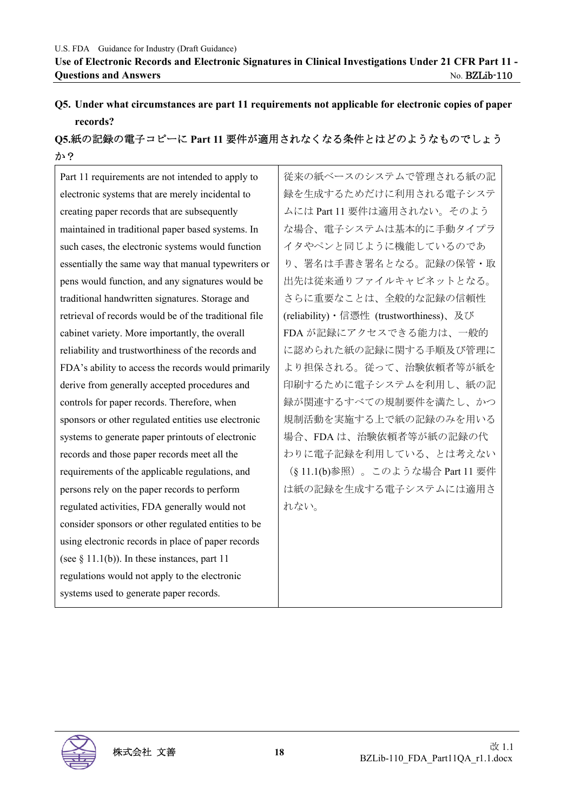# **Q5. Under what circumstances are part 11 requirements not applicable for electronic copies of paper records?**

# **Q5.**紙の記録の電子コピーに **Part 11** 要件が適用されなくなる条件とはどのようなものでしょう か?

Part 11 requirements are not intended to apply to electronic systems that are merely incidental to creating paper records that are subsequently maintained in traditional paper based systems. In such cases, the electronic systems would function essentially the same way that manual typewriters or pens would function, and any signatures would be traditional handwritten signatures. Storage and retrieval of records would be of the traditional file cabinet variety. More importantly, the overall reliability and trustworthiness of the records and FDA's ability to access the records would primarily derive from generally accepted procedures and controls for paper records. Therefore, when sponsors or other regulated entities use electronic systems to generate paper printouts of electronic records and those paper records meet all the requirements of the applicable regulations, and persons rely on the paper records to perform regulated activities, FDA generally would not consider sponsors or other regulated entities to be using electronic records in place of paper records (see  $\S$  11.1(b)). In these instances, part 11 regulations would not apply to the electronic systems used to generate paper records.

従来の紙ベースのシステムで管理される紙の記 録を生成するためだけに利用される電子システ ムには Part 11 要件は適用されない。そのよう な場合、電子システムは基本的に手動タイプラ イタやペンと同じように機能しているのであ り、署名は手書き署名となる。記録の保管・取 出先は従来通りファイルキャビネットとなる。 さらに重要なことは、全般的な記録の信頼性 (reliability)・信憑性 (trustworthiness)、及び FDA が記録にアクセスできる能力は、一般的 に認められた紙の記録に関する手順及び管理に より担保される。従って、治験依頼者等が紙を 印刷するために電子システムを利用し、紙の記 録が関連するすべての規制要件を満たし、かつ 規制活動を実施する上で紙の記録のみを用いる 場合、FDA は、治験依頼者等が紙の記録の代 わりに電子記録を利用している、とは考えない (§ 11.1(b)参照)。このような場合 Part 11 要件 は紙の記録を生成する電子システムには適用さ れない。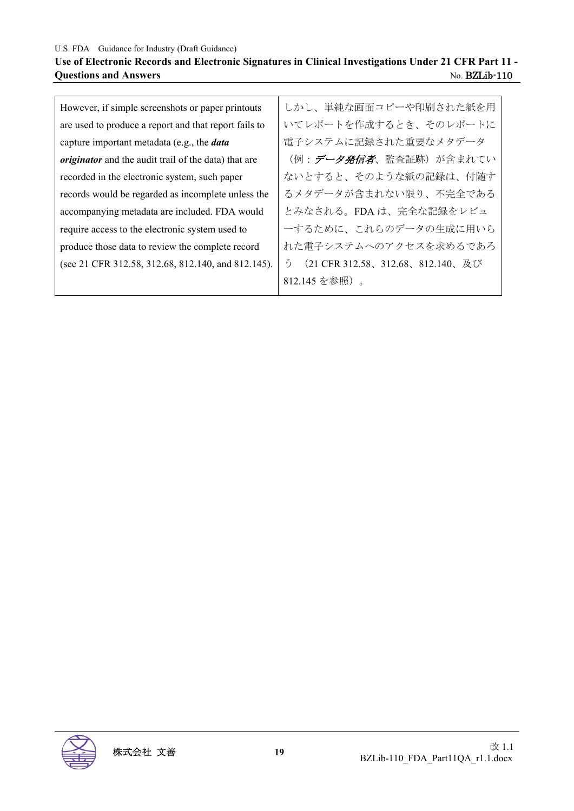## **Use of Electronic Records and Electronic Signatures in Clinical Investigations Under 21 CFR Part 11 - Questions and Answers <br>No. BZLib-110**

| However, if simple screenshots or paper printouts           | しかし、単純な画面コピーや印刷された紙を用                 |
|-------------------------------------------------------------|---------------------------------------|
| are used to produce a report and that report fails to       | いてレポートを作成するとき、そのレポートに                 |
| capture important metadata (e.g., the <i>data</i>           | 電子システムに記録された重要なメタデータ                  |
| <i>originator</i> and the audit trail of the data) that are | (例:データ発信者、監査証跡) が含まれてい                |
| recorded in the electronic system, such paper               | ないとすると、そのような紙の記録は、付随す                 |
| records would be regarded as incomplete unless the          | るメタデータが含まれない限り、不完全である                 |
| accompanying metadata are included. FDA would               | とみなされる。FDA は、完全な記録をレビュ                |
| require access to the electronic system used to             | ーするために、これらのデータの生成に用いら                 |
| produce those data to review the complete record            | れた電子システムへのアクセスを求めるであろ                 |
| (see 21 CFR 312.58, 312.68, 812.140, and 812.145).          | (21 CFR 312.58、312.68、812.140、及び<br>ำ |
|                                                             | 812.145 を参照)。                         |

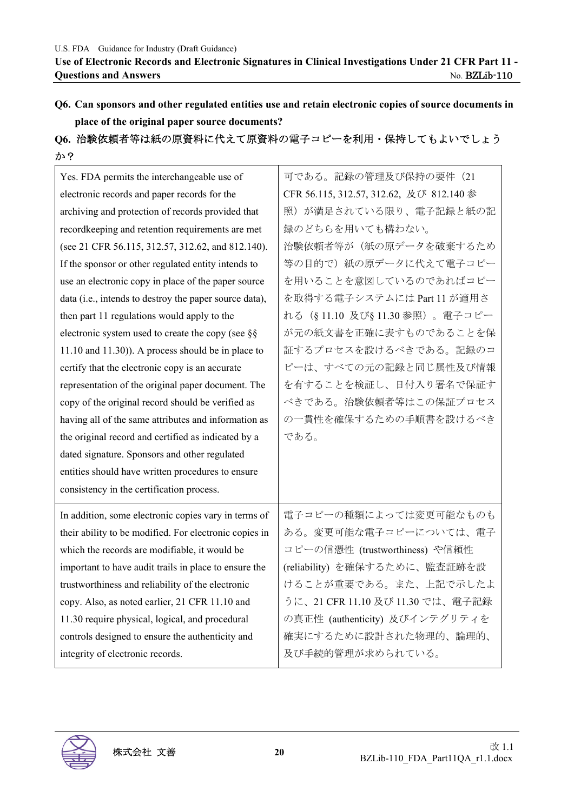**Q6. Can sponsors and other regulated entities use and retain electronic copies of source documents in place of the original paper source documents?** 

# **Q6.** 治験依頼者等は紙の原資料に代えて原資料の電子コピーを利用・保持してもよいでしょう

| か?                                                     |                                         |
|--------------------------------------------------------|-----------------------------------------|
| Yes. FDA permits the interchangeable use of            | 可である。記録の管理及び保持の要件 (21                   |
| electronic records and paper records for the           | CFR 56.115, 312.57, 312.62, 及び 812.140参 |
| archiving and protection of records provided that      | 照)が満足されている限り、電子記録と紙の記                   |
| recordkeeping and retention requirements are met       | 録のどちらを用いても構わない。                         |
| (see 21 CFR 56.115, 312.57, 312.62, and 812.140).      | 治験依頼者等が(紙の原データを破棄するため                   |
| If the sponsor or other regulated entity intends to    | 等の目的で)紙の原データに代えて電子コピー                   |
| use an electronic copy in place of the paper source    | を用いることを意図しているのであればコピー                   |
| data (i.e., intends to destroy the paper source data), | を取得する電子システムには Part 11 が適用さ              |
| then part 11 regulations would apply to the            | れる(§11.10 及び§11.30参照)。電子コピー             |
| electronic system used to create the copy (see $\S$ §  | が元の紙文書を正確に表すものであることを保                   |
| $11.10$ and $11.30$ ). A process should be in place to | 証するプロセスを設けるべきである。記録のコ                   |
| certify that the electronic copy is an accurate        | ピーは、すべての元の記録と同じ属性及び情報                   |
| representation of the original paper document. The     | を有することを検証し、日付入り署名で保証す                   |
| copy of the original record should be verified as      | べきである。治験依頼者等はこの保証プロセス                   |
| having all of the same attributes and information as   | の一貫性を確保するための手順書を設けるべき                   |
| the original record and certified as indicated by a    | である。                                    |
| dated signature. Sponsors and other regulated          |                                         |
| entities should have written procedures to ensure      |                                         |
| consistency in the certification process.              |                                         |
| In addition, some electronic copies vary in terms of   | 電子コピーの種類によっては変更可能なものも                   |
| their ability to be modified. For electronic copies in | ある。変更可能な電子コピーについては、電子                   |
| which the records are modifiable, it would be          | コピーの信憑性 (trustworthiness) や信頼性          |
| important to have audit trails in place to ensure the  | (reliability) を確保するために、監査証跡を設           |
| trustworthiness and reliability of the electronic      | けることが重要である。また、上記で示したよ                   |
| copy. Also, as noted earlier, 21 CFR 11.10 and         | うに、21 CFR 11.10 及び 11.30 では、電子記録        |
| 11.30 require physical, logical, and procedural        | の真正性 (authenticity) 及びインテグリティを          |
|                                                        |                                         |

controls designed to ensure the authenticity and

integrity of electronic records.

確実にするために設計された物理的、論理的、

及び手続的管理が求められている。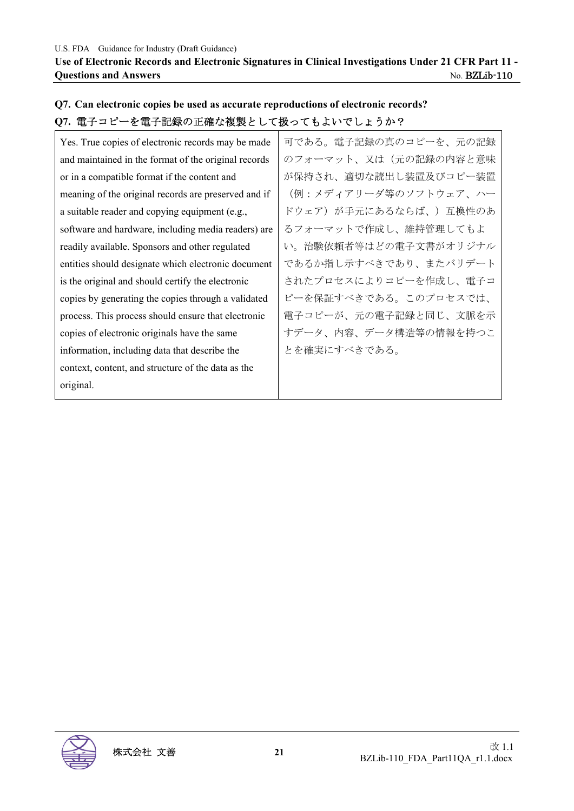## **Q7. Can electronic copies be used as accurate reproductions of electronic records? Q7.** 電子コピーを電子記録の正確な複製として扱ってもよいでしょうか?

| Yes. True copies of electronic records may be made   | 可である。電子記録の真のコピーを、元の記録 |
|------------------------------------------------------|-----------------------|
| and maintained in the format of the original records | のフォーマット、又は(元の記録の内容と意味 |
| or in a compatible format if the content and         | が保持され、適切な読出し装置及びコピー装置 |
| meaning of the original records are preserved and if | (例:メディアリーダ等のソフトウェア、ハー |
| a suitable reader and copying equipment (e.g.,       | ドウェア)が手元にあるならば、)互換性のあ |
| software and hardware, including media readers) are  | るフォーマットで作成し、維持管理してもよ  |
| readily available. Sponsors and other regulated      | い。治験依頼者等はどの電子文書がオリジナル |
| entities should designate which electronic document  | であるか指し示すべきであり、またバリデート |
| is the original and should certify the electronic    | されたプロセスによりコピーを作成し、電子コ |
| copies by generating the copies through a validated  | ピーを保証すべきである。このプロセスでは、 |
| process. This process should ensure that electronic  | 電子コピーが、元の電子記録と同じ、文脈を示 |
| copies of electronic originals have the same         | すデータ、内容、データ構造等の情報を持つこ |
| information, including data that describe the        | とを確実にすべきである。          |
| context, content, and structure of the data as the   |                       |
| original.                                            |                       |

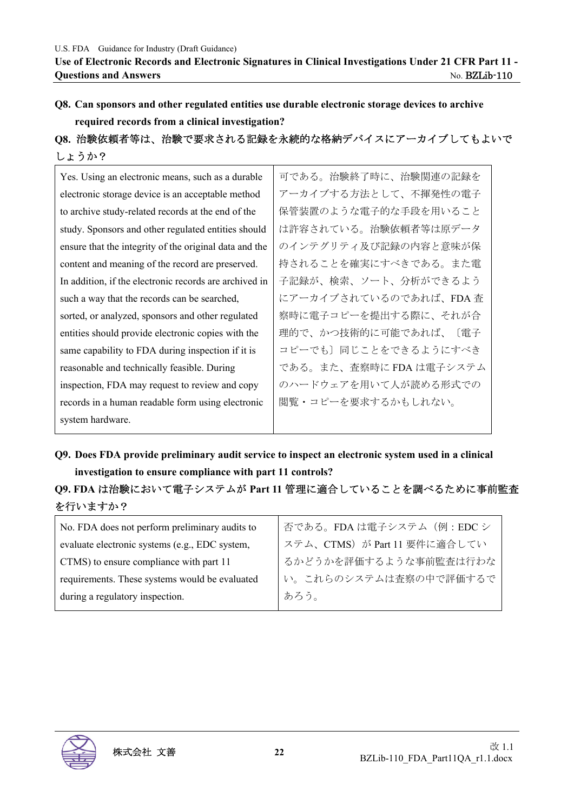# **Q8. Can sponsors and other regulated entities use durable electronic storage devices to archive required records from a clinical investigation?**

**Q8.** 治験依頼者等は、治験で要求される記録を永続的な格納デバイスにアーカイブしてもよいで しょうか?

| Yes. Using an electronic means, such as a durable      | 可である。治験終了時に、治験関連の記録を    |
|--------------------------------------------------------|-------------------------|
| electronic storage device is an acceptable method      | アーカイブする方法として、不揮発性の電子    |
| to archive study-related records at the end of the     | 保管装置のような電子的な手段を用いること    |
| study. Sponsors and other regulated entities should    | は許容されている。治験依頼者等は原データ    |
| ensure that the integrity of the original data and the | のインテグリティ及び記録の内容と意味が保    |
| content and meaning of the record are preserved.       | 持されることを確実にすべきである。また電    |
| In addition, if the electronic records are archived in | 子記録が、検索、ソート、分析ができるよう    |
| such a way that the records can be searched,           | にアーカイブされているのであれば、FDA 査  |
| sorted, or analyzed, sponsors and other regulated      | 察時に電子コピーを提出する際に、それが合    |
| entities should provide electronic copies with the     | 理的で、かつ技術的に可能であれば、〔電子    |
| same capability to FDA during inspection if it is      | コピーでも〕同じことをできるようにすべき    |
| reasonable and technically feasible. During            | である。また、査察時に FDA は電子システム |
| inspection, FDA may request to review and copy         | のハードウェアを用いて人が読める形式での    |
| records in a human readable form using electronic      | 閲覧・コピーを要求するかもしれない。      |
| system hardware.                                       |                         |

**Q9. Does FDA provide preliminary audit service to inspect an electronic system used in a clinical investigation to ensure compliance with part 11 controls?** 

# **Q9. FDA** は治験において電子システムが **Part 11** 管理に適合していることを調べるために事前監査 を行いますか?

| No. FDA does not perform preliminary audits to | 否である。FDAは電子システム (例:EDCシ     |
|------------------------------------------------|-----------------------------|
| evaluate electronic systems (e.g., EDC system, | ステム、CTMS)が Part 11 要件に適合してい |
| CTMS) to ensure compliance with part 11        | るかどうかを評価するような事前監査は行わな       |
| requirements. These systems would be evaluated | い。これらのシステムは査察の中で評価するで       |
| during a regulatory inspection.                | あろう。                        |
|                                                |                             |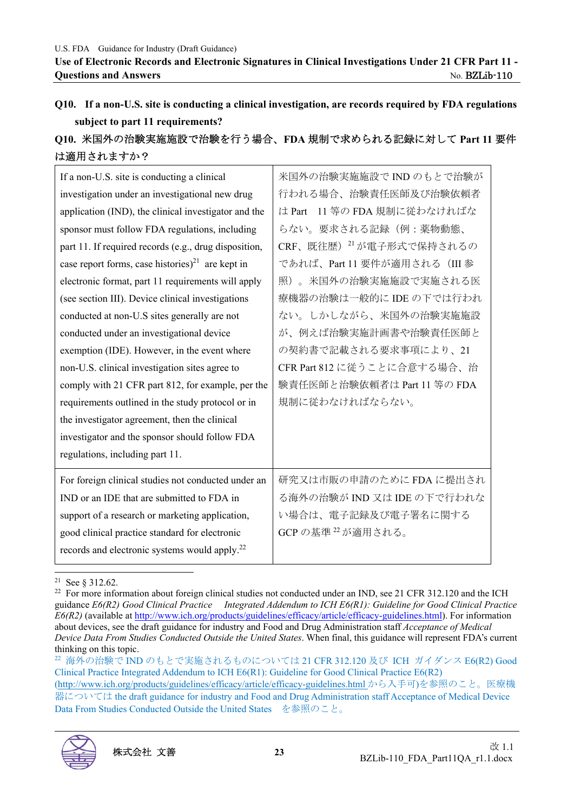**Q10. If a non-U.S. site is conducting a clinical investigation, are records required by FDA regulations subject to part 11 requirements?** 

# **Q10.** 米国外の治験実施施設で治験を行う場合、**FDA** 規制で求められる記録に対して **Part 11** 要件 は適用されますか?

| If a non-U.S. site is conducting a clinical                  | 米国外の治験実施施設で IND のもとで治験が             |
|--------------------------------------------------------------|-------------------------------------|
| investigation under an investigational new drug              | 行われる場合、治験責任医師及び治験依頼者                |
| application (IND), the clinical investigator and the         | 11 等の FDA 規制に従わなければな<br>は Part      |
| sponsor must follow FDA regulations, including               | らない。要求される記録(例:薬物動態、                 |
| part 11. If required records (e.g., drug disposition,        | CRF、既往歴) <sup>21</sup> が電子形式で保持されるの |
| case report forms, case histories) <sup>21</sup> are kept in | であれば、Part 11 要件が適用される (III 参        |
| electronic format, part 11 requirements will apply           | 照)。米国外の治験実施施設で実施される医                |
| (see section III). Device clinical investigations            | 療機器の治験は一般的に IDE の下では行われ             |
| conducted at non-U.S sites generally are not                 | ない。しかしながら、米国外の治験実施施設                |
| conducted under an investigational device                    | が、例えば治験実施計画書や治験責任医師と                |
| exemption (IDE). However, in the event where                 | の契約書で記載される要求事項により、21                |
| non-U.S. clinical investigation sites agree to               | CFR Part 812 に従うことに合意する場合、治         |
| comply with 21 CFR part 812, for example, per the            | 験責任医師と治験依頼者は Part 11 等の FDA         |
| requirements outlined in the study protocol or in            | 規制に従わなければならない。                      |
| the investigator agreement, then the clinical                |                                     |
| investigator and the sponsor should follow FDA               |                                     |
| regulations, including part 11.                              |                                     |
| For foreign clinical studies not conducted under an          | 研究又は市販の申請のために FDA に提出され             |
| IND or an IDE that are submitted to FDA in                   | る海外の治験が IND 又は IDE の下で行われな          |
| support of a research or marketing application,              | い場合は、電子記録及び電子署名に関する                 |
| good clinical practice standard for electronic               | GCP の基準 22 が適用される。                  |
| records and electronic systems would apply. <sup>22</sup>    |                                     |

<sup>21</sup> See § 312.62.

<sup>22</sup> 海外の治験で IND のもとで実施されるものについては 21 CFR 312.120 及び ICH ガイダンス E6(R2) Good Clinical Practice Integrated Addendum to ICH E6(R1): Guideline for Good Clinical Practice E6(R2) (http://www.ich.org/products/guidelines/efficacy/article/efficacy-guidelines.html から入手可)を参照のこと。医療機 器については the draft guidance for industry and Food and Drug Administration staff Acceptance of Medical Device Data From Studies Conducted Outside the United States を参照のこと。



<sup>&</sup>lt;sup>22</sup> For more information about foreign clinical studies not conducted under an IND, see 21 CFR 312.120 and the ICH guidance *E6(R2) Good Clinical Practice Integrated Addendum to ICH E6(R1): Guideline for Good Clinical Practice E6(R2)* (available at http://www.ich.org/products/guidelines/efficacy/article/efficacy-guidelines.html). For information about devices, see the draft guidance for industry and Food and Drug Administration staff *Acceptance of Medical Device Data From Studies Conducted Outside the United States*. When final, this guidance will represent FDA's current thinking on this topic.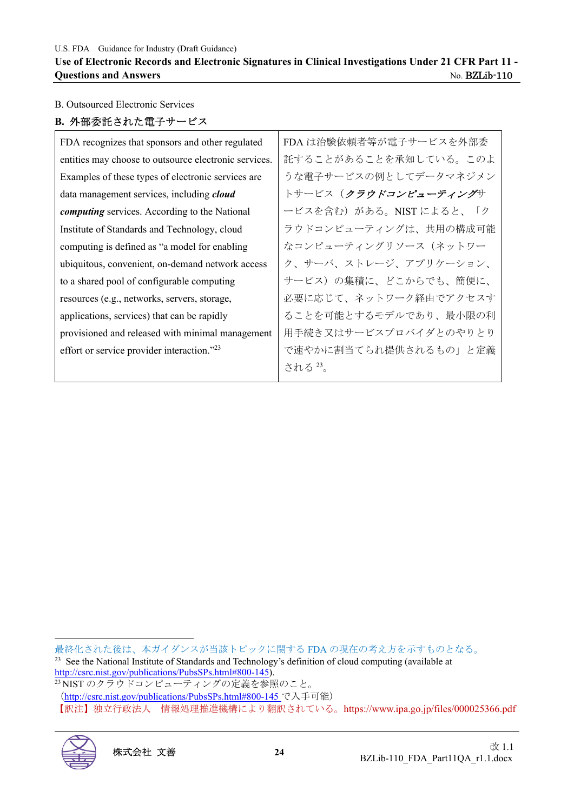#### **Use of Electronic Records and Electronic Signatures in Clinical Investigations Under 21 CFR Part 11 - Questions and Answers** No. BZLib-110

#### B. Outsourced Electronic Services

#### **B.** 外部委託された電子サービス

| FDA recognizes that sponsors and other regulated      | FDA は治験依頼者等が電子サービスを外部委 |
|-------------------------------------------------------|------------------------|
| entities may choose to outsource electronic services. | 託することがあることを承知している。このよ  |
| Examples of these types of electronic services are    | うな電子サービスの例としてデータマネジメン  |
| data management services, including cloud             | トサービス(クラウドコンピューティングサ   |
| <i>computing</i> services. According to the National  | ービスを含む)がある。NISTによると、「ク |
| Institute of Standards and Technology, cloud          | ラウドコンピューティングは、共用の構成可能  |
| computing is defined as "a model for enabling         | なコンピューティングリソース (ネットワー  |
| ubiquitous, convenient, on-demand network access      | ク、サーバ、ストレージ、アプリケーション、  |
| to a shared pool of configurable computing            | サービス)の集積に、どこからでも、簡便に、  |
| resources (e.g., networks, servers, storage,          | 必要に応じて、ネットワーク経由でアクセスす  |
| applications, services) that can be rapidly           | ることを可能とするモデルであり、最小限の利  |
| provisioned and released with minimal management      | 用手続き又はサービスプロバイダとのやりとり  |
| effort or service provider interaction."23            | で速やかに割当てられ提供されるもの」と定義  |
|                                                       | される 23。                |

<sup>(</sup>http://csrc.nist.gov/publications/PubsSPs.html#800-145 で入手可能) 【訳注】独立行政法人 情報処理推進機構により翻訳されている。https://www.ipa.go.jp/files/000025366.pdf



最終化された後は、本ガイダンスが当該トピックに関する FDA の現在の考え方を示すものとなる。 <sup>23</sup> See the National Institute of Standards and Technology's definition of cloud computing (available at

http://csrc.nist.gov/publications/PubsSPs.html#800-145).<br><sup>23</sup> NIST のクラウドコンピューティングの定義を参照のこと。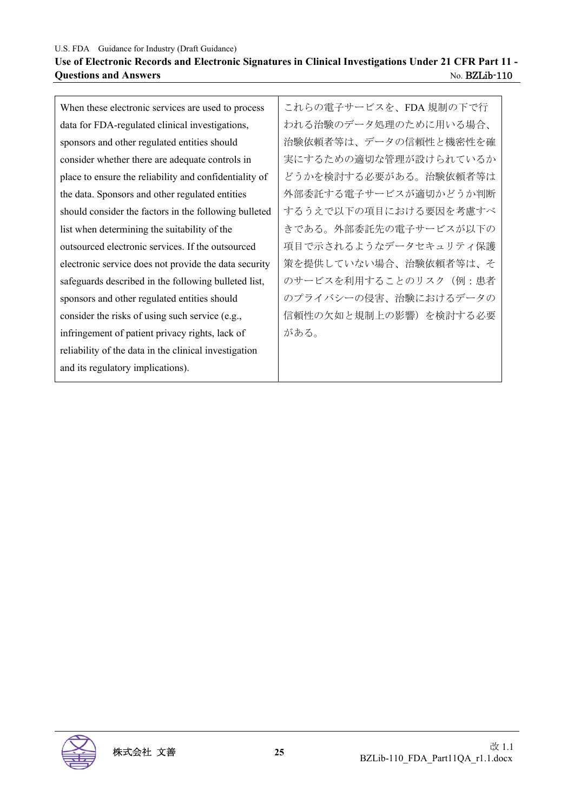U.S. FDA Guidance for Industry (Draft Guidance) **Use of Electronic Records and Electronic Signatures in Clinical Investigations Under 21 CFR Part 11 - Ouestions and Answers** No. BZLib-110

When these electronic services are used to process data for FDA-regulated clinical investigations, sponsors and other regulated entities should consider whether there are adequate controls in place to ensure the reliability and confidentiality of the data. Sponsors and other regulated entities should consider the factors in the following bulleted list when determining the suitability of the outsourced electronic services. If the outsourced electronic service does not provide the data security safeguards described in the following bulleted list, sponsors and other regulated entities should consider the risks of using such service (e.g., infringement of patient privacy rights, lack of reliability of the data in the clinical investigation and its regulatory implications).

これらの電子サービスを、FDA 規制の下で行 われる治験のデータ処理のために用いる場合、 治験依頼者等は、データの信頼性と機密性を確 実にするための適切な管理が設けられているか どうかを検討する必要がある。治験依頼者等は 外部委託する電子サービスが適切かどうか判断 するうえで以下の項目における要因を考慮すべ きである。外部委託先の電子サービスが以下の 項目で示されるようなデータセキュリティ保護 策を提供していない場合、治験依頼者等は、そ のサービスを利用することのリスク (例:患者 のプライバシーの侵害、治験におけるデータの 信頼性の欠如と規制上の影響)を検討する必要 がある。

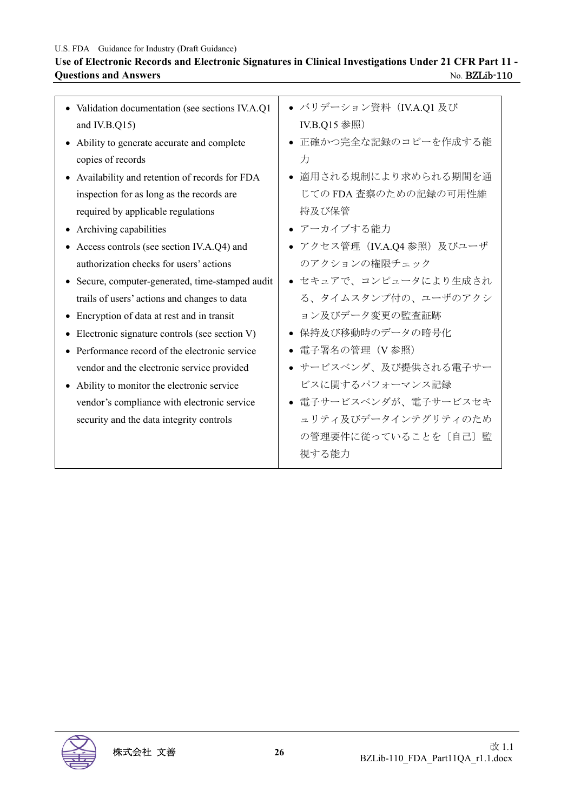#### **Use of Electronic Records and Electronic Signatures in Clinical Investigations Under 21 CFR Part 11 - Questions and Answers** No. BZLib-110

| • Validation documentation (see sections IV.A.Q1 | ● バリデーション資料(Ⅳ.A.Q1 及び       |
|--------------------------------------------------|-----------------------------|
| and IV.B.Q15)                                    | IV.B.Q15 参照)                |
| • Ability to generate accurate and complete      | ● 正確かつ完全な記録のコピーを作成する能       |
| copies of records                                | 力                           |
| • Availability and retention of records for FDA  | ● 適用される規制により求められる期間を通       |
| inspection for as long as the records are        | じての FDA 査察のための記録の可用性維       |
| required by applicable regulations               | 持及び保管                       |
| • Archiving capabilities                         | • アーカイブする能力                 |
| Access controls (see section IV.A.Q4) and        | ● アクセス管理 (IV.A.Q4 参照) 及びユーザ |
| authorization checks for users' actions          | のアクションの権限チェック               |
| • Secure, computer-generated, time-stamped audit | ● セキュアで、コンピュータにより生成され       |
| trails of users' actions and changes to data     | る、タイムスタンプ付の、ユーザのアクシ         |
| • Encryption of data at rest and in transit      | ョン及びデータ変更の監査証跡              |
| • Electronic signature controls (see section V)  | ● 保持及び移動時のデータの暗号化           |
| • Performance record of the electronic service   | ● 電子署名の管理(V参照)              |
| vendor and the electronic service provided       | ● サービスベンダ、及び提供される電子サー       |
| • Ability to monitor the electronic service      | ビスに関するパフォーマンス記録             |
| vendor's compliance with electronic service      | ● 電子サービスベンダが、電子サービスセキ       |
| security and the data integrity controls         | ュリティ及びデータインテグリティのため         |
|                                                  | の管理要件に従っていることを「自己〕監         |
|                                                  | 視する能力                       |
|                                                  |                             |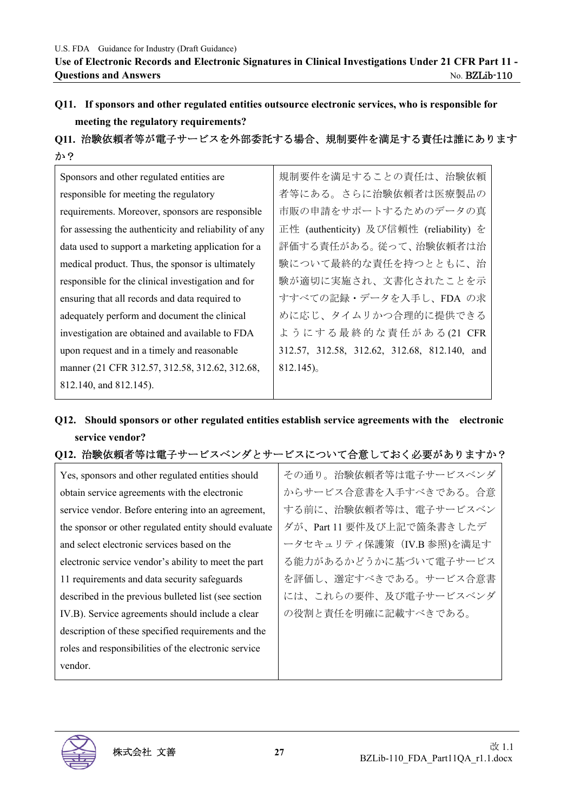# **Q11. If sponsors and other regulated entities outsource electronic services, who is responsible for meeting the regulatory requirements?**

#### **Q11.** 治験依頼者等が電子サービスを外部委託する場合、規制要件を満足する責任は誰にあります か?

| Sponsors and other regulated entities are             | 規制要件を満足することの責任は、治験依頼                         |
|-------------------------------------------------------|----------------------------------------------|
| responsible for meeting the regulatory                | 者等にある。さらに治験依頼者は医療製品の                         |
| requirements. Moreover, sponsors are responsible      | 市販の申請をサポートするためのデータの真                         |
| for assessing the authenticity and reliability of any | 正性 (authenticity) 及び信頼性 (reliability) を      |
| data used to support a marketing application for a    | 評価する責任がある。従って、治験依頼者は治                        |
| medical product. Thus, the sponsor is ultimately      | 験について最終的な責任を持つとともに、治                         |
| responsible for the clinical investigation and for    | 験が適切に実施され、文書化されたことを示                         |
| ensuring that all records and data required to        | すすべての記録・データを入手し、FDA の求                       |
| adequately perform and document the clinical          | めに応じ、タイムリかつ合理的に提供できる                         |
| investigation are obtained and available to FDA       | ようにする最終的な責任がある(21 CFR                        |
| upon request and in a timely and reasonable           | 312.57, 312.58, 312.62, 312.68, 812.140, and |
| manner (21 CFR 312.57, 312.58, 312.62, 312.68,        | $812.145)$ <sub>o</sub>                      |
| 812.140, and 812.145).                                |                                              |

# **Q12. Should sponsors or other regulated entities establish service agreements with the electronic service vendor?**

### **Q12.** 治験依頼者等は電子サービスベンダとサービスについて合意しておく必要がありますか?

Yes, sponsors and other regulated entities should obtain service agreements with the electronic service vendor. Before entering into an agreement, the sponsor or other regulated entity should evaluate and select electronic services based on the electronic service vendor's ability to meet the part 11 requirements and data security safeguards described in the previous bulleted list (see section IV.B). Service agreements should include a clear description of these specified requirements and the roles and responsibilities of the electronic service vendor.

その通り。治験依頼者等は電子サービスベンダ からサービス合意書を入手すべきである。合意 する前に、治験依頼者等は、電子サービスベン ダが、Part 11 要件及び上記で箇条書きしたデ ータセキュリティ保護策(IV.B 参照)を満足す る能力があるかどうかに基づいて電子サービス を評価し、選定すべきである。サービス合意書 には、これらの要件、及び電子サービスベンダ の役割と責任を明確に記載すべきである。

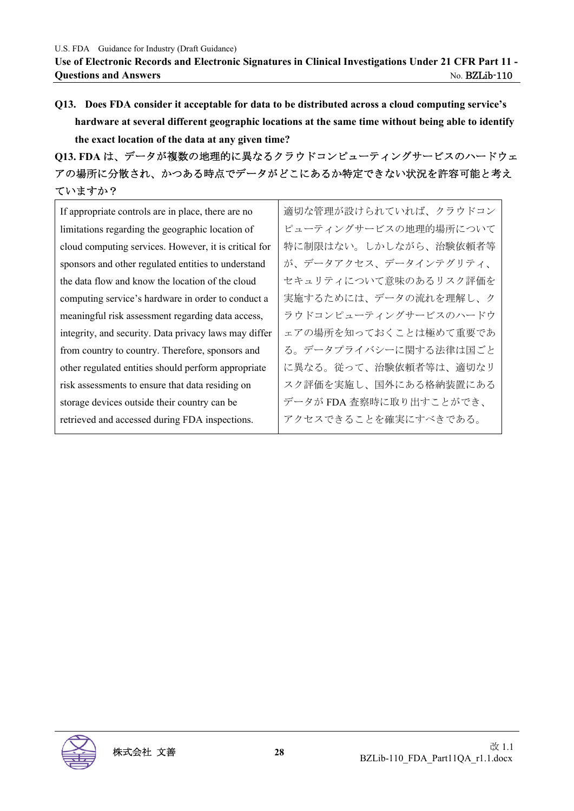**Q13. Does FDA consider it acceptable for data to be distributed across a cloud computing service's hardware at several different geographic locations at the same time without being able to identify the exact location of the data at any given time?** 

**Q13. FDA** は、データが複数の地理的に異なるクラウドコンピューティングサービスのハードウェ アの場所に分散され、かつある時点でデータがどこにあるか特定できない状況を許容可能と考え ていますか?

If appropriate controls are in place, there are no limitations regarding the geographic location of cloud computing services. However, it is critical for sponsors and other regulated entities to understand the data flow and know the location of the cloud computing service's hardware in order to conduct a meaningful risk assessment regarding data access, integrity, and security. Data privacy laws may differ from country to country. Therefore, sponsors and other regulated entities should perform appropriate risk assessments to ensure that data residing on storage devices outside their country can be retrieved and accessed during FDA inspections.

適切な管理が設けられていれば、クラウドコン ピューティングサービスの地理的場所について 特に制限はない。しかしながら、治験依頼者等 が、データアクセス、データインテグリティ、 セキュリティについて意味のあるリスク評価を 実施するためには、データの流れを理解し、ク ラウドコンピューティングサービスのハードウ ェアの場所を知っておくことは極めて重要であ る。データプライバシーに関する法律は国ごと に異なる。従って、治験依頼者等は、適切なリ スク評価を実施し、国外にある格納装置にある データが FDA 査察時に取り出すことができ、 アクセスできることを確実にすべきである。

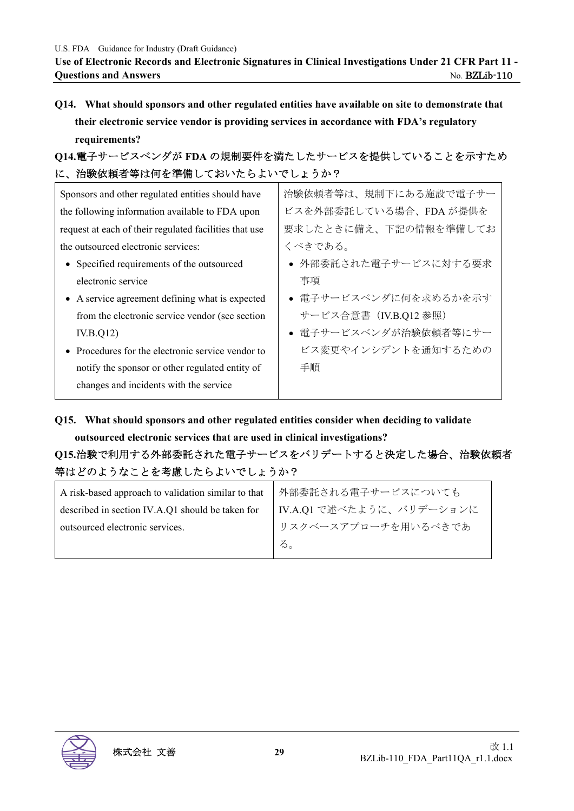**Use of Electronic Records and Electronic Signatures in Clinical Investigations Under 21 CFR Part 11 - Ouestions and Answers** No. BZLib-110

**Q14. What should sponsors and other regulated entities have available on site to demonstrate that their electronic service vendor is providing services in accordance with FDA's regulatory requirements?** 

# **Q14.**電子サービスベンダが **FDA** の規制要件を満たしたサービスを提供していることを示すため に、治験依頼者等は何を準備しておいたらよいでしょうか?

| Sponsors and other regulated entities should have      | 治験依頼者等は、規制下にある施設で電子サー  |
|--------------------------------------------------------|------------------------|
| the following information available to FDA upon        | ビスを外部委託している場合、FDA が提供を |
| request at each of their regulated facilities that use | 要求したときに備え、下記の情報を準備してお  |
| the outsourced electronic services:                    | くべきである。                |
| • Specified requirements of the outsourced             | ● 外部委託された電子サービスに対する要求  |
| electronic service                                     | 事項                     |
| • A service agreement defining what is expected        | • 電子サービスベンダに何を求めるかを示す  |
| from the electronic service vendor (see section        | サービス合意書 (IV.B.Q12 参照)  |
| IV.B.Q12)                                              | ● 電子サービスベンダが治験依頼者等にサー  |
| • Procedures for the electronic service vendor to      | ビス変更やインシデントを通知するための    |
| notify the sponsor or other regulated entity of        | 手順                     |
| changes and incidents with the service                 |                        |

**Q15. What should sponsors and other regulated entities consider when deciding to validate** 

## **outsourced electronic services that are used in clinical investigations?**

# **Q15.**治験で利用する外部委託された電子サービスをバリデートすると決定した場合、治験依頼者 等はどのようなことを考慮したらよいでしょうか?

| A risk-based approach to validation similar to that | │ 外部委託される電子サービスについても     |
|-----------------------------------------------------|--------------------------|
| described in section IV.A.Q1 should be taken for    | IV.A.Q1 で述べたように、バリデーションに |
| outsourced electronic services.                     | リスクベースアプローチを用いるべきであ      |
|                                                     | る。                       |

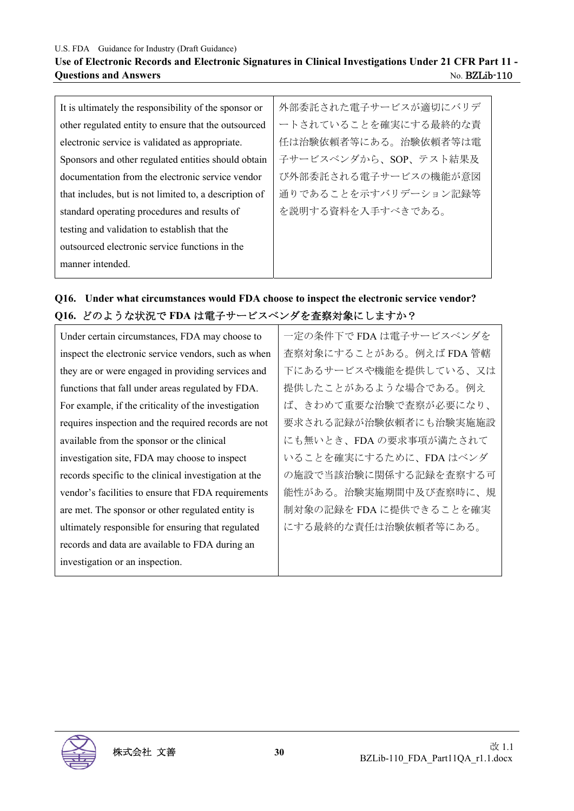### **Use of Electronic Records and Electronic Signatures in Clinical Investigations Under 21 CFR Part 11 - Questions and Answers** No. BZLib-110

| It is ultimately the responsibility of the sponsor or  | 外部委託された電子サービスが適切にバリデ  |
|--------------------------------------------------------|-----------------------|
| other regulated entity to ensure that the outsourced   | ートされていることを確実にする最終的な責  |
| electronic service is validated as appropriate.        | 任は治験依頼者等にある。治験依頼者等は電  |
| Sponsors and other regulated entities should obtain    | 子サービスベンダから、SOP、テスト結果及 |
| documentation from the electronic service vendor       | び外部委託される電子サービスの機能が意図  |
| that includes, but is not limited to, a description of | 通りであることを示すバリデーション記録等  |
| standard operating procedures and results of           | を説明する資料を入手すべきである。     |
| testing and validation to establish that the           |                       |
| outsourced electronic service functions in the         |                       |
| manner intended.                                       |                       |

## **Q16. Under what circumstances would FDA choose to inspect the electronic service vendor? Q16.** どのような状況で **FDA** は電子サービスベンダを査察対象にしますか?

| 一定の条件下でFDA は電子サービスベンダを  |
|-------------------------|
| 査察対象にすることがある。例えば FDA 管轄 |
| 下にあるサービスや機能を提供している、又は   |
| 提供したことがあるような場合である。例え    |
| ば、きわめて重要な治験で査察が必要になり、   |
| 要求される記録が治験依頼者にも治験実施施設   |
| にも無いとき、FDA の要求事項が満たされて  |
| いることを確実にするために、FDA はベンダ  |
| の施設で当該治験に関係する記録を査察する可   |
| 能性がある。治験実施期間中及び査察時に、規   |
| 制対象の記録を FDA に提供できることを確実 |
| にする最終的な責任は治験依頼者等にある。    |
|                         |
|                         |
|                         |

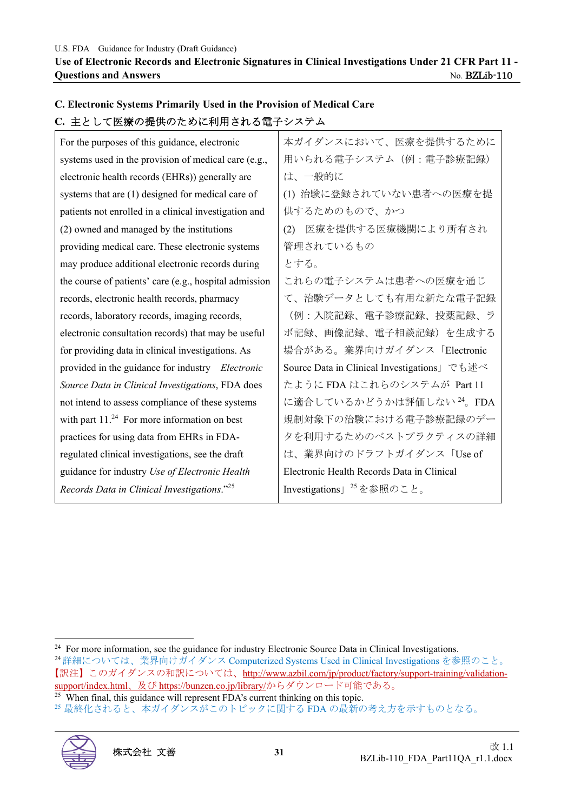| し. 土として医療の旋供のにのに利用される电丁ンステム                             |                                             |
|---------------------------------------------------------|---------------------------------------------|
| For the purposes of this guidance, electronic           | 本ガイダンスにおいて、医療を提供するために                       |
| systems used in the provision of medical care (e.g.,    | 用いられる電子システム (例:電子診療記録)                      |
| electronic health records (EHRs)) generally are         | は、一般的に                                      |
| systems that are (1) designed for medical care of       | (1) 治験に登録されていない患者への医療を提                     |
| patients not enrolled in a clinical investigation and   | 供するためのもので、かつ                                |
| (2) owned and managed by the institutions               | 医療を提供する医療機関により所有され<br>(2)                   |
| providing medical care. These electronic systems        | 管理されているもの                                   |
| may produce additional electronic records during        | とする。                                        |
| the course of patients' care (e.g., hospital admission  | これらの電子システムは患者への医療を通じ                        |
| records, electronic health records, pharmacy            | て、治験データとしても有用な新たな電子記録                       |
| records, laboratory records, imaging records,           | (例:入院記録、電子診療記録、投薬記録、ラ                       |
| electronic consultation records) that may be useful     | ボ記録、画像記録、電子相談記録)を生成する                       |
| for providing data in clinical investigations. As       | 場合がある。業界向けガイダンス「Electronic                  |
| provided in the guidance for industry Electronic        | Source Data in Clinical Investigations」でも述べ |
| Source Data in Clinical Investigations, FDA does        | たように FDA はこれらのシステムが Part 11                 |
| not intend to assess compliance of these systems        | に適合しているかどうかは評価しない <sup>24</sup> 。FDA        |
| with part $11.^{24}$ For more information on best       | 規制対象下の治験における電子診療記録のデー                       |
| practices for using data from EHRs in FDA-              | タを利用するためのベストプラクティスの詳細                       |
| regulated clinical investigations, see the draft        | は、業界向けのドラフトガイダンス「Use of                     |
| guidance for industry Use of Electronic Health          | Electronic Health Records Data in Clinical  |
| Records Data in Clinical Investigations." <sup>25</sup> | Investigations」 <sup>25</sup> を参照のこと。       |
|                                                         |                                             |

# **C. Electronic Systems Primarily Used in the Provision of Medical Care C.** 主として医療の提供のために利用される電子システム

<sup>25</sup> 最終化されると、本ガイダンスがこのトピックに関する FDA の最新の考え方を示すものとなる。



<sup>&</sup>lt;sup>24</sup> For more information, see the guidance for industry Electronic Source Data in Clinical Investigations. 24詳細については、業界向けガイダンス Computerized Systems Used in Clinical Investigations を参照のこと。 【訳注】このガイダンスの和訳については、http://www.azbil.com/jp/product/factory/support-training/validationsupport/index.html、及び https://bunzen.co.jp/library/からダウンロード可能である。<br><sup>25</sup> When final, this guidance will represent FDA's current thinking on this topic.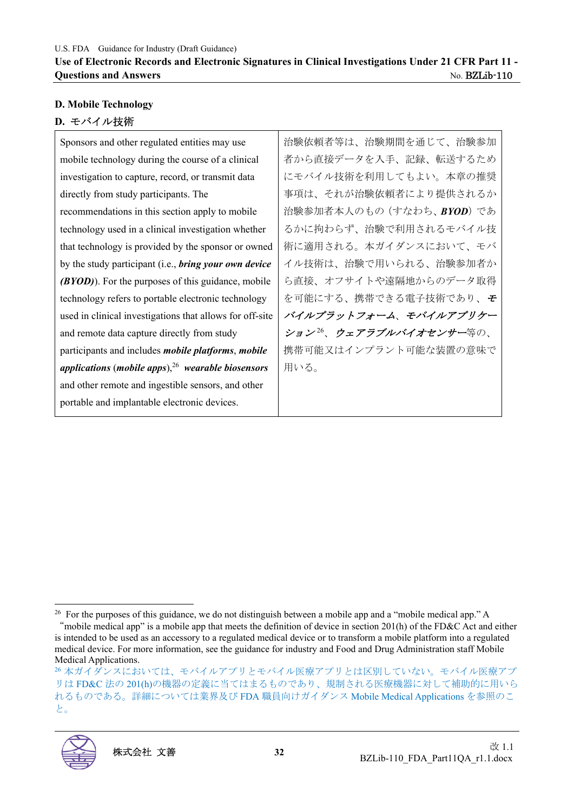# **D. Mobile Technology**

# **D.** モバイル技術

Sponsors and other regulated entities may use mobile technology during the course of a clinical investigation to capture, record, or transmit data directly from study participants. The recommendations in this section apply to mobile technology used in a clinical investigation whether that technology is provided by the sponsor or owned by the study participant (i.e., *bring your own device (BYOD)*). For the purposes of this guidance, mobile technology refers to portable electronic technology used in clinical investigations that allows for off-site and remote data capture directly from study participants and includes *mobile platforms*, *mobile applications* (*mobile apps*),<sup>26</sup> *wearable biosensors* and other remote and ingestible sensors, and other portable and implantable electronic devices.

治験依頼者等は、治験期間を通じて、治験参加 者から直接データを入手、記録、転送するため にモバイル技術を利用してもよい。本章の推奨 事項は、それが治験依頼者により提供されるか 治験参加者本人のもの(すなわち、*BYOD*)であ るかに拘わらず、治験で利用されるモバイル技 術に適用される。本ガイダンスにおいて、モバ イル技術は、治験で用いられる、治験参加者か ら直接、オフサイトや遠隔地からのデータ取得 を可能にする、携帯できる電子技術であり、<sup>モ</sup> バイルプラットフォーム、モバイルアプリケー ション<sup>26</sup>、ウェアラブルバイオセンサー等の、 携帯可能又はインプラント可能な装置の意味で 用いる。

<sup>26</sup>本ガイダンスにおいては、モバイルアプリとモバイル医療アプリとは区別していない。モバイル医療アプ リは FD&C 法の 201(h)の機器の定義に当てはまるものであり、規制される医療機器に対して補助的に用いら れるものである。詳細については業界及び FDA 職員向けガイダンス Mobile Medical Applications を参照のこ と。



<sup>&</sup>lt;sup>26</sup> For the purposes of this guidance, we do not distinguish between a mobile app and a "mobile medical app." A "mobile medical app" is a mobile app that meets the definition of device in section 201(h) of the FD&C Act and either

is intended to be used as an accessory to a regulated medical device or to transform a mobile platform into a regulated medical device. For more information, see the guidance for industry and Food and Drug Administration staff Mobile Medical Applications.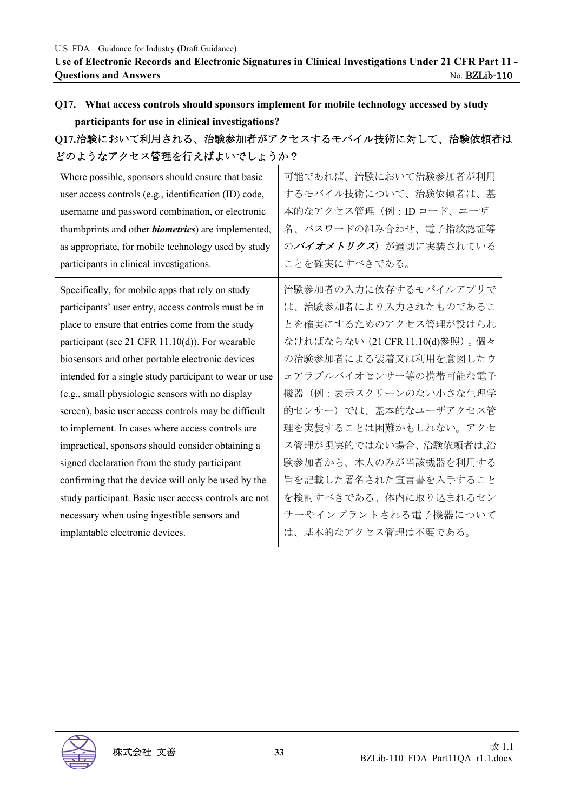# **Q17. What access controls should sponsors implement for mobile technology accessed by study participants for use in clinical investigations?**

# **Q17.**治験において利用される、治験参加者がアクセスするモバイル技術に対して、治験依頼者は どのようなアクセス管理を行えばよいでしょうか?

| Where possible, sponsors should ensure that basic<br>user access controls (e.g., identification (ID) code,<br>username and password combination, or electronic<br>thumbprints and other <i>biometrics</i> ) are implemented,<br>as appropriate, for mobile technology used by study<br>participants in clinical investigations. | 可能であれば、治験において治験参加者が利用<br>するモバイル技術について、治験依頼者は、基<br>本的なアクセス管理(例:IDコード、ユーザ<br>名、パスワードの組み合わせ、電子指紋認証等<br>のバイオメトリクス)が適切に実装されている<br>ことを確実にすべきである。 |
|---------------------------------------------------------------------------------------------------------------------------------------------------------------------------------------------------------------------------------------------------------------------------------------------------------------------------------|--------------------------------------------------------------------------------------------------------------------------------------------|
| Specifically, for mobile apps that rely on study                                                                                                                                                                                                                                                                                | 治験参加者の入力に依存するモバイルアプリで                                                                                                                      |
| participants' user entry, access controls must be in                                                                                                                                                                                                                                                                            | は、治験参加者により入力されたものであるこ                                                                                                                      |
| place to ensure that entries come from the study                                                                                                                                                                                                                                                                                | とを確実にするためのアクセス管理が設けられ                                                                                                                      |
| participant (see 21 CFR 11.10(d)). For wearable                                                                                                                                                                                                                                                                                 | なければならない (21 CFR 11.10(d)参照)。個々                                                                                                            |
| biosensors and other portable electronic devices                                                                                                                                                                                                                                                                                | の治験参加者による装着又は利用を意図したウ                                                                                                                      |
| intended for a single study participant to wear or use                                                                                                                                                                                                                                                                          | ェアラブルバイオセンサー等の携帯可能な電子                                                                                                                      |
| (e.g., small physiologic sensors with no display                                                                                                                                                                                                                                                                                | 機器(例:表示スクリーンのない小さな生理学                                                                                                                      |
| screen), basic user access controls may be difficult                                                                                                                                                                                                                                                                            | 的センサー)では、基本的なユーザアクセス管                                                                                                                      |
| to implement. In cases where access controls are                                                                                                                                                                                                                                                                                | 理を実装することは困難かもしれない。アクセ                                                                                                                      |
| impractical, sponsors should consider obtaining a                                                                                                                                                                                                                                                                               | ス管理が現実的ではない場合、治験依頼者は,治                                                                                                                     |
| signed declaration from the study participant                                                                                                                                                                                                                                                                                   | 験参加者から、本人のみが当該機器を利用する                                                                                                                      |
| confirming that the device will only be used by the                                                                                                                                                                                                                                                                             | 旨を記載した署名された宣言書を入手すること                                                                                                                      |
| study participant. Basic user access controls are not                                                                                                                                                                                                                                                                           | を検討すべきである。体内に取り込まれるセン                                                                                                                      |
| necessary when using ingestible sensors and                                                                                                                                                                                                                                                                                     | サーやインプラントされる電子機器について                                                                                                                       |
| implantable electronic devices.                                                                                                                                                                                                                                                                                                 | は、基本的なアクセス管理は不要である。                                                                                                                        |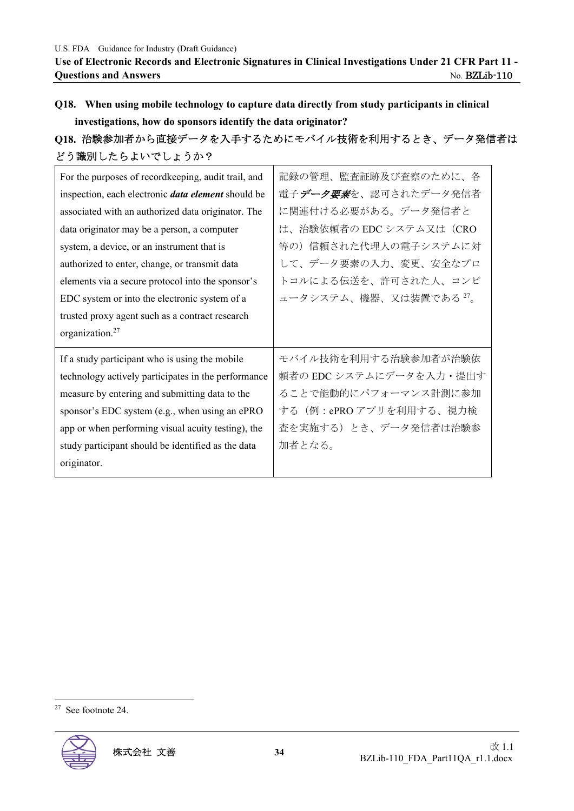# **Q18. When using mobile technology to capture data directly from study participants in clinical investigations, how do sponsors identify the data originator?**

# **Q18.** 治験参加者から直接データを入手するためにモバイル技術を利用するとき、データ発信者は どう識別したらよいでしょうか?

| For the purposes of recordkeeping, audit trail, and<br>inspection, each electronic <i>data element</i> should be<br>associated with an authorized data originator. The<br>data originator may be a person, a computer<br>system, a device, or an instrument that is<br>authorized to enter, change, or transmit data<br>elements via a secure protocol into the sponsor's<br>EDC system or into the electronic system of a<br>trusted proxy agent such as a contract research | 記録の管理、監査証跡及び査察のために、各<br>電子データ要素を、認可されたデータ発信者<br>に関連付ける必要がある。データ発信者と<br>は、治験依頼者の EDC システム又は(CRO<br>等の)信頼された代理人の電子システムに対<br>して、データ要素の入力、変更、安全なプロ<br>トコルによる伝送を、許可された人、コンピ<br>ュータシステム、機器、又は装置である <sup>27</sup> 。 |
|-------------------------------------------------------------------------------------------------------------------------------------------------------------------------------------------------------------------------------------------------------------------------------------------------------------------------------------------------------------------------------------------------------------------------------------------------------------------------------|--------------------------------------------------------------------------------------------------------------------------------------------------------------------------------------------------------------|
| organization. <sup>27</sup><br>If a study participant who is using the mobile<br>technology actively participates in the performance<br>measure by entering and submitting data to the<br>sponsor's EDC system (e.g., when using an ePRO<br>app or when performing visual acuity testing), the<br>study participant should be identified as the data<br>originator.                                                                                                           | モバイル技術を利用する治験参加者が治験依<br>頼者の EDC システムにデータを入力・提出す<br>ることで能動的にパフォーマンス計測に参加<br>する (例: ePROアプリを利用する、視力検<br>査を実施する)とき、データ発信者は治験参<br>加者となる。                                                                         |

<sup>27</sup> See footnote 24.

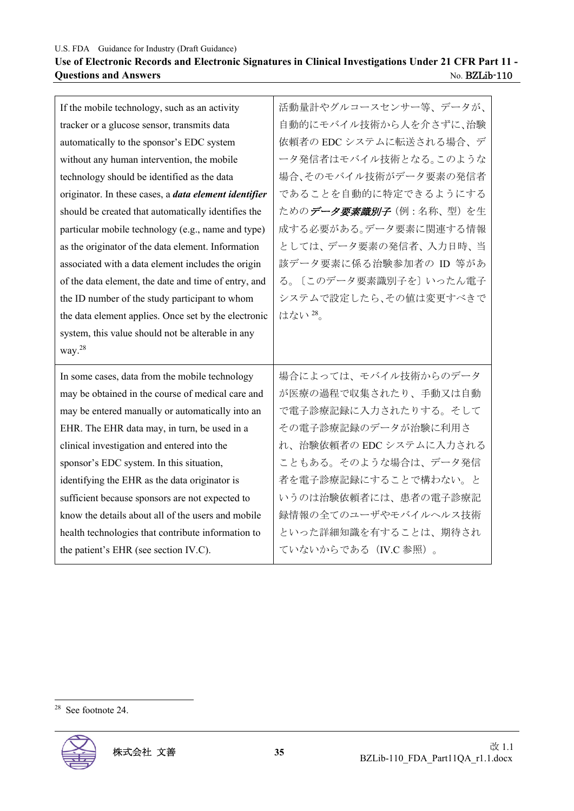## **Use of Electronic Records and Electronic Signatures in Clinical Investigations Under 21 CFR Part 11 - Questions and Answers** No. BZLib-110

| If the mobile technology, such as an activity                | 活動量計やグルコースセンサー等、データが、   |
|--------------------------------------------------------------|-------------------------|
| tracker or a glucose sensor, transmits data                  | 自動的にモバイル技術から人を介さずに、治験   |
| automatically to the sponsor's EDC system                    | 依頼者の EDC システムに転送される場合、デ |
| without any human intervention, the mobile                   | ータ発信者はモバイル技術となる。このような   |
| technology should be identified as the data                  | 場合、そのモバイル技術がデータ要素の発信者   |
| originator. In these cases, a <i>data element identifier</i> | であることを自動的に特定できるようにする    |
| should be created that automatically identifies the          | ためのデータ要素識別子 (例:名称、型) を生 |
| particular mobile technology (e.g., name and type)           | 成する必要がある。データ要素に関連する情報   |
| as the originator of the data element. Information           | としては、データ要素の発信者、入力日時、当   |
| associated with a data element includes the origin           | 該データ要素に係る治験参加者の ID 等があ  |
| of the data element, the date and time of entry, and         | る。〔このデータ要素識別子を〕いったん電子   |
| the ID number of the study participant to whom               | システムで設定したら、その値は変更すべきで   |
| the data element applies. Once set by the electronic         | はない28。                  |
|                                                              |                         |
| system, this value should not be alterable in any            |                         |
| way. $^{28}$                                                 |                         |
| In some cases, data from the mobile technology               | 場合によっては、モバイル技術からのデータ    |
| may be obtained in the course of medical care and            | が医療の過程で収集されたり、手動又は自動    |
| may be entered manually or automatically into an             | で電子診療記録に入力されたりする。そして    |
| EHR. The EHR data may, in turn, be used in a                 | その電子診療記録のデータが治験に利用さ     |
| clinical investigation and entered into the                  | れ、治験依頼者の EDC システムに入力される |
| sponsor's EDC system. In this situation,                     | こともある。そのような場合は、データ発信    |
| identifying the EHR as the data originator is                | 者を電子診療記録にすることで構わない。と    |
| sufficient because sponsors are not expected to              | いうのは治験依頼者には、患者の電子診療記    |
| know the details about all of the users and mobile           | 録情報の全てのユーザやモバイルヘルス技術    |
| health technologies that contribute information to           | といった詳細知識を有することは、期待され    |

<sup>28</sup> See footnote 24.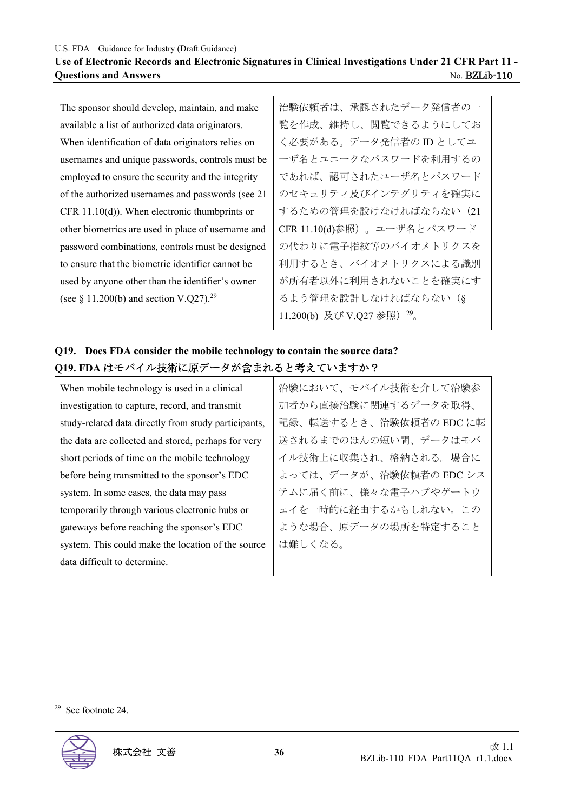#### **Use of Electronic Records and Electronic Signatures in Clinical Investigations Under 21 CFR Part 11 - Ouestions and Answers** No. BZLib-110

The sponsor should develop, maintain, and make available a list of authorized data originators. When identification of data originators relies on usernames and unique passwords, controls must be employed to ensure the security and the integrity of the authorized usernames and passwords (see 21 CFR 11.10(d)). When electronic thumbprints or other biometrics are used in place of username and password combinations, controls must be designed to ensure that the biometric identifier cannot be used by anyone other than the identifier's owner (see  $\S$  11.200(b) and section V.Q27).<sup>29</sup>

治験依頼者は、承認されたデータ発信者の一 覧を作成、維持し、閲覧できるようにしてお く必要がある。データ発信者の ID としてユ ーザ名とユニークなパスワードを利用するの であれば、認可されたユーザ名とパスワード のセキュリティ及びインテグリティを確実に するための管理を設けなければならない (21 CFR 11.10(d)参照)。ユーザ名とパスワード の代わりに電子指紋等のバイオメトリクスを 利用するとき、バイオメトリクスによる識別 が所有者以外に利用されないことを確実にす るよう管理を設計しなければならない(§ 11.200(b) 及び V.O27 参照)<sup>29</sup>。

## **Q19. Does FDA consider the mobile technology to contain the source data? Q19. FDA** はモバイル技術に原データが含まれると考えていますか?

| When mobile technology is used in a clinical         | 治験において、モバイル技術を介して治験参    |
|------------------------------------------------------|-------------------------|
| investigation to capture, record, and transmit       | 加者から直接治験に関連するデータを取得、    |
| study-related data directly from study participants, | 記録、転送するとき、治験依頼者の EDC に転 |
| the data are collected and stored, perhaps for very  | 送されるまでのほんの短い間、データはモバ    |
| short periods of time on the mobile technology       | イル技術上に収集され、格納される。場合に    |
| before being transmitted to the sponsor's EDC        | よっては、データが、治験依頼者の EDC シス |
| system. In some cases, the data may pass             | テムに届く前に、様々な電子ハブやゲートウ    |
| temporarily through various electronic hubs or       | ェイを一時的に経由するかもしれない。この    |
| gateways before reaching the sponsor's EDC           | ような場合、原データの場所を特定すること    |
| system. This could make the location of the source   | は難しくなる。                 |
| data difficult to determine.                         |                         |

<sup>29</sup> See footnote 24.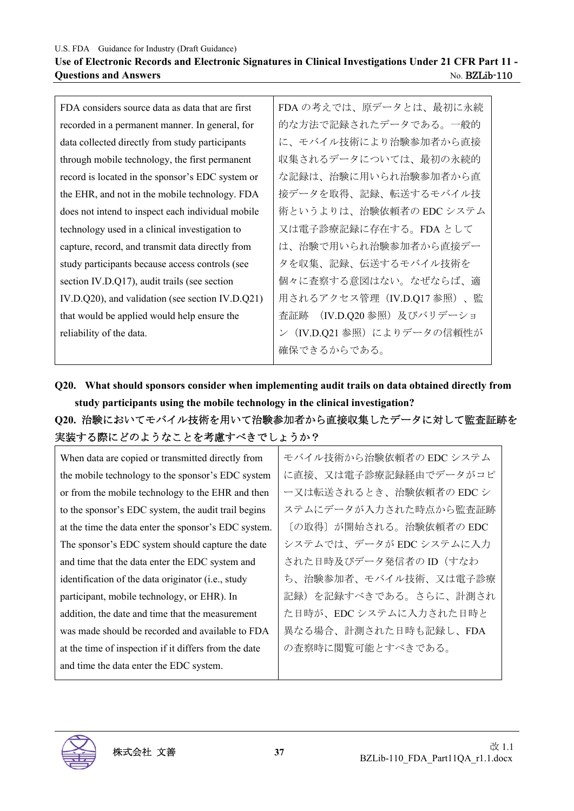#### **Use of Electronic Records and Electronic Signatures in Clinical Investigations Under 21 CFR Part 11 - Ouestions and Answers** No. BZLib-110

FDA considers source data as data that are first recorded in a permanent manner. In general, for data collected directly from study participants through mobile technology, the first permanent record is located in the sponsor's EDC system or the EHR, and not in the mobile technology. FDA does not intend to inspect each individual mobile technology used in a clinical investigation to capture, record, and transmit data directly from study participants because access controls (see section IV.D.Q17), audit trails (see section IV.D.Q20), and validation (see section IV.D.Q21) that would be applied would help ensure the reliability of the data. FDA の考えでは、原データとは、最初に永続 的な方法で記録されたデータである。一般的 に、モバイル技術により治験参加者から直接 収集されるデータについては、最初の永続的 な記録は、治験に用いられ治験参加者から直 接データを取得、記録、転送するモバイル技 術というよりは、治験依頼者の EDC システム 又は電子診療記録に存在する。FDA として は、治験で用いられ治験参加者から直接デー タを収集、記録、伝送するモバイル技術を 個々に査察する意図はない。なぜならば、適 用されるアクセス管理(IV.D.Q17 参照)、監 査証跡 (IV.D.Q20 参照)及びバリデーショ ン (IV.D.O21 参照) によりデータの信頼性が 確保できるからである。

**Q20. What should sponsors consider when implementing audit trails on data obtained directly from study participants using the mobile technology in the clinical investigation?** 

**Q20.** 治験においてモバイル技術を用いて治験参加者から直接収集したデータに対して監査証跡を 実装する際にどのようなことを考慮すべきでしょうか?

| When data are copied or transmitted directly from     | モバイル技術から治験依頼者の EDC システム |
|-------------------------------------------------------|-------------------------|
| the mobile technology to the sponsor's EDC system     | に直接、又は電子診療記録経由でデータがコピ   |
| or from the mobile technology to the EHR and then     | ー又は転送されるとき、治験依頼者の EDC シ |
| to the sponsor's EDC system, the audit trail begins   | ステムにデータが入力された時点から監査証跡   |
| at the time the data enter the sponsor's EDC system.  | 〔の取得〕が開始される。治験依頼者の EDC  |
| The sponsor's EDC system should capture the date      | システムでは、データが EDC システムに入力 |
| and time that the data enter the EDC system and       | された日時及びデータ発信者のID (すなわ   |
| identification of the data originator (i.e., study    | ち、治験参加者、モバイル技術、又は電子診療   |
| participant, mobile technology, or EHR). In           | 記録)を記録すべきである。さらに、計測され   |
| addition, the date and time that the measurement      | た日時が、EDCシステムに入力された日時と   |
| was made should be recorded and available to FDA      | 異なる場合、計測された日時も記録し、FDA   |
| at the time of inspection if it differs from the date | の査察時に閲覧可能とすべきである。       |
| and time the data enter the EDC system.               |                         |

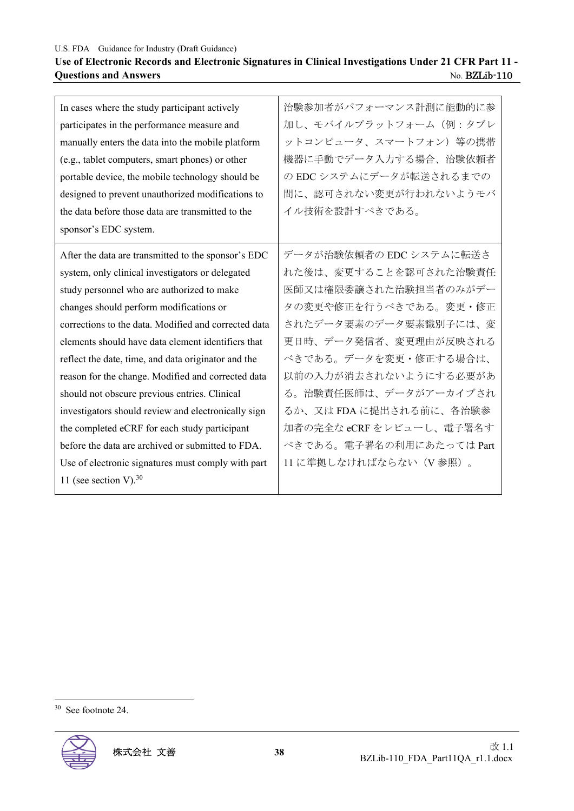## **Use of Electronic Records and Electronic Signatures in Clinical Investigations Under 21 CFR Part 11 - Questions and Answers** No. BZLib-110

| 治験参加者がパフォーマンス計測に能動的に参<br>加し、モバイルプラットフォーム(例:タブレ<br>ットコンピュータ、スマートフォン)等の携帯<br>機器に手動でデータ入力する場合、治験依頼者<br>の EDC システムにデータが転送されるまでの<br>間に、認可されない変更が行われないようモバ<br>イル技術を設計すべきである。 |
|------------------------------------------------------------------------------------------------------------------------------------------------------------------------|
| データが治験依頼者の EDC システムに転送さ                                                                                                                                                |
| れた後は、変更することを認可された治験責任                                                                                                                                                  |
| 医師又は権限委譲された治験担当者のみがデー                                                                                                                                                  |
| タの変更や修正を行うべきである。変更・修正                                                                                                                                                  |
| されたデータ要素のデータ要素識別子には、変                                                                                                                                                  |
| 更日時、データ発信者、変更理由が反映される                                                                                                                                                  |
| べきである。データを変更・修正する場合は、                                                                                                                                                  |
| 以前の入力が消去されないようにする必要があ                                                                                                                                                  |
| る。治験責任医師は、データがアーカイブされ                                                                                                                                                  |
| るか、又はFDAに提出される前に、各治験参                                                                                                                                                  |
| 加者の完全な eCRF をレビューし、電子署名す                                                                                                                                               |
| べきである。電子署名の利用にあたっては Part                                                                                                                                               |
| 11 に準拠しなければならない (V 参照) 。                                                                                                                                               |
|                                                                                                                                                                        |
|                                                                                                                                                                        |

<sup>30</sup> See footnote 24.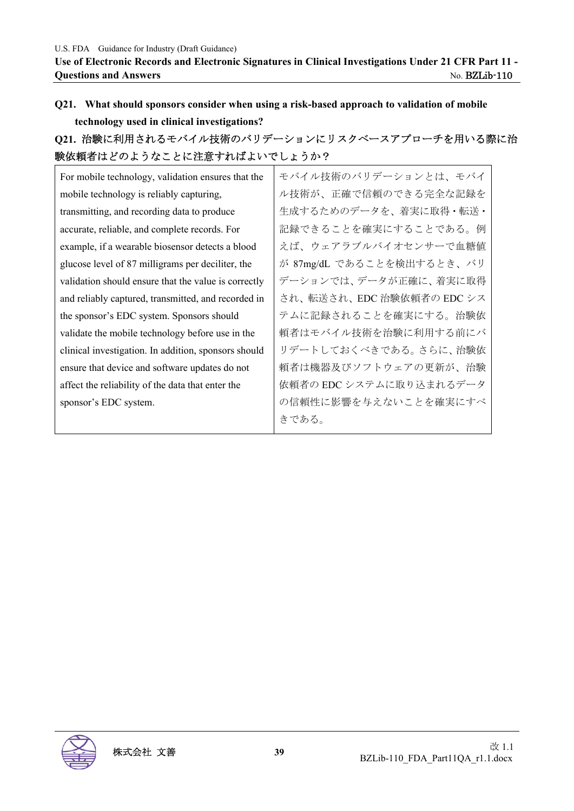# **Q21. What should sponsors consider when using a risk-based approach to validation of mobile technology used in clinical investigations?**

# **Q21.** 治験に利用されるモバイル技術のバリデーションにリスクベースアプローチを用いる際に治 験依頼者はどのようなことに注意すればよいでしょうか?

| モバイル技術のバリデーションとは、モバイ      |
|---------------------------|
| ル技術が、正確で信頼のできる完全な記録を      |
| 生成するためのデータを、着実に取得・転送・     |
| 記録できることを確実にすることである。例      |
| えば、ウェアラブルバイオセンサーで血糖値      |
| が 87mg/dL であることを検出するとき、バリ |
| デーションでは、データが正確に、着実に取得     |
| され、転送され、EDC 治験依頼者の EDC シス |
| テムに記録されることを確実にする。治験依      |
| 頼者はモバイル技術を治験に利用する前にバ      |
| リデートしておくべきである。さらに、治験依     |
| 頼者は機器及びソフトウェアの更新が、治験      |
| 依頼者の EDC システムに取り込まれるデータ   |
| の信頼性に影響を与えないことを確実にすべ      |
| きである。                     |
|                           |

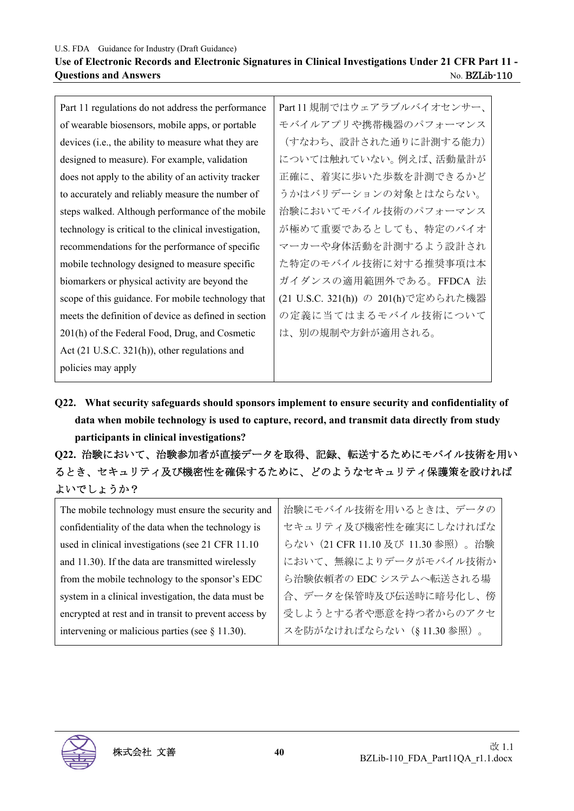#### U.S. FDA Guidance for Industry (Draft Guidance) **Use of Electronic Records and Electronic Signatures in Clinical Investigations Under 21 CFR Part 11 - Questions and Answers** No. BZLib-110

| Part 11 規制ではウェアラブルバイオセンサー、          |
|-------------------------------------|
| モバイルアプリや携帯機器のパフォーマンス                |
| (すなわち、設計された通りに計測する能力)               |
| については触れていない。例えば、活動量計が               |
| 正確に、着実に歩いた歩数を計測できるかど                |
| うかはバリデーションの対象とはならない。                |
| 治験においてモバイル技術のパフォーマンス                |
| が極めて重要であるとしても、特定のバイオ                |
| マーカーや身体活動を計測するよう設計され                |
| た特定のモバイル技術に対する推奨事項は本                |
| ガイダンスの適用範囲外である。FFDCA 法              |
| (21 U.S.C. 321(h)) の 201(h)で定められた機器 |
| の定義に当てはまるモバイル技術について                 |
| は、別の規制や方針が適用される。                    |
|                                     |
|                                     |
|                                     |

**Q22. What security safeguards should sponsors implement to ensure security and confidentiality of data when mobile technology is used to capture, record, and transmit data directly from study participants in clinical investigations?** 

**Q22.** 治験において、治験参加者が直接データを取得、記録、転送するためにモバイル技術を用い るとき、セキュリティ及び機密性を確保するために、どのようなセキュリティ保護策を設ければ よいでしょうか?

| The mobile technology must ensure the security and    | 治験にモバイル技術を用いるときは、データの             |
|-------------------------------------------------------|-----------------------------------|
| confidentiality of the data when the technology is    | セキュリティ及び機密性を確実にしなければな             |
| used in clinical investigations (see 21 CFR 11.10     | らない (21 CFR 11.10 及び 11.30 参照)。治験 |
| and 11.30). If the data are transmitted wirelessly    | において、無線によりデータがモバイル技術か             |
| from the mobile technology to the sponsor's EDC       | ら治験依頼者の EDC システムへ転送される場           |
| system in a clinical investigation, the data must be  | 合、データを保管時及び伝送時に暗号化し、傍             |
| encrypted at rest and in transit to prevent access by | 受しようとする者や悪意を持つ者からのアクセ             |
| intervening or malicious parties (see $\S$ 11.30).    | スを防がなければならない (§11.30参照)。          |

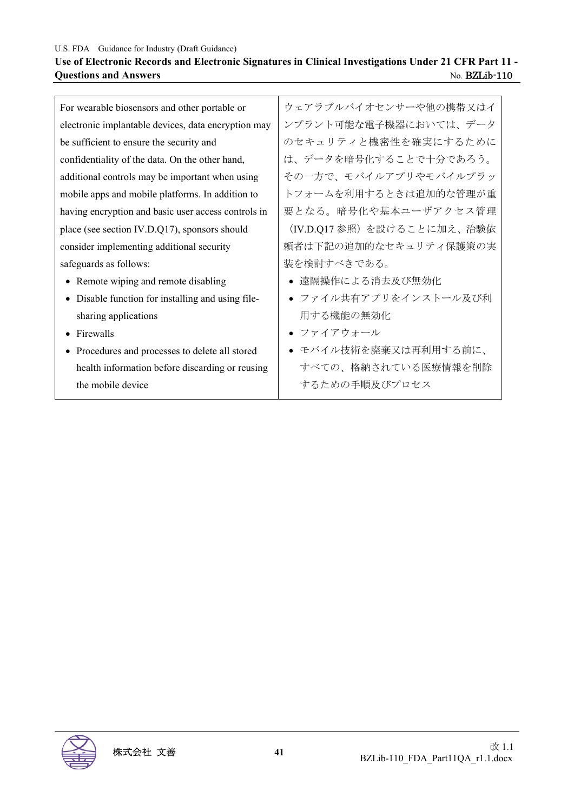### **Use of Electronic Records and Electronic Signatures in Clinical Investigations Under 21 CFR Part 11 - Questions and Answers** No. BZLib-110

| For wearable biosensors and other portable or       | ウェアラブルバイオセンサーや他の携帯又はイ     |
|-----------------------------------------------------|---------------------------|
| electronic implantable devices, data encryption may | ンプラント可能な電子機器においては、データ     |
| be sufficient to ensure the security and            | のセキュリティと機密性を確実にするために      |
| confidentiality of the data. On the other hand,     | は、データを暗号化することで十分であろう。     |
| additional controls may be important when using     | その一方で、モバイルアプリやモバイルプラッ     |
| mobile apps and mobile platforms. In addition to    | トフォームを利用するときは追加的な管理が重     |
| having encryption and basic user access controls in | 要となる。暗号化や基本ユーザアクセス管理      |
| place (see section IV.D.Q17), sponsors should       | (IV.D.Q17参照)を設けることに加え、治験依 |
| consider implementing additional security           | 頼者は下記の追加的なセキュリティ保護策の実     |
| safeguards as follows:                              | 装を検討すべきである。               |
| • Remote wiping and remote disabling                | ● 遠隔操作による消去及び無効化          |
| • Disable function for installing and using file-   | • ファイル共有アプリをインストール及び利     |
| sharing applications                                | 用する機能の無効化                 |
| Firewalls<br>$\bullet$                              | ● ファイアウォール                |
| • Procedures and processes to delete all stored     | ● モバイル技術を廃棄又は再利用する前に、     |
| health information before discarding or reusing     | すべての、格納されている医療情報を削除       |
| the mobile device                                   | するための手順及びプロセス             |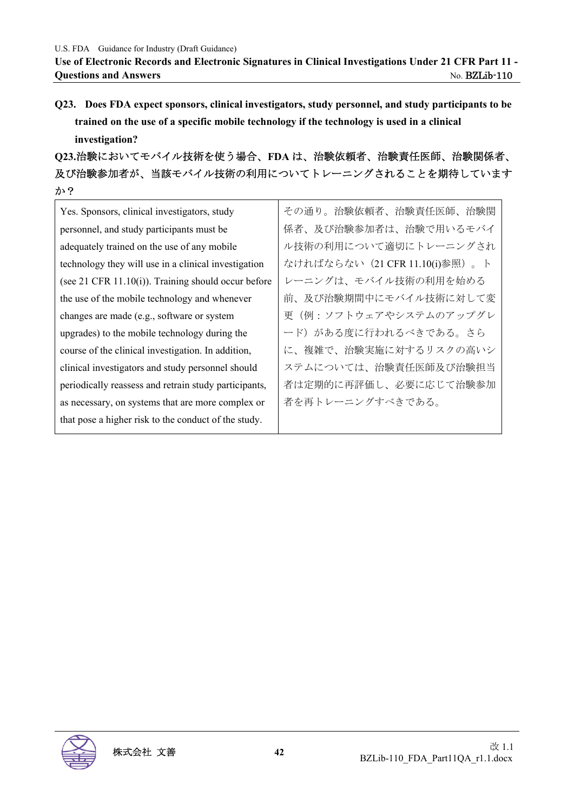**Q23. Does FDA expect sponsors, clinical investigators, study personnel, and study participants to be trained on the use of a specific mobile technology if the technology is used in a clinical investigation?** 

**Q23.**治験においてモバイル技術を使う場合、**FDA** は、治験依頼者、治験責任医師、治験関係者、 及び治験参加者が、当該モバイル技術の利用についてトレーニングされることを期待しています か?

| Yes. Sponsors, clinical investigators, study             | その通り。治験依頼者、治験責任医師、治験関          |
|----------------------------------------------------------|--------------------------------|
| personnel, and study participants must be                | 係者、及び治験参加者は、治験で用いるモバイ          |
| adequately trained on the use of any mobile              | ル技術の利用について適切にトレーニングされ          |
| technology they will use in a clinical investigation     | なければならない (21 CFR 11.10(i)参照)。ト |
| (see $21$ CFR $11.10(i)$ ). Training should occur before | レーニングは、モバイル技術の利用を始める           |
| the use of the mobile technology and whenever            | 前、及び治験期間中にモバイル技術に対して変          |
| changes are made (e.g., software or system               | 更(例:ソフトウェアやシステムのアップグレ          |
| upgrades) to the mobile technology during the            | ード)がある度に行われるべきである。さら           |
| course of the clinical investigation. In addition,       | に、複雑で、治験実施に対するリスクの高いシ          |
| clinical investigators and study personnel should        | ステムについては、治験責任医師及び治験担当          |
| periodically reassess and retrain study participants,    | 者は定期的に再評価し、必要に応じて治験参加          |
| as necessary, on systems that are more complex or        | 者を再トレーニングすべきである。               |
| that pose a higher risk to the conduct of the study.     |                                |

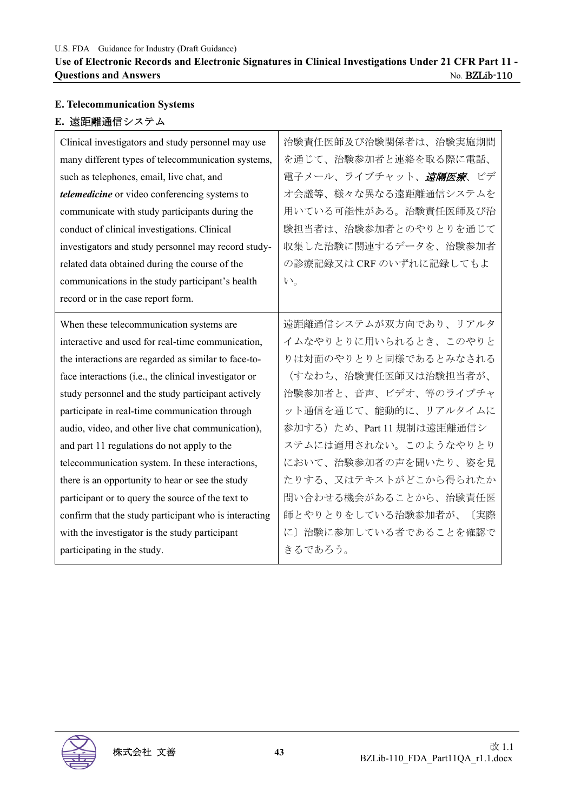# **E. Telecommunication Systems E.** 遠距離通信システム

| Clinical investigators and study personnel may use    | 治験責任医師及び治験関係者は、治験実施期間     |
|-------------------------------------------------------|---------------------------|
| many different types of telecommunication systems,    | を通じて、治験参加者と連絡を取る際に電話、     |
| such as telephones, email, live chat, and             | 電子メール、ライブチャット、遠隔医療、ビデ     |
| telemedicine or video conferencing systems to         | オ会議等、様々な異なる遠距離通信システムを     |
| communicate with study participants during the        | 用いている可能性がある。治験責任医師及び治     |
| conduct of clinical investigations. Clinical          | 験担当者は、治験参加者とのやりとりを通じて     |
| investigators and study personnel may record study-   | 収集した治験に関連するデータを、治験参加者     |
| related data obtained during the course of the        | の診療記録又は CRF のいずれに記録してもよ   |
| communications in the study participant's health      | $V_{0}$                   |
| record or in the case report form.                    |                           |
| When these telecommunication systems are              | 遠距離通信システムが双方向であり、リアルタ     |
| interactive and used for real-time communication,     | イムなやりとりに用いられるとき、このやりと     |
| the interactions are regarded as similar to face-to-  | りは対面のやりとりと同様であるとみなされる     |
| face interactions (i.e., the clinical investigator or | (すなわち、治験責任医師又は治験担当者が、     |
| study personnel and the study participant actively    | 治験参加者と、音声、ビデオ、等のライブチャ     |
| participate in real-time communication through        | ット通信を通じて、能動的に、リアルタイムに     |
| audio, video, and other live chat communication),     | 参加する)ため、Part 11 規制は遠距離通信シ |
| and part 11 regulations do not apply to the           | ステムには適用されない。このようなやりとり     |
| telecommunication system. In these interactions,      | において、治験参加者の声を聞いたり、姿を見     |
| there is an opportunity to hear or see the study      | たりする、又はテキストがどこから得られたか     |
| participant or to query the source of the text to     | 問い合わせる機会があることから、治験責任医     |
| confirm that the study participant who is interacting | 師とやりとりをしている治験参加者が、<br>〔実際 |
| with the investigator is the study participant        | に〕治験に参加している者であることを確認で     |
| participating in the study.                           | きるであろう。                   |

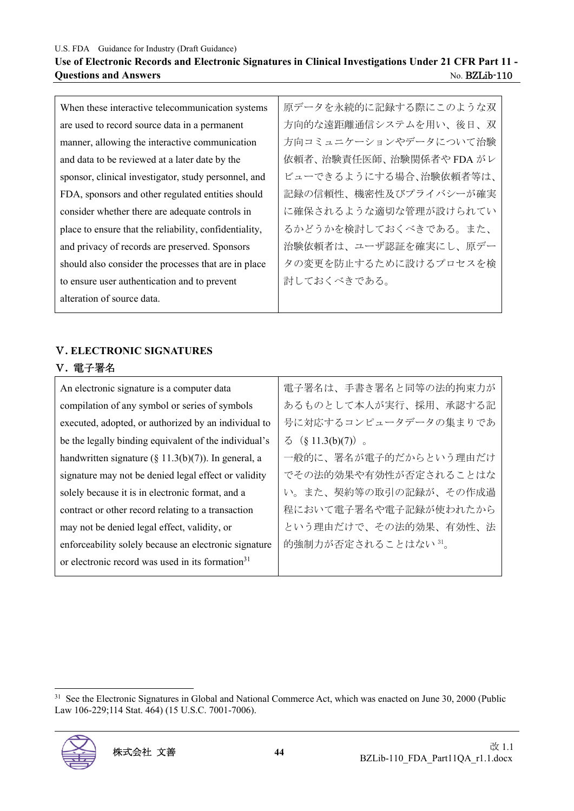#### **Use of Electronic Records and Electronic Signatures in Clinical Investigations Under 21 CFR Part 11 - Questions and Answers** No. BZLib-110

| When these interactive telecommunication systems       | 原データを永続的に記録する際にこのような双    |
|--------------------------------------------------------|--------------------------|
| are used to record source data in a permanent          | 方向的な遠距離通信システムを用い、後日、双    |
| manner, allowing the interactive communication         | 方向コミュニケーションやデータについて治験    |
| and data to be reviewed at a later date by the         | 依頼者、治験責任医師、治験関係者や FDA がレ |
| sponsor, clinical investigator, study personnel, and   | ビューできるようにする場合、治験依頼者等は、   |
| FDA, sponsors and other regulated entities should      | 記録の信頼性、機密性及びプライバシーが確実    |
| consider whether there are adequate controls in        | に確保されるような適切な管理が設けられてい    |
| place to ensure that the reliability, confidentiality, | るかどうかを検討しておくべきである。また、    |
| and privacy of records are preserved. Sponsors         | 治験依頼者は、ユーザ認証を確実にし、原デー    |
| should also consider the processes that are in place   | タの変更を防止するために設けるプロセスを検    |
| to ensure user authentication and to prevent           | 討しておくべきである。              |
| alteration of source data.                             |                          |

# Ⅴ**. ELECTRONIC SIGNATURES**

#### Ⅴ**.** 電子署名

| An electronic signature is a computer data                   | 電子署名は、手書き署名と同等の法的拘束力が      |
|--------------------------------------------------------------|----------------------------|
| compilation of any symbol or series of symbols               | あるものとして本人が実行、採用、承認する記      |
| executed, adopted, or authorized by an individual to         | 号に対応するコンピュータデータの集まりであ      |
| be the legally binding equivalent of the individual's        | $\lesssim$ (§ 11.3(b)(7)). |
| handwritten signature (§ 11.3(b)(7)). In general, a          | 一般的に、署名が電子的だからという理由だけ      |
| signature may not be denied legal effect or validity         | でその法的効果や有効性が否定されることはな      |
| solely because it is in electronic format, and a             | い。また、契約等の取引の記録が、その作成過      |
| contract or other record relating to a transaction           | 程において電子署名や電子記録が使われたから      |
| may not be denied legal effect, validity, or                 | という理由だけで、その法的効果、有効性、法      |
| enforceability solely because an electronic signature        | 的強制力が否定されることはない 31。        |
| or electronic record was used in its formation <sup>31</sup> |                            |
|                                                              |                            |

<sup>&</sup>lt;sup>31</sup> See the Electronic Signatures in Global and National Commerce Act, which was enacted on June 30, 2000 (Public Law 106-229;114 Stat. 464) (15 U.S.C. 7001-7006).

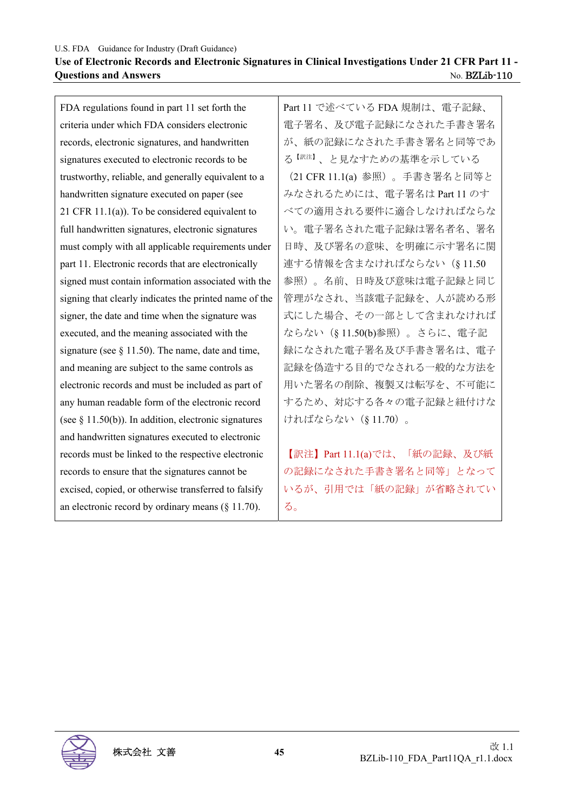#### U.S. FDA Guidance for Industry (Draft Guidance) **Use of Electronic Records and Electronic Signatures in Clinical Investigations Under 21 CFR Part 11 - Ouestions and Answers** No. BZLib-110

FDA regulations found in part 11 set forth the criteria under which FDA considers electronic records, electronic signatures, and handwritten signatures executed to electronic records to be trustworthy, reliable, and generally equivalent to a handwritten signature executed on paper (see 21 CFR 11.1(a)). To be considered equivalent to full handwritten signatures, electronic signatures must comply with all applicable requirements under part 11. Electronic records that are electronically signed must contain information associated with the signing that clearly indicates the printed name of the signer, the date and time when the signature was executed, and the meaning associated with the signature (see  $\S$  11.50). The name, date and time, and meaning are subject to the same controls as electronic records and must be included as part of any human readable form of the electronic record (see  $\S$  11.50(b)). In addition, electronic signatures and handwritten signatures executed to electronic records must be linked to the respective electronic records to ensure that the signatures cannot be excised, copied, or otherwise transferred to falsify an electronic record by ordinary means (§ 11.70).

Part 11 で述べている FDA 規制は、電子記録、 電子署名、及び電子記録になされた手書き署名 が、紙の記録になされた手書き署名と同等であ る【訳注】、と見なすための基準を示している (21 CFR 11.1(a) 参照)。手書き署名と同等と みなされるためには、電子署名は Part 11 のす べての適用される要件に適合しなければならな い。電子署名された電子記録は署名者名、署名 日時、及び署名の意味、を明確に示す署名に関 連する情報を含まなければならない(§ 11.50 参照)。名前、日時及び意味は電子記録と同じ 管理がなされ、当該電子記録を、人が読める形 式にした場合、その一部として含まれなければ ならない(§ 11.50(b)参照)。さらに、電子記 録になされた電子署名及び手書き署名は、電子 記録を偽造する目的でなされる一般的な方法を 用いた署名の削除、複製又は転写を、不可能に するため、対応する各々の電子記録と紐付けな ければならない(§ 11.70)。

【訳注】Part 11.1(a)では、「紙の記録、及び紙 の記録になされた手書き署名と同等」となって いるが、引用では「紙の記録」が省略されてい る。

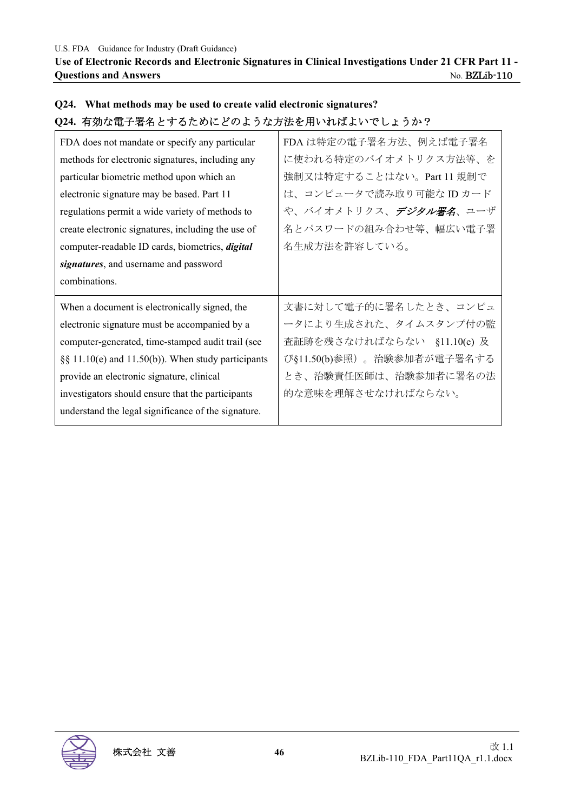**Use of Electronic Records and Electronic Signatures in Clinical Investigations Under 21 CFR Part 11 - Questions and Answers** No. BZLib-110

| V2+1 1月※小电」 右1コ C y るにのにこ いよ 丿 い刀 仏 と 用 v 14 Uはよ v ' 、 しょ 丿 ノ ' : |                                |
|-------------------------------------------------------------------|--------------------------------|
| FDA does not mandate or specify any particular                    | FDA は特定の電子署名方法、例えば電子署名         |
| methods for electronic signatures, including any                  | に使われる特定のバイオメトリクス方法等、を          |
| particular biometric method upon which an                         | 強制又は特定することはない。Part 11 規制で      |
| electronic signature may be based. Part 11                        | は、コンピュータで読み取り可能なIDカード          |
| regulations permit a wide variety of methods to                   | や、バイオメトリクス、 <i>デジタル署名</i> 、ユーザ |
| create electronic signatures, including the use of                | 名とパスワードの組み合わせ等、幅広い電子署          |
| computer-readable ID cards, biometrics, <i>digital</i>            | 名生成方法を許容している。                  |
| signatures, and username and password                             |                                |
|                                                                   |                                |
| combinations.                                                     |                                |
| When a document is electronically signed, the                     | 文書に対して電子的に署名したとき、コンピュ          |
| electronic signature must be accompanied by a                     | ータにより生成された、タイムスタンプ付の監          |
| computer-generated, time-stamped audit trail (see                 | 査証跡を残さなければならない §11.10(e) 及     |
| §§ 11.10(e) and 11.50(b)). When study participants                | び§11.50(b)参照)。治験参加者が電子署名する     |
| provide an electronic signature, clinical                         | とき、治験責任医師は、治験参加者に署名の法          |
| investigators should ensure that the participants                 | 的な意味を理解させなければならない。             |
| understand the legal significance of the signature.               |                                |

## **Q24. What methods may be used to create valid electronic signatures? Q24.** 有効な電子署名とするためにどのような方法を用いればよいでしょうか?

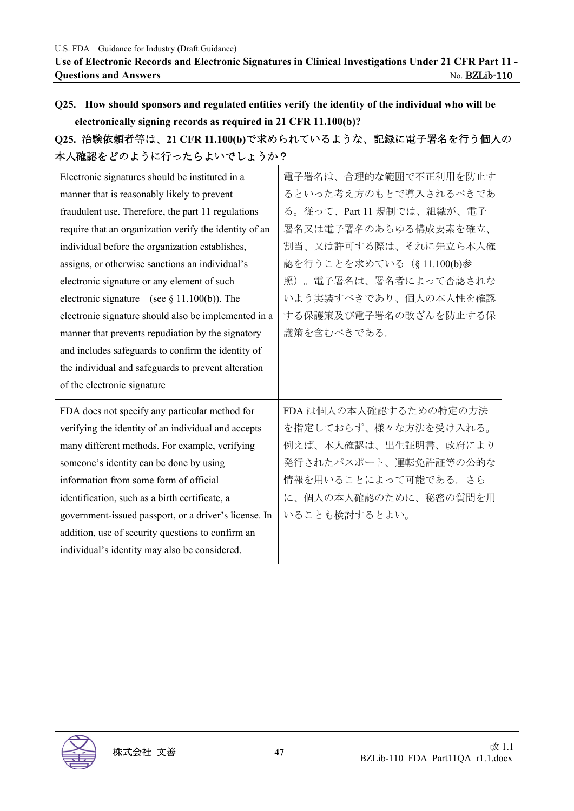# **Q25. How should sponsors and regulated entities verify the identity of the individual who will be electronically signing records as required in 21 CFR 11.100(b)?**

# **Q25.** 治験依頼者等は、**21 CFR 11.100(b)**で求められているような、記録に電子署名を行う個人の 本人確認をどのように行ったらよいでしょうか?

| Electronic signatures should be instituted in a        | 電子署名は、合理的な範囲で不正利用を防止す     |
|--------------------------------------------------------|---------------------------|
| manner that is reasonably likely to prevent            | るといった考え方のもとで導入されるべきであ     |
| fraudulent use. Therefore, the part 11 regulations     | る。従って、Part 11 規制では、組織が、電子 |
| require that an organization verify the identity of an | 署名又は電子署名のあらゆる構成要素を確立、     |
| individual before the organization establishes,        | 割当、又は許可する際は、それに先立ち本人確     |
| assigns, or otherwise sanctions an individual's        | 認を行うことを求めている (§11.100(b)参 |
| electronic signature or any element of such            | 照)。電子署名は、署名者によって否認されな     |
| electronic signature (see $\S$ 11.100(b)). The         | いよう実装すべきであり、個人の本人性を確認     |
| electronic signature should also be implemented in a   | する保護策及び電子署名の改ざんを防止する保     |
| manner that prevents repudiation by the signatory      | 護策を含むべきである。               |
| and includes safeguards to confirm the identity of     |                           |
| the individual and safeguards to prevent alteration    |                           |
| of the electronic signature                            |                           |
| FDA does not specify any particular method for         | FDA は個人の本人確認するための特定の方法    |
| verifying the identity of an individual and accepts    | を指定しておらず、様々な方法を受け入れる。     |
| many different methods. For example, verifying         | 例えば、本人確認は、出生証明書、政府により     |
| someone's identity can be done by using                | 発行されたパスポート、運転免許証等の公的な     |
| information from some form of official                 | 情報を用いることによって可能である。さら      |
| identification, such as a birth certificate, a         | に、個人の本人確認のために、秘密の質問を用     |
| government-issued passport, or a driver's license. In  | いることも検討するとよい。             |
| addition, use of security questions to confirm an      |                           |
| individual's identity may also be considered.          |                           |

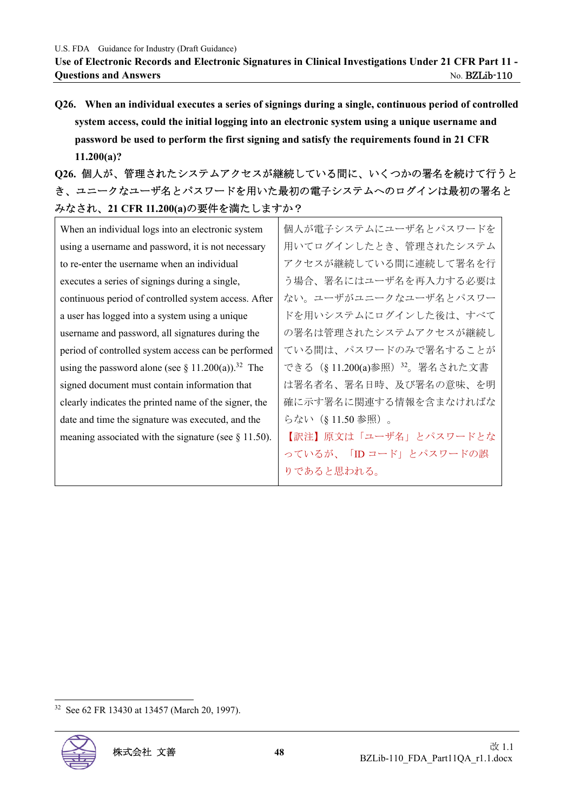**Q26. When an individual executes a series of signings during a single, continuous period of controlled system access, could the initial logging into an electronic system using a unique username and password be used to perform the first signing and satisfy the requirements found in 21 CFR 11.200(a)?** 

**Q26.** 個人が、管理されたシステムアクセスが継続している間に、いくつかの署名を続けて行うと き、ユニークなユーザ名とパスワードを用いた最初の電子システムへのログインは最初の署名と みなされ、**21 CFR 11.200(a)**の要件を満たしますか?

| 個人が電子システムにユーザ名とパスワードを          |
|--------------------------------|
| 用いてログインしたとき、管理されたシステム          |
| アクセスが継続している間に連続して署名を行          |
| う場合、署名にはユーザ名を再入力する必要は          |
| ない。ユーザがユニークなユーザ名とパスワー          |
| ドを用いシステムにログインした後は、すべて          |
| の署名は管理されたシステムアクセスが継続し          |
| ている間は、パスワードのみで署名することが          |
| できる (§ 11.200(a)参照) 32。署名された文書 |
| は署名者名、署名日時、及び署名の意味、を明          |
| 確に示す署名に関連する情報を含まなければな          |
| らない(§11.50参照)。                 |
| 【訳注】原文は「ユーザ名」とパスワードとな          |
| っているが、「ID コード」とパスワードの誤         |
| りであると思われる。                     |
|                                |

<sup>32</sup> See 62 FR 13430 at 13457 (March 20, 1997).

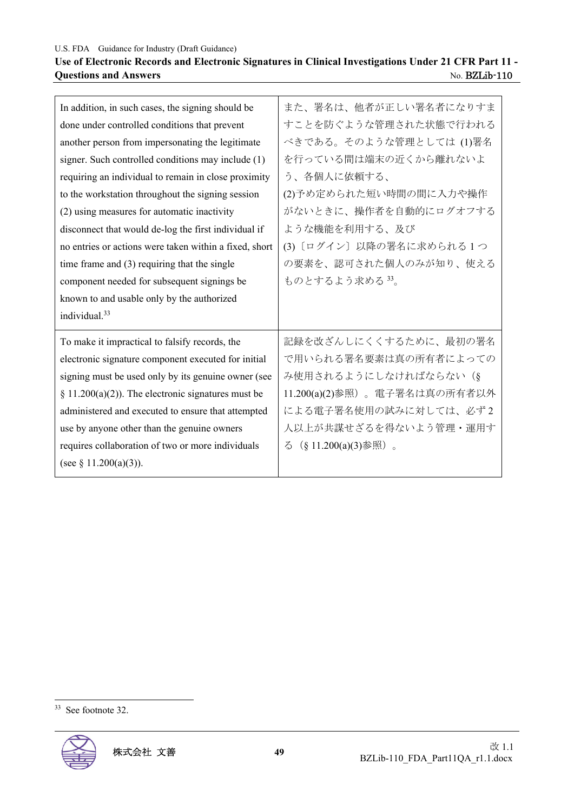## **Use of Electronic Records and Electronic Signatures in Clinical Investigations Under 21 CFR Part 11 - Questions and Answers <br>No. BZLib-110**

| In addition, in such cases, the signing should be      | また、署名は、他者が正しい署名者になりすま        |
|--------------------------------------------------------|------------------------------|
| done under controlled conditions that prevent          | すことを防ぐような管理された状態で行われる        |
| another person from impersonating the legitimate       | べきである。そのような管理としては (1)署名      |
| signer. Such controlled conditions may include (1)     | を行っている間は端末の近くから離れないよ         |
| requiring an individual to remain in close proximity   | う、各個人に依頼する、                  |
| to the workstation throughout the signing session      | (2)予め定められた短い時間の間に入力や操作       |
| (2) using measures for automatic inactivity            | がないときに、操作者を自動的にログオフする        |
| disconnect that would de-log the first individual if   | ような機能を利用する、及び                |
| no entries or actions were taken within a fixed, short | (3) [ログイン] 以降の署名に求められる1つ     |
| time frame and $(3)$ requiring that the single         | の要素を、認可された個人のみが知り、使える        |
| component needed for subsequent signings be            | ものとするよう求める 33。               |
| known to and usable only by the authorized             |                              |
|                                                        |                              |
| individual. <sup>33</sup>                              |                              |
| To make it impractical to falsify records, the         | 記録を改ざんしにくくするために、最初の署名        |
| electronic signature component executed for initial    | で用いられる署名要素は真の所有者によっての        |
| signing must be used only by its genuine owner (see    | み使用されるようにしなければならない (§        |
| § 11.200(a)(2)). The electronic signatures must be     | 11.200(a)(2)参照)。電子署名は真の所有者以外 |
| administered and executed to ensure that attempted     | による電子署名使用の試みに対しては、必ず2        |
| use by anyone other than the genuine owners            | 人以上が共謀せざるを得ないよう管理・運用す        |
| requires collaboration of two or more individuals      | る (§ 11.200(a)(3)参照)。        |
| (see § 11.200(a)(3)).                                  |                              |

<sup>33</sup> See footnote 32.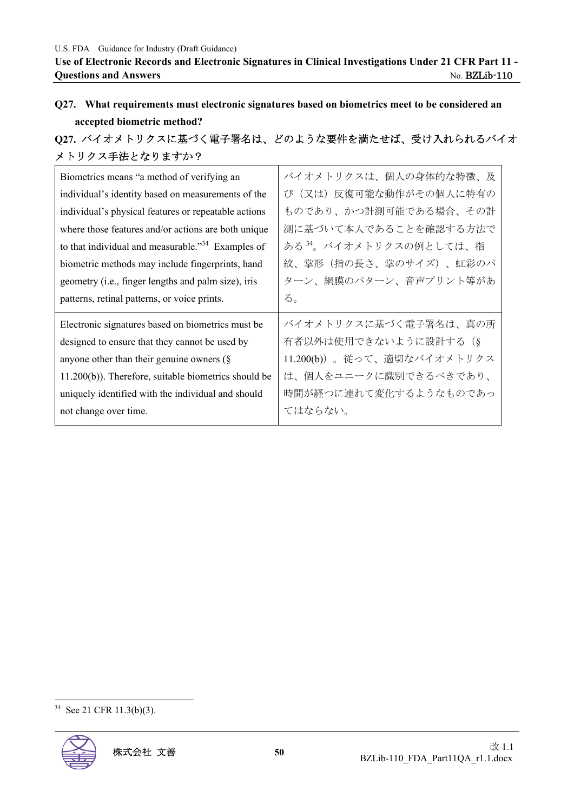# **Q27. What requirements must electronic signatures based on biometrics meet to be considered an accepted biometric method?**

# **Q27.** バイオメトリクスに基づく電子署名は、どのような要件を満たせば、受け入れられるバイオ メトリクス手法となりますか?

| Biometrics means "a method of verifying an                    | バイオメトリクスは、個人の身体的な特徴、及              |
|---------------------------------------------------------------|------------------------------------|
| individual's identity based on measurements of the            | び(又は)反復可能な動作がその個人に特有の              |
| individual's physical features or repeatable actions          | ものであり、かつ計測可能である場合、その計              |
| where those features and/or actions are both unique           | 測に基づいて本人であることを確認する方法で              |
| to that individual and measurable." <sup>34</sup> Examples of | ある <sup>34</sup> 。バイオメトリクスの例としては、指 |
| biometric methods may include fingerprints, hand              | 紋、掌形(指の長さ、掌のサイズ)、虹彩のパ              |
| geometry (i.e., finger lengths and palm size), iris           | ターン、網膜のパターン、音声プリント等があ              |
| patterns, retinal patterns, or voice prints.                  | る。                                 |
| Electronic signatures based on biometrics must be             | バイオメトリクスに基づく電子署名は、真の所              |
| designed to ensure that they cannot be used by                | 有者以外は使用できないように設計する (§              |
| anyone other than their genuine owners $(\S$                  | 11.200(b))。従って、適切なバイオメトリクス         |
| $11.200(b)$ ). Therefore, suitable biometrics should be       | は、個人をユニークに識別できるべきであり、              |
| uniquely identified with the individual and should            | 時間が経つに連れて変化するようなものであっ              |
| not change over time.                                         | てはならない。                            |

<sup>34</sup> See 21 CFR 11.3(b)(3).

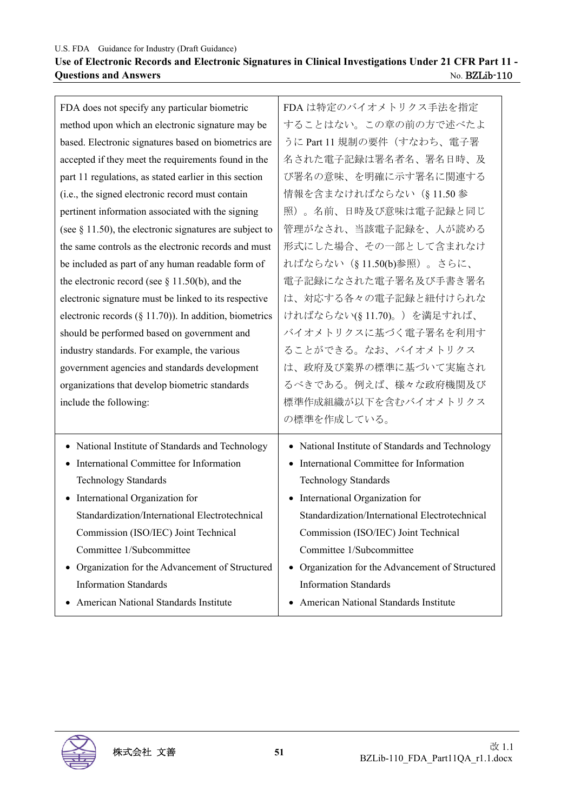#### **Use of Electronic Records and Electronic Signatures in Clinical Investigations Under 21 CFR Part 11 - Questions and Answers** No. BZLib-110

| FDA does not specify any particular biometric              | FDA は特定のバイオメトリクス手法を指定                                       |
|------------------------------------------------------------|-------------------------------------------------------------|
| method upon which an electronic signature may be           | することはない。この章の前の方で述べたよ                                        |
| based. Electronic signatures based on biometrics are       | うに Part 11 規制の要件(すなわち、電子署                                   |
| accepted if they meet the requirements found in the        | 名された電子記録は署名者名、署名日時、及                                        |
| part 11 regulations, as stated earlier in this section     | び署名の意味、を明確に示す署名に関連する                                        |
| (i.e., the signed electronic record must contain           | 情報を含まなければならない (§11.50参                                      |
| pertinent information associated with the signing          | 照)。名前、日時及び意味は電子記録と同じ                                        |
| (see $\S$ 11.50), the electronic signatures are subject to | 管理がなされ、当該電子記録を、人が読める                                        |
| the same controls as the electronic records and must       | 形式にした場合、その一部として含まれなけ                                        |
| be included as part of any human readable form of          | ればならない (§11.50(b)参照)。さらに、                                   |
| the electronic record (see $\S$ 11.50(b), and the          | 電子記録になされた電子署名及び手書き署名                                        |
| electronic signature must be linked to its respective      | は、対応する各々の電子記録と紐付けられな                                        |
| electronic records $(\S 11.70)$ ). In addition, biometrics | ければならない(§11.70)。)を満足すれば、                                    |
| should be performed based on government and                | バイオメトリクスに基づく電子署名を利用す                                        |
| industry standards. For example, the various               | ることができる。なお、バイオメトリクス                                         |
| government agencies and standards development              | は、政府及び業界の標準に基づいて実施され                                        |
| organizations that develop biometric standards             | るべきである。例えば、様々な政府機関及び                                        |
| include the following:                                     | 標準作成組織が以下を含むバイオメトリクス                                        |
|                                                            | の標準を作成している。                                                 |
| • National Institute of Standards and Technology           | • National Institute of Standards and Technology            |
| International Committee for Information                    | International Committee for Information                     |
| <b>Technology Standards</b>                                | Technology Standards                                        |
| • International Organization for                           | • International Organization for                            |
| Standardization/International Electrotechnical             | Standardization/International Electrotechnical              |
| Commission (ISO/IEC) Joint Technical                       | Commission (ISO/IEC) Joint Technical                        |
| Committee 1/Subcommittee                                   | Committee 1/Subcommittee                                    |
| Organization for the Advancement of Structured             | Organization for the Advancement of Structured<br>$\bullet$ |
| <b>Information Standards</b>                               | <b>Information Standards</b>                                |
| American National Standards Institute                      | American National Standards Institute<br>٠                  |

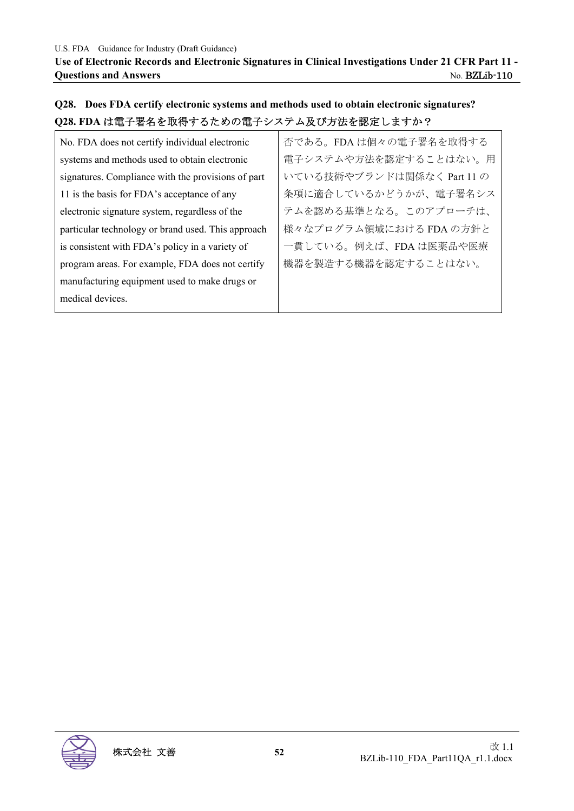## **Q28. Does FDA certify electronic systems and methods used to obtain electronic signatures? Q28. FDA** は電子署名を取得するための電子システム及び方法を認定しますか?

| No. FDA does not certify individual electronic     | 否である。FDA は個々の電子署名を取得する     |
|----------------------------------------------------|----------------------------|
| systems and methods used to obtain electronic      | 電子システムや方法を認定することはない。用      |
| signatures. Compliance with the provisions of part | いている技術やブランドは関係なく Part 11 の |
| 11 is the basis for FDA's acceptance of any        | 条項に適合しているかどうかが、電子署名シス      |
| electronic signature system, regardless of the     | テムを認める基準となる。このアプローチは、      |
| particular technology or brand used. This approach | 様々なプログラム領域における FDA の方針と    |
| is consistent with FDA's policy in a variety of    | 一貫している。例えば、FDA は医薬品や医療     |
| program areas. For example, FDA does not certify   | 機器を製造する機器を認定することはない。       |
| manufacturing equipment used to make drugs or      |                            |
| medical devices.                                   |                            |
|                                                    |                            |

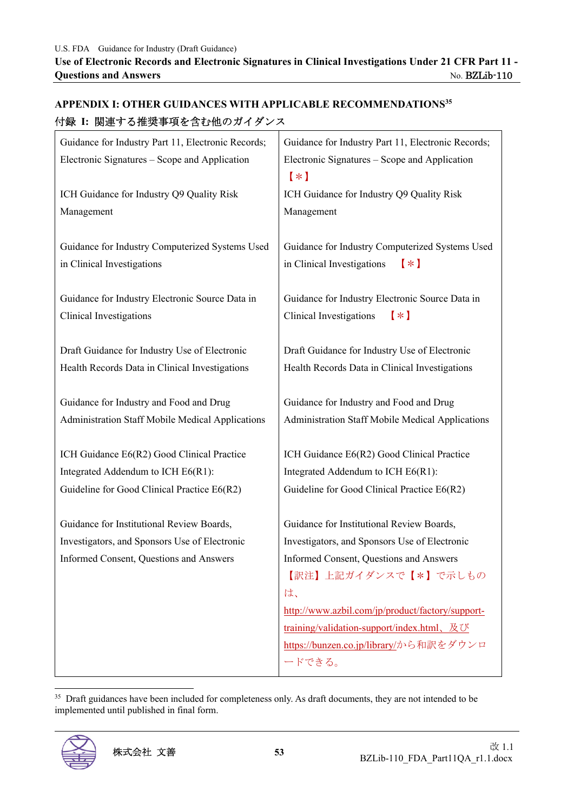| Ⅳ ※ Ⅰ 閃生 9 ♡指犬ず快て百む他ツルイクンハ                              |                                                           |
|---------------------------------------------------------|-----------------------------------------------------------|
| Guidance for Industry Part 11, Electronic Records;      | Guidance for Industry Part 11, Electronic Records;        |
| Electronic Signatures - Scope and Application           | Electronic Signatures - Scope and Application<br>$(\ast)$ |
| ICH Guidance for Industry Q9 Quality Risk               | ICH Guidance for Industry Q9 Quality Risk                 |
| Management                                              | Management                                                |
|                                                         |                                                           |
| Guidance for Industry Computerized Systems Used         | Guidance for Industry Computerized Systems Used           |
| in Clinical Investigations                              | in Clinical Investigations<br>$(\ast)$                    |
|                                                         |                                                           |
| Guidance for Industry Electronic Source Data in         | Guidance for Industry Electronic Source Data in           |
| Clinical Investigations                                 | Clinical Investigations<br>$(\ast)$                       |
|                                                         |                                                           |
| Draft Guidance for Industry Use of Electronic           | Draft Guidance for Industry Use of Electronic             |
| Health Records Data in Clinical Investigations          | Health Records Data in Clinical Investigations            |
| Guidance for Industry and Food and Drug                 | Guidance for Industry and Food and Drug                   |
| <b>Administration Staff Mobile Medical Applications</b> | <b>Administration Staff Mobile Medical Applications</b>   |
|                                                         |                                                           |
| ICH Guidance E6(R2) Good Clinical Practice              | ICH Guidance E6(R2) Good Clinical Practice                |
| Integrated Addendum to ICH E6(R1):                      | Integrated Addendum to ICH E6(R1):                        |
| Guideline for Good Clinical Practice E6(R2)             | Guideline for Good Clinical Practice E6(R2)               |
|                                                         |                                                           |
| Guidance for Institutional Review Boards,               | Guidance for Institutional Review Boards,                 |
| Investigators, and Sponsors Use of Electronic           | Investigators, and Sponsors Use of Electronic             |
| Informed Consent, Questions and Answers                 | Informed Consent, Questions and Answers                   |
|                                                         | 【訳注】上記ガイダンスで【*】で示しもの                                      |
|                                                         | は、                                                        |
|                                                         | http://www.azbil.com/jp/product/factory/support-          |
|                                                         | training/validation-support/index.html、及び                 |
|                                                         | https://bunzen.co.jp/library/から和訳をダウンロ                    |
|                                                         | ードできる。                                                    |

## **APPENDIX I: OTHER GUIDANCES WITH APPLICABLE RECOMMENDATIONS35** 付録 **I:** 関連する推奨事項を含む他のガイダンス

<sup>35</sup> Draft guidances have been included for completeness only. As draft documents, they are not intended to be implemented until published in final form.

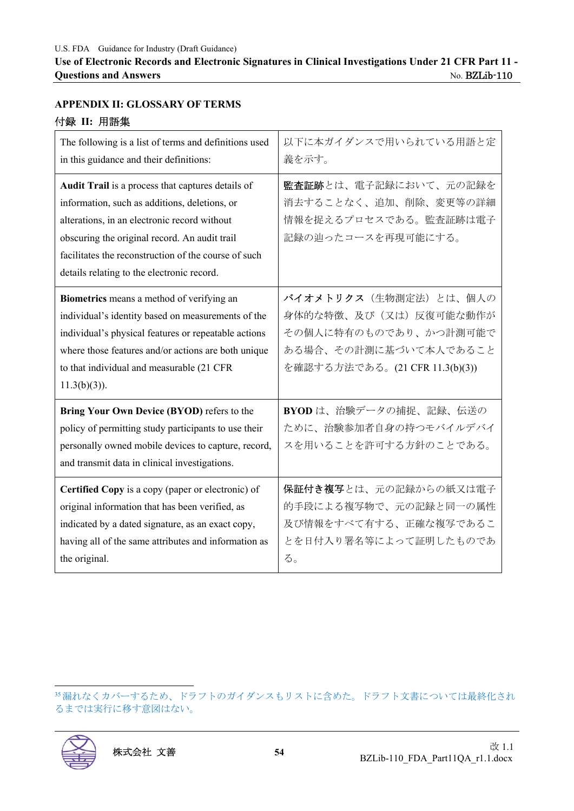## **APPENDIX II: GLOSSARY OF TERMS**  付録 **II:** 用語集

| The following is a list of terms and definitions used<br>in this guidance and their definitions:                                                                                                                                                                                                          | 以下に本ガイダンスで用いられている用語と定<br>義を示す。                                                                                                      |
|-----------------------------------------------------------------------------------------------------------------------------------------------------------------------------------------------------------------------------------------------------------------------------------------------------------|-------------------------------------------------------------------------------------------------------------------------------------|
| Audit Trail is a process that captures details of<br>information, such as additions, deletions, or<br>alterations, in an electronic record without<br>obscuring the original record. An audit trail<br>facilitates the reconstruction of the course of such<br>details relating to the electronic record. | 監査証跡とは、電子記録において、元の記録を<br>消去することなく、追加、削除、変更等の詳細<br>情報を捉えるプロセスである。監査証跡は電子<br>記録の辿ったコースを再現可能にする。                                       |
| Biometrics means a method of verifying an<br>individual's identity based on measurements of the<br>individual's physical features or repeatable actions<br>where those features and/or actions are both unique<br>to that individual and measurable (21 CFR<br>$11.3(b)(3)$ ).                            | バイオメトリクス (生物測定法)とは、個人の<br>身体的な特徴、及び(又は)反復可能な動作が<br>その個人に特有のものであり、かつ計測可能で<br>ある場合、その計測に基づいて本人であること<br>を確認する方法である。(21 CFR 11.3(b)(3)) |
| Bring Your Own Device (BYOD) refers to the<br>policy of permitting study participants to use their<br>personally owned mobile devices to capture, record,<br>and transmit data in clinical investigations.                                                                                                | BYOD は、治験データの捕捉、記録、伝送の<br>ために、治験参加者自身の持つモバイルデバイ<br>スを用いることを許可する方針のことである。                                                            |
| Certified Copy is a copy (paper or electronic) of<br>original information that has been verified, as<br>indicated by a dated signature, as an exact copy,<br>having all of the same attributes and information as<br>the original.                                                                        | 保証付き複写とは、元の記録からの紙又は電子<br>的手段による複写物で、元の記録と同一の属性<br>及び情報をすべて有する、正確な複写であるこ<br>とを日付入り署名等によって証明したものであ<br>る。                              |

35漏れなくカバーするため、ドラフトのガイダンスもリストに含めた。ドラフト文書については最終化され るまでは実行に移す意図はない。

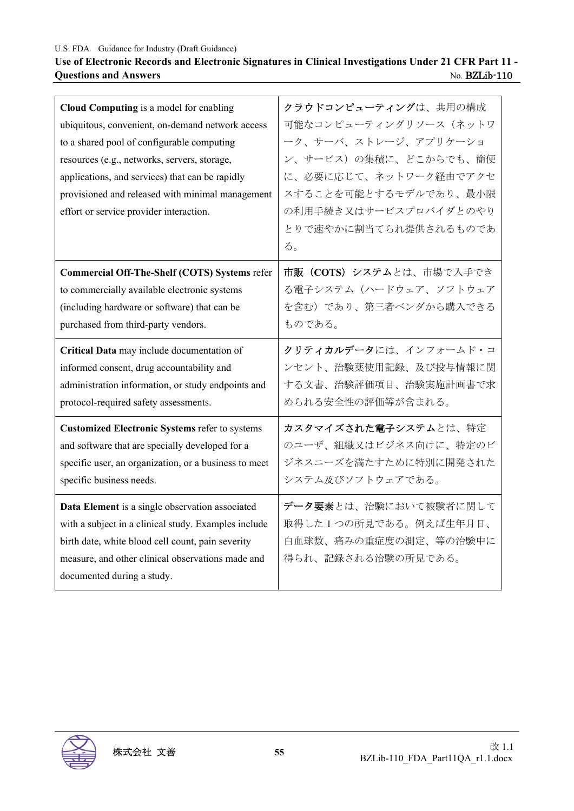### **Use of Electronic Records and Electronic Signatures in Clinical Investigations Under 21 CFR Part 11 - Questions and Answers** No. BZLib-110

| Cloud Computing is a model for enabling<br>ubiquitous, convenient, on-demand network access<br>to a shared pool of configurable computing<br>resources (e.g., networks, servers, storage,<br>applications, and services) that can be rapidly<br>provisioned and released with minimal management<br>effort or service provider interaction. | クラウドコンピューティングは、共用の構成<br>可能なコンピューティングリソース (ネットワ<br>ーク、サーバ、ストレージ、アプリケーショ<br>ン、サービス)の集積に、どこからでも、簡便<br>に、必要に応じて、ネットワーク経由でアクセ<br>スすることを可能とするモデルであり、最小限<br>の利用手続き又はサービスプロバイダとのやり<br>とりで速やかに割当てられ提供されるものであ<br>る。 |
|---------------------------------------------------------------------------------------------------------------------------------------------------------------------------------------------------------------------------------------------------------------------------------------------------------------------------------------------|-----------------------------------------------------------------------------------------------------------------------------------------------------------------------------------------------------------|
| <b>Commercial Off-The-Shelf (COTS) Systems refer</b>                                                                                                                                                                                                                                                                                        | 市販 (COTS) システムとは、市場で入手でき                                                                                                                                                                                  |
| to commercially available electronic systems                                                                                                                                                                                                                                                                                                | る電子システム (ハードウェア、ソフトウェア                                                                                                                                                                                    |
| (including hardware or software) that can be                                                                                                                                                                                                                                                                                                | を含む)であり、第三者ベンダから購入できる                                                                                                                                                                                     |
| purchased from third-party vendors.                                                                                                                                                                                                                                                                                                         | ものである。                                                                                                                                                                                                    |
| Critical Data may include documentation of<br>informed consent, drug accountability and<br>administration information, or study endpoints and<br>protocol-required safety assessments.                                                                                                                                                      | クリティカルデータには、インフォームド・コ<br>ンセント、治験薬使用記録、及び投与情報に関<br>する文書、治験評価項目、治験実施計画書で求<br>められる安全性の評価等が含まれる。                                                                                                              |
| <b>Customized Electronic Systems refer to systems</b><br>and software that are specially developed for a<br>specific user, an organization, or a business to meet<br>specific business needs.                                                                                                                                               | カスタマイズされた電子システムとは、特定<br>のユーザ、組織又はビジネス向けに、特定のビ<br>ジネスニーズを満たすために特別に開発された<br>システム及びソフトウェアである。                                                                                                                |
| Data Element is a single observation associated<br>with a subject in a clinical study. Examples include<br>birth date, white blood cell count, pain severity<br>measure, and other clinical observations made and<br>documented during a study.                                                                                             | データ要素とは、治験において被験者に関して<br>取得した1つの所見である。例えば生年月日、<br>白血球数、痛みの重症度の測定、等の治験中に<br>得られ、記録される治験の所見である。                                                                                                             |

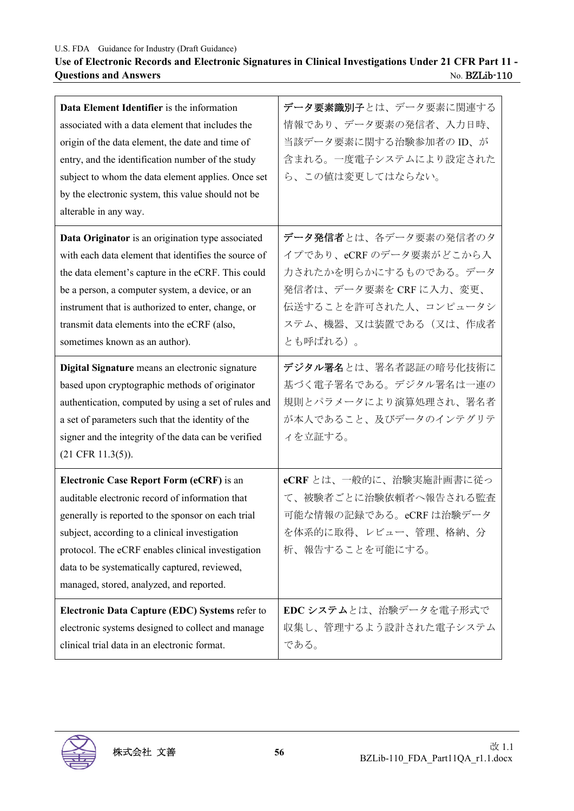## **Use of Electronic Records and Electronic Signatures in Clinical Investigations Under 21 CFR Part 11 - Questions and Answers** No. BZLib-110

| Data Element Identifier is the information<br>associated with a data element that includes the<br>origin of the data element, the date and time of<br>entry, and the identification number of the study<br>subject to whom the data element applies. Once set<br>by the electronic system, this value should not be<br>alterable in any way.                 | データ要素識別子とは、データ要素に関連する<br>情報であり、データ要素の発信者、入力日時、<br>当該データ要素に関する治験参加者のID、が<br>含まれる。一度電子システムにより設定された<br>ら、この値は変更してはならない。                                              |
|--------------------------------------------------------------------------------------------------------------------------------------------------------------------------------------------------------------------------------------------------------------------------------------------------------------------------------------------------------------|-------------------------------------------------------------------------------------------------------------------------------------------------------------------|
| Data Originator is an origination type associated<br>with each data element that identifies the source of<br>the data element's capture in the eCRF. This could<br>be a person, a computer system, a device, or an<br>instrument that is authorized to enter, change, or<br>transmit data elements into the eCRF (also,<br>sometimes known as an author).    | データ発信者とは、各データ要素の発信者のタ<br>イプであり、eCRFのデータ要素がどこから入<br>力されたかを明らかにするものである。データ<br>発信者は、データ要素を CRF に入力、変更、<br>伝送することを許可された人、コンピュータシ<br>ステム、機器、又は装置である(又は、作成者<br>とも呼ばれる)。 |
| Digital Signature means an electronic signature<br>based upon cryptographic methods of originator<br>authentication, computed by using a set of rules and<br>a set of parameters such that the identity of the<br>signer and the integrity of the data can be verified<br>$(21$ CFR $11.3(5)$ ).                                                             | デジタル署名とは、署名者認証の暗号化技術に<br>基づく電子署名である。デジタル署名は一連の<br>規則とパラメータにより演算処理され、署名者<br>が本人であること、及びデータのインテグリテ<br>ィを立証する。                                                       |
| <b>Electronic Case Report Form (eCRF)</b> is an<br>auditable electronic record of information that<br>generally is reported to the sponsor on each trial<br>subject, according to a clinical investigation<br>protocol. The eCRF enables clinical investigation<br>data to be systematically captured, reviewed,<br>managed, stored, analyzed, and reported. | eCRF とは、一般的に、治験実施計画書に従っ<br>て、被験者ごとに治験依頼者へ報告される監査<br>可能な情報の記録である。eCRF は治験データ<br>を体系的に取得、レビュー、管理、格納、分<br>析、報告することを可能にする。                                            |
| Electronic Data Capture (EDC) Systems refer to<br>electronic systems designed to collect and manage<br>clinical trial data in an electronic format.                                                                                                                                                                                                          | EDC システムとは、治験データを電子形式で<br>収集し、管理するよう設計された電子システム<br>である。                                                                                                           |

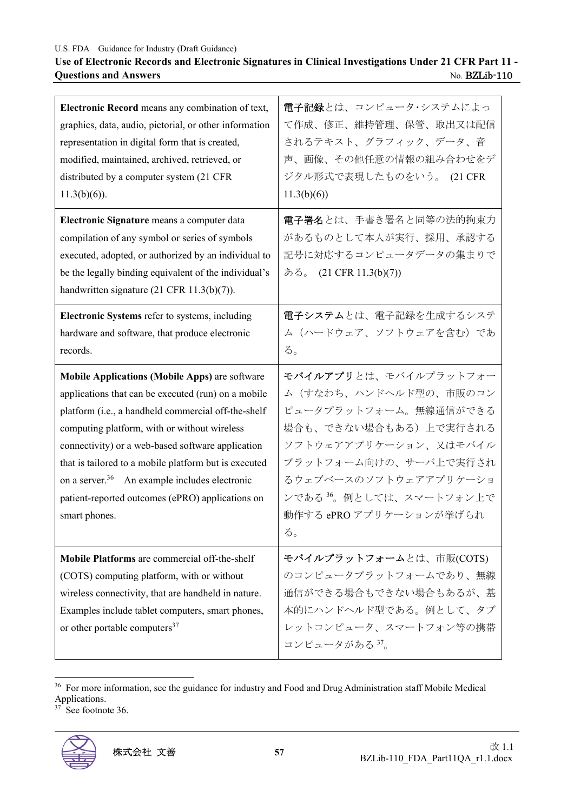## **Use of Electronic Records and Electronic Signatures in Clinical Investigations Under 21 CFR Part 11 - Questions and Answers** No. BZLib-110

| Electronic Record means any combination of text,<br>graphics, data, audio, pictorial, or other information<br>representation in digital form that is created,<br>modified, maintained, archived, retrieved, or<br>distributed by a computer system (21 CFR<br>$11.3(b)(6)$ ).                                                                                                                                                                                       | 電子記録とは、コンピュータ・システムによっ<br>て作成、修正、維持管理、保管、取出又は配信<br>されるテキスト、グラフィック、データ、音<br>声、画像、その他任意の情報の組み合わせをデ<br>ジタル形式で表現したものをいう。 (21 CFR<br>11.3(b)(6)                                                                                                           |
|---------------------------------------------------------------------------------------------------------------------------------------------------------------------------------------------------------------------------------------------------------------------------------------------------------------------------------------------------------------------------------------------------------------------------------------------------------------------|-----------------------------------------------------------------------------------------------------------------------------------------------------------------------------------------------------------------------------------------------------|
| Electronic Signature means a computer data<br>compilation of any symbol or series of symbols<br>executed, adopted, or authorized by an individual to<br>be the legally binding equivalent of the individual's<br>handwritten signature $(21 \text{ CFR } 11.3(b)(7))$ .                                                                                                                                                                                             | 電子署名とは、手書き署名と同等の法的拘束力<br>があるものとして本人が実行、採用、承認する<br>記号に対応するコンピュータデータの集まりで<br>ある。 (21 CFR 11.3(b)(7))                                                                                                                                                  |
| Electronic Systems refer to systems, including<br>hardware and software, that produce electronic<br>records.                                                                                                                                                                                                                                                                                                                                                        | 電子システムとは、電子記録を生成するシステ<br>ム (ハードウェア、ソフトウェアを含む)であ<br>る。                                                                                                                                                                                               |
| <b>Mobile Applications (Mobile Apps)</b> are software<br>applications that can be executed (run) on a mobile<br>platform (i.e., a handheld commercial off-the-shelf<br>computing platform, with or without wireless<br>connectivity) or a web-based software application<br>that is tailored to a mobile platform but is executed<br>on a server. <sup>36</sup> An example includes electronic<br>patient-reported outcomes (ePRO) applications on<br>smart phones. | モバイルアプリとは、モバイルプラットフォー<br>ム(すなわち、ハンドヘルド型の、市販のコン<br>ピュータプラットフォーム。無線通信ができる<br>場合も、できない場合もある)上で実行される<br>ソフトウェアアプリケーション、又はモバイル<br>プラットフォーム向けの、サーバ上で実行され<br>るウェブベースのソフトウェアアプリケーショ<br>ンである <sup>36</sup> 。例としては、スマートフォン上で<br>動作する ePRO アプリケーションが挙げられ<br>る。 |
| Mobile Platforms are commercial off-the-shelf<br>(COTS) computing platform, with or without<br>wireless connectivity, that are handheld in nature.<br>Examples include tablet computers, smart phones,<br>or other portable computers <sup>37</sup>                                                                                                                                                                                                                 | モバイルプラットフォームとは、市販(COTS)<br>のコンピュータプラットフォームであり、無線<br>通信ができる場合もできない場合もあるが、基<br>本的にハンドヘルド型である。例として、タブ<br>レットコンピュータ、スマートフォン等の携帯<br>コンピュータがある 37。                                                                                                        |

<sup>36</sup> For more information, see the guidance for industry and Food and Drug Administration staff Mobile Medical Applications.

37 See footnote 36.

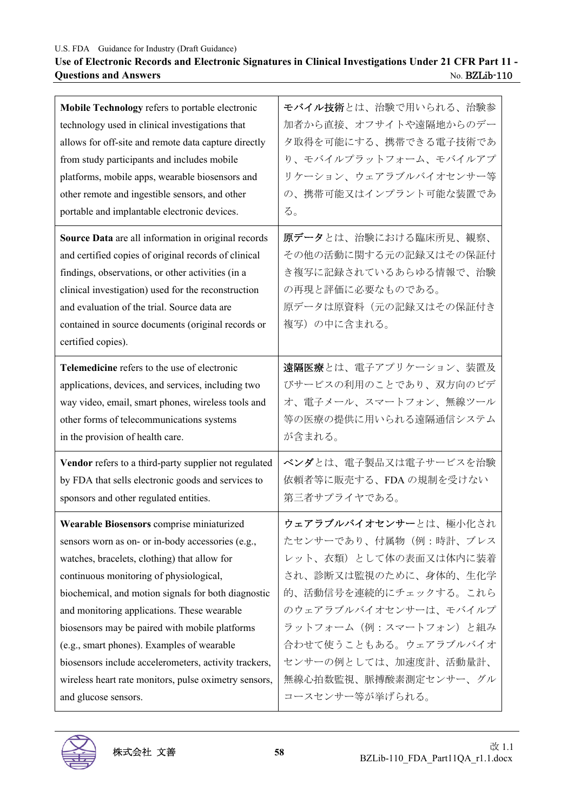## **Use of Electronic Records and Electronic Signatures in Clinical Investigations Under 21 CFR Part 11 - Questions and Answers** No. BZLib-110

| Mobile Technology refers to portable electronic                                                                                                                                                                                                                                                                                                     | モバイル技術とは、治験で用いられる、治験参                                                                                                               |
|-----------------------------------------------------------------------------------------------------------------------------------------------------------------------------------------------------------------------------------------------------------------------------------------------------------------------------------------------------|-------------------------------------------------------------------------------------------------------------------------------------|
| technology used in clinical investigations that                                                                                                                                                                                                                                                                                                     | 加者から直接、オフサイトや遠隔地からのデー                                                                                                               |
| allows for off-site and remote data capture directly                                                                                                                                                                                                                                                                                                | 夕取得を可能にする、携帯できる電子技術であ                                                                                                               |
| from study participants and includes mobile                                                                                                                                                                                                                                                                                                         | り、モバイルプラットフォーム、モバイルアプ                                                                                                               |
| platforms, mobile apps, wearable biosensors and                                                                                                                                                                                                                                                                                                     | リケーション、ウェアラブルバイオセンサー等                                                                                                               |
| other remote and ingestible sensors, and other                                                                                                                                                                                                                                                                                                      | の、携帯可能又はインプラント可能な装置であ                                                                                                               |
| portable and implantable electronic devices.                                                                                                                                                                                                                                                                                                        | る。                                                                                                                                  |
| Source Data are all information in original records<br>and certified copies of original records of clinical<br>findings, observations, or other activities (in a<br>clinical investigation) used for the reconstruction<br>and evaluation of the trial. Source data are<br>contained in source documents (original records or<br>certified copies). | 原データとは、治験における臨床所見、観察、<br>その他の活動に関する元の記録又はその保証付<br>き複写に記録されているあらゆる情報で、治験<br>の再現と評価に必要なものである。<br>原データは原資料(元の記録又はその保証付き<br>複写)の中に含まれる。 |
| Telemedicine refers to the use of electronic                                                                                                                                                                                                                                                                                                        | 遠隔医療とは、電子アプリケーション、装置及                                                                                                               |
| applications, devices, and services, including two                                                                                                                                                                                                                                                                                                  | びサービスの利用のことであり、双方向のビデ                                                                                                               |
| way video, email, smart phones, wireless tools and                                                                                                                                                                                                                                                                                                  | オ、電子メール、スマートフォン、無線ツール                                                                                                               |
| other forms of telecommunications systems                                                                                                                                                                                                                                                                                                           | 等の医療の提供に用いられる遠隔通信システム                                                                                                               |
| in the provision of health care.                                                                                                                                                                                                                                                                                                                    | が含まれる。                                                                                                                              |
| Vendor refers to a third-party supplier not regulated                                                                                                                                                                                                                                                                                               | ベンダとは、電子製品又は電子サービスを治験                                                                                                               |
| by FDA that sells electronic goods and services to                                                                                                                                                                                                                                                                                                  | 依頼者等に販売する、FDAの規制を受けない                                                                                                               |
| sponsors and other regulated entities.                                                                                                                                                                                                                                                                                                              | 第三者サプライヤである。                                                                                                                        |
| Wearable Biosensors comprise miniaturized                                                                                                                                                                                                                                                                                                           | ウェアラブルバイオセンサーとは、極小化され                                                                                                               |
| sensors worn as on- or in-body accessories (e.g.,                                                                                                                                                                                                                                                                                                   | たセンサーであり、付属物(例:時計、ブレス                                                                                                               |
| watches, bracelets, clothing) that allow for                                                                                                                                                                                                                                                                                                        | レット、衣類)として体の表面又は体内に装着                                                                                                               |
| continuous monitoring of physiological,                                                                                                                                                                                                                                                                                                             | され、診断又は監視のために、身体的、生化学                                                                                                               |
| biochemical, and motion signals for both diagnostic                                                                                                                                                                                                                                                                                                 | 的、活動信号を連続的にチェックする。これら                                                                                                               |
| and monitoring applications. These wearable                                                                                                                                                                                                                                                                                                         | のウェアラブルバイオセンサーは、モバイルプ                                                                                                               |
| biosensors may be paired with mobile platforms                                                                                                                                                                                                                                                                                                      | ラットフォーム (例:スマートフォン)と組み                                                                                                              |
| (e.g., smart phones). Examples of wearable                                                                                                                                                                                                                                                                                                          | 合わせて使うこともある。ウェアラブルバイオ                                                                                                               |
| biosensors include accelerometers, activity trackers,                                                                                                                                                                                                                                                                                               | センサーの例としては、加速度計、活動量計、                                                                                                               |
| wireless heart rate monitors, pulse oximetry sensors,                                                                                                                                                                                                                                                                                               | 無線心拍数監視、脈搏酸素測定センサー、グル                                                                                                               |
| and glucose sensors.                                                                                                                                                                                                                                                                                                                                | コースセンサー等が挙げられる。                                                                                                                     |
|                                                                                                                                                                                                                                                                                                                                                     |                                                                                                                                     |